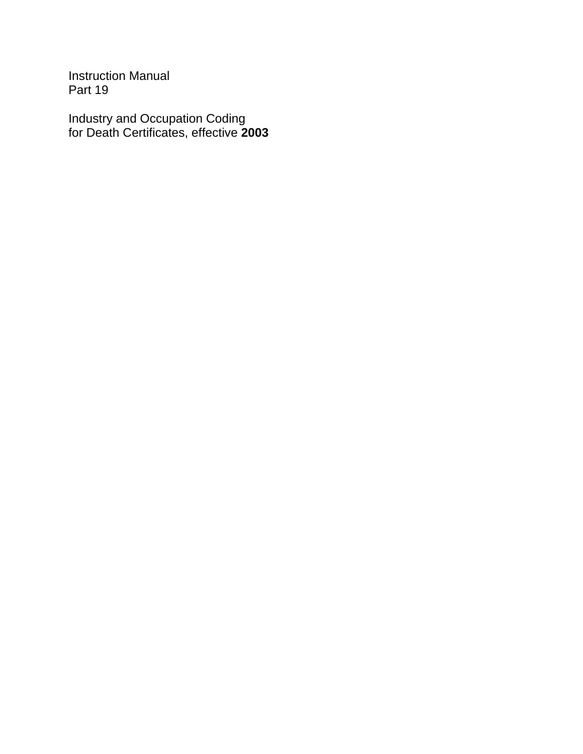Instruction Manual Part 19

Industry and Occupation Coding for Death Certificates, effective **2003**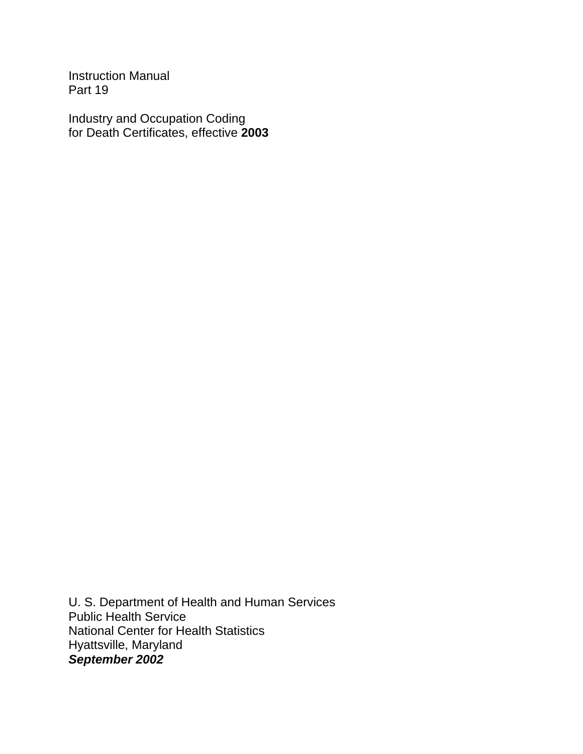Instruction Manual Part 19

Industry and Occupation Coding for Death Certificates, effective **2003**

U. S. Department of Health and Human Services Public Health Service National Center for Health Statistics Hyattsville, Maryland *September 2002*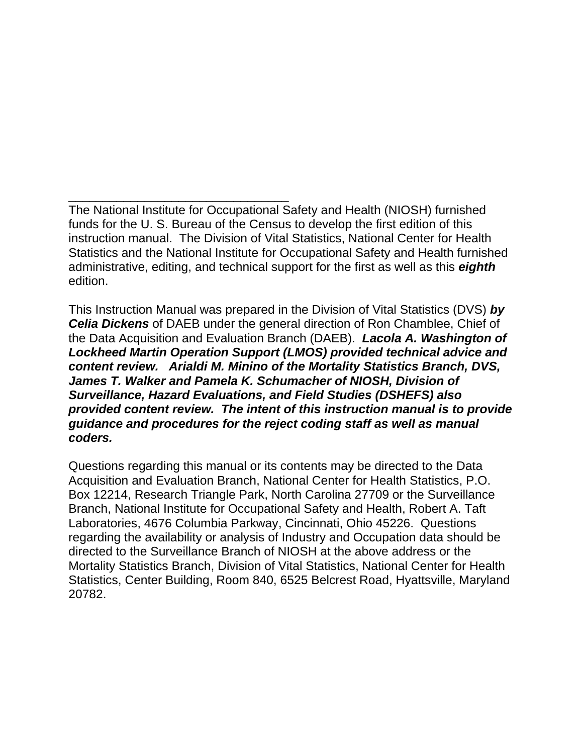The National Institute for Occupational Safety and Health (NIOSH) furnished funds for the U. S. Bureau of the Census to develop the first edition of this instruction manual. The Division of Vital Statistics, National Center for Health Statistics and the National Institute for Occupational Safety and Health furnished administrative, editing, and technical support for the first as well as this *eighth* edition.

\_\_\_\_\_\_\_\_\_\_\_\_\_\_\_\_\_\_\_\_\_\_\_\_\_\_\_\_\_\_\_\_

This Instruction Manual was prepared in the Division of Vital Statistics (DVS) *by Celia Dickens* of DAEB under the general direction of Ron Chamblee, Chief of the Data Acquisition and Evaluation Branch (DAEB). *Lacola A. Washington of Lockheed Martin Operation Support (LMOS) provided technical advice and content review. Arialdi M. Minino of the Mortality Statistics Branch, DVS, James T. Walker and Pamela K. Schumacher of NIOSH, Division of Surveillance, Hazard Evaluations, and Field Studies (DSHEFS) also provided content review. The intent of this instruction manual is to provide guidance and procedures for the reject coding staff as well as manual coders.* 

Questions regarding this manual or its contents may be directed to the Data Acquisition and Evaluation Branch, National Center for Health Statistics, P.O. Box 12214, Research Triangle Park, North Carolina 27709 or the Surveillance Branch, National Institute for Occupational Safety and Health, Robert A. Taft Laboratories, 4676 Columbia Parkway, Cincinnati, Ohio 45226. Questions regarding the availability or analysis of Industry and Occupation data should be directed to the Surveillance Branch of NIOSH at the above address or the Mortality Statistics Branch, Division of Vital Statistics, National Center for Health Statistics, Center Building, Room 840, 6525 Belcrest Road, Hyattsville, Maryland 20782.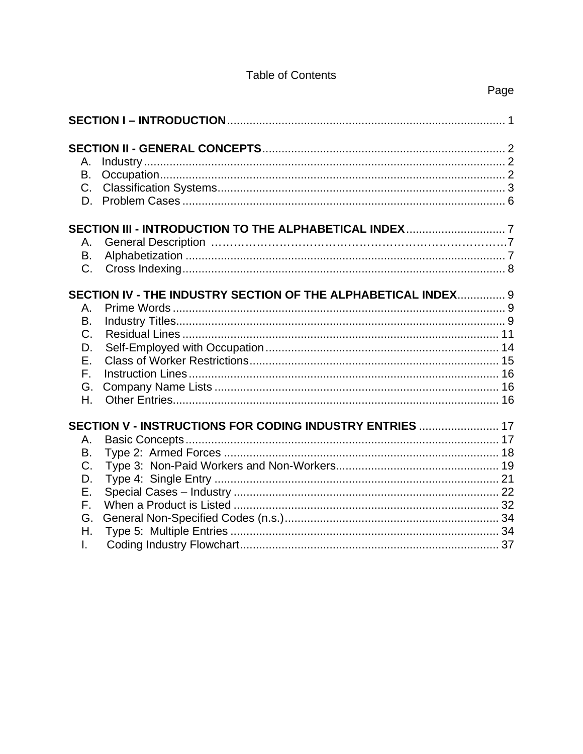#### **Table of Contents**

| Α.<br>В.<br>$C_{1}$<br>D.                                         |                                                               |  |
|-------------------------------------------------------------------|---------------------------------------------------------------|--|
| Α.<br>B.<br>C.                                                    |                                                               |  |
| Α.<br>Β.<br>$\mathsf{C}$ .<br>D.<br>Ε.<br>$F_{\perp}$<br>G.<br>Η. | SECTION IV - THE INDUSTRY SECTION OF THE ALPHABETICAL INDEX 9 |  |
| Α.<br>Β.<br>C.<br>D.<br>Ε.<br>F.<br>G.<br>Η.<br>L.                | SECTION V - INSTRUCTIONS FOR CODING INDUSTRY ENTRIES  17      |  |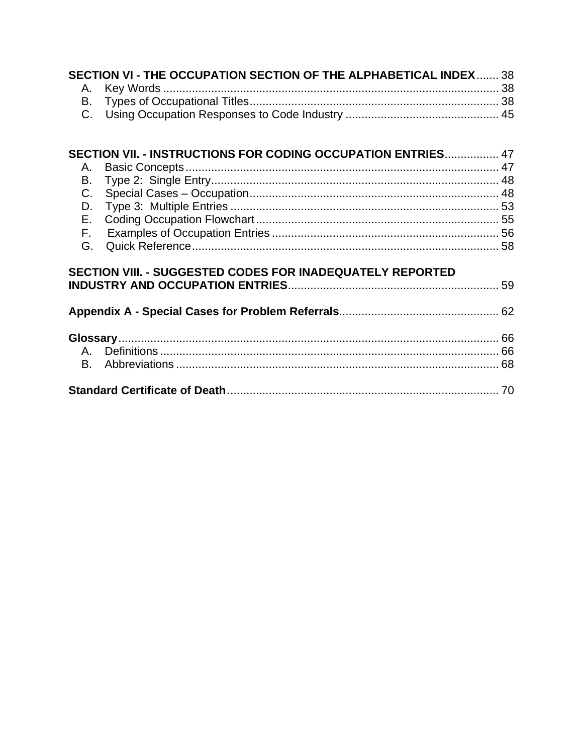| SECTION VI - THE OCCUPATION SECTION OF THE ALPHABETICAL INDEX  38<br>Α.                                          |  |
|------------------------------------------------------------------------------------------------------------------|--|
| В.                                                                                                               |  |
|                                                                                                                  |  |
| SECTION VII. - INSTRUCTIONS FOR CODING OCCUPATION ENTRIES 47<br>Α.<br>В.<br>C.<br>D.<br>E.<br>$F_{\rm{H}}$<br>G. |  |
| SECTION VIII. - SUGGESTED CODES FOR INADEQUATELY REPORTED                                                        |  |
|                                                                                                                  |  |
|                                                                                                                  |  |
|                                                                                                                  |  |
| А.<br>B.                                                                                                         |  |
|                                                                                                                  |  |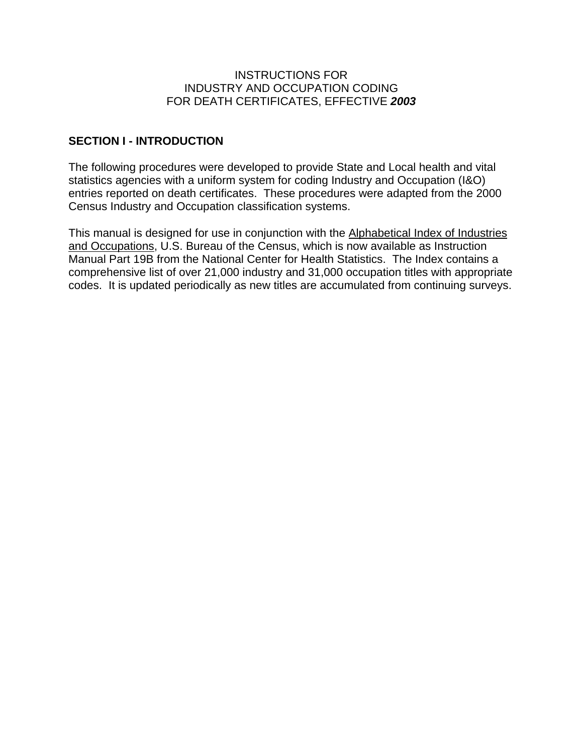#### INSTRUCTIONS FOR INDUSTRY AND OCCUPATION CODING FOR DEATH CERTIFICATES, EFFECTIVE *2003*

#### **SECTION I - INTRODUCTION**

The following procedures were developed to provide State and Local health and vital statistics agencies with a uniform system for coding Industry and Occupation (I&O) entries reported on death certificates. These procedures were adapted from the 2000 Census Industry and Occupation classification systems.

This manual is designed for use in conjunction with the Alphabetical Index of Industries and Occupations, U.S. Bureau of the Census, which is now available as Instruction Manual Part 19B from the National Center for Health Statistics. The Index contains a comprehensive list of over 21,000 industry and 31,000 occupation titles with appropriate codes. It is updated periodically as new titles are accumulated from continuing surveys.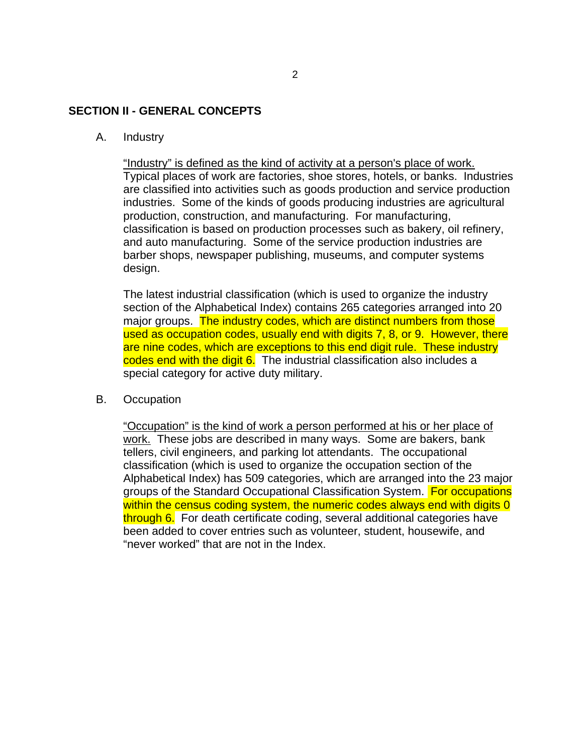#### **SECTION II - GENERAL CONCEPTS**

#### A. Industry

"Industry" is defined as the kind of activity at a person's place of work. Typical places of work are factories, shoe stores, hotels, or banks. Industries are classified into activities such as goods production and service production industries. Some of the kinds of goods producing industries are agricultural production, construction, and manufacturing. For manufacturing, classification is based on production processes such as bakery, oil refinery, and auto manufacturing. Some of the service production industries are barber shops, newspaper publishing, museums, and computer systems design.

The latest industrial classification (which is used to organize the industry section of the Alphabetical Index) contains 265 categories arranged into 20 major groups. The industry codes, which are distinct numbers from those used as occupation codes, usually end with digits 7, 8, or 9. However, there are nine codes, which are exceptions to this end digit rule. These industry codes end with the digit 6. The industrial classification also includes a special category for active duty military.

#### B. Occupation

"Occupation" is the kind of work a person performed at his or her place of work. These jobs are described in many ways. Some are bakers, bank tellers, civil engineers, and parking lot attendants. The occupational classification (which is used to organize the occupation section of the Alphabetical Index) has 509 categories, which are arranged into the 23 major groups of the Standard Occupational Classification System. For occupations within the census coding system, the numeric codes always end with digits 0 through 6. For death certificate coding, several additional categories have been added to cover entries such as volunteer, student, housewife, and "never worked" that are not in the Index.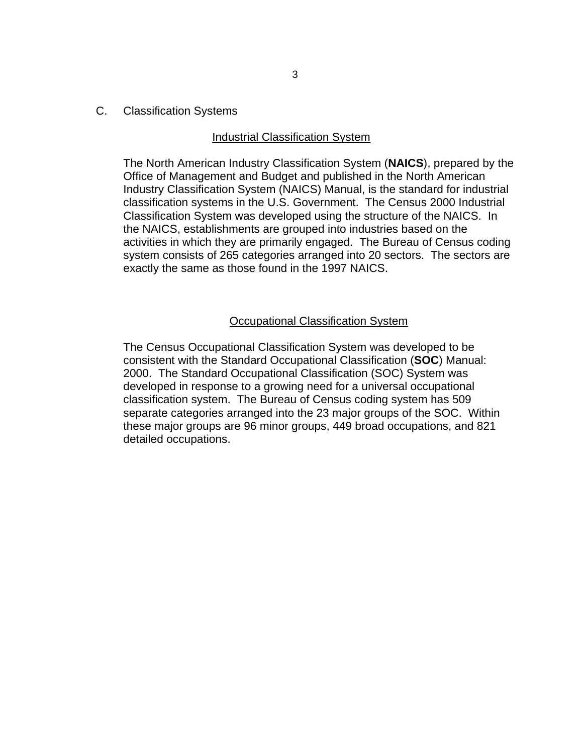C. Classification Systems

#### Industrial Classification System

The North American Industry Classification System (**NAICS**), prepared by the Office of Management and Budget and published in the North American Industry Classification System (NAICS) Manual, is the standard for industrial classification systems in the U.S. Government. The Census 2000 Industrial Classification System was developed using the structure of the NAICS. In the NAICS, establishments are grouped into industries based on the activities in which they are primarily engaged. The Bureau of Census coding system consists of 265 categories arranged into 20 sectors. The sectors are exactly the same as those found in the 1997 NAICS.

#### Occupational Classification System

The Census Occupational Classification System was developed to be consistent with the Standard Occupational Classification (**SOC**) Manual: 2000. The Standard Occupational Classification (SOC) System was developed in response to a growing need for a universal occupational classification system. The Bureau of Census coding system has 509 separate categories arranged into the 23 major groups of the SOC. Within these major groups are 96 minor groups, 449 broad occupations, and 821 detailed occupations.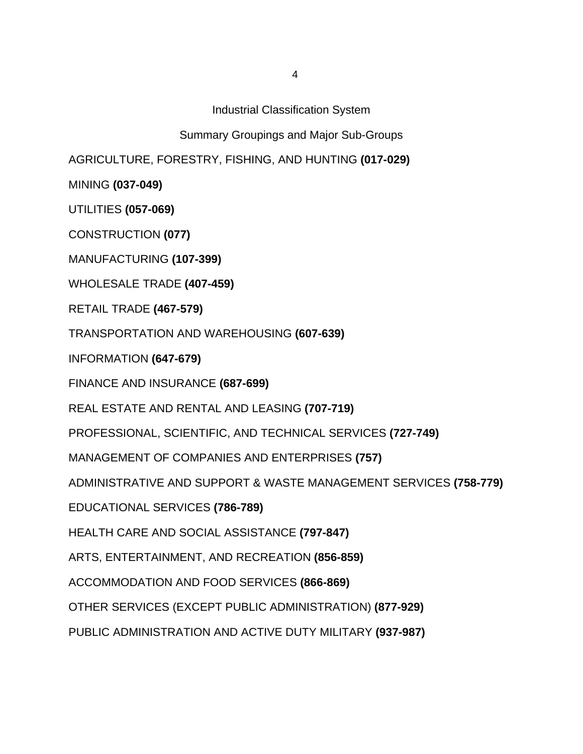Industrial Classification System

Summary Groupings and Major Sub-Groups

AGRICULTURE, FORESTRY, FISHING, AND HUNTING **(017-029)** 

MINING **(037-049)** 

UTILITIES **(057-069)** 

CONSTRUCTION **(077)** 

MANUFACTURING **(107-399)** 

WHOLESALE TRADE **(407-459)** 

RETAIL TRADE **(467-579)** 

TRANSPORTATION AND WAREHOUSING **(607-639)** 

INFORMATION **(647-679)** 

FINANCE AND INSURANCE **(687-699)** 

REAL ESTATE AND RENTAL AND LEASING **(707-719)** 

PROFESSIONAL, SCIENTIFIC, AND TECHNICAL SERVICES **(727-749)** 

MANAGEMENT OF COMPANIES AND ENTERPRISES **(757)** 

ADMINISTRATIVE AND SUPPORT & WASTE MANAGEMENT SERVICES **(758-779)** 

EDUCATIONAL SERVICES **(786-789)** 

HEALTH CARE AND SOCIAL ASSISTANCE **(797-847)** 

ARTS, ENTERTAINMENT, AND RECREATION **(856-859)** 

ACCOMMODATION AND FOOD SERVICES **(866-869)** 

OTHER SERVICES (EXCEPT PUBLIC ADMINISTRATION) **(877-929)** 

PUBLIC ADMINISTRATION AND ACTIVE DUTY MILITARY **(937-987)**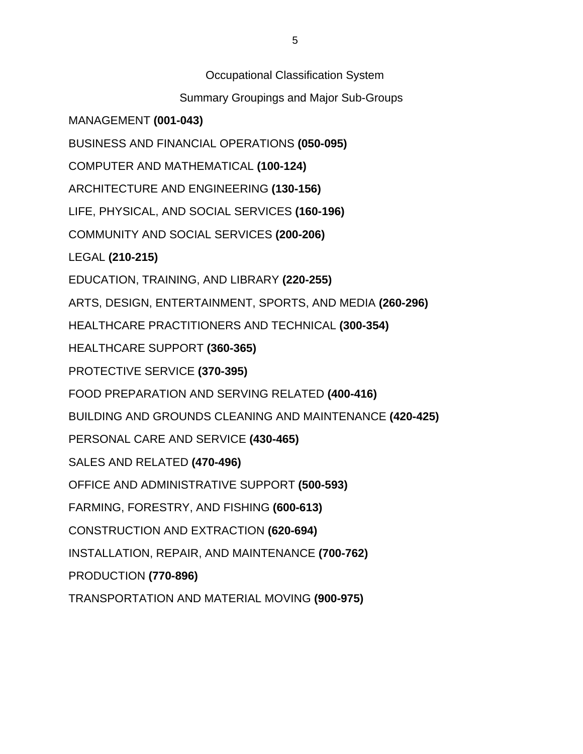Occupational Classification System

Summary Groupings and Major Sub-Groups

MANAGEMENT **(001-043)** 

BUSINESS AND FINANCIAL OPERATIONS **(050-095)** 

COMPUTER AND MATHEMATICAL **(100-124)** 

ARCHITECTURE AND ENGINEERING **(130-156)** 

LIFE, PHYSICAL, AND SOCIAL SERVICES **(160-196)** 

COMMUNITY AND SOCIAL SERVICES **(200-206)** 

LEGAL **(210-215)** 

EDUCATION, TRAINING, AND LIBRARY **(220-255)** 

ARTS, DESIGN, ENTERTAINMENT, SPORTS, AND MEDIA **(260-296)** 

HEALTHCARE PRACTITIONERS AND TECHNICAL **(300-354)** 

HEALTHCARE SUPPORT **(360-365)** 

PROTECTIVE SERVICE **(370-395)** 

FOOD PREPARATION AND SERVING RELATED **(400-416)** 

BUILDING AND GROUNDS CLEANING AND MAINTENANCE **(420-425)** 

PERSONAL CARE AND SERVICE **(430-465)** 

SALES AND RELATED **(470-496)** 

OFFICE AND ADMINISTRATIVE SUPPORT **(500-593)** 

FARMING, FORESTRY, AND FISHING **(600-613)** 

CONSTRUCTION AND EXTRACTION **(620-694)** 

INSTALLATION, REPAIR, AND MAINTENANCE **(700-762)** 

PRODUCTION **(770-896)** 

TRANSPORTATION AND MATERIAL MOVING **(900-975)**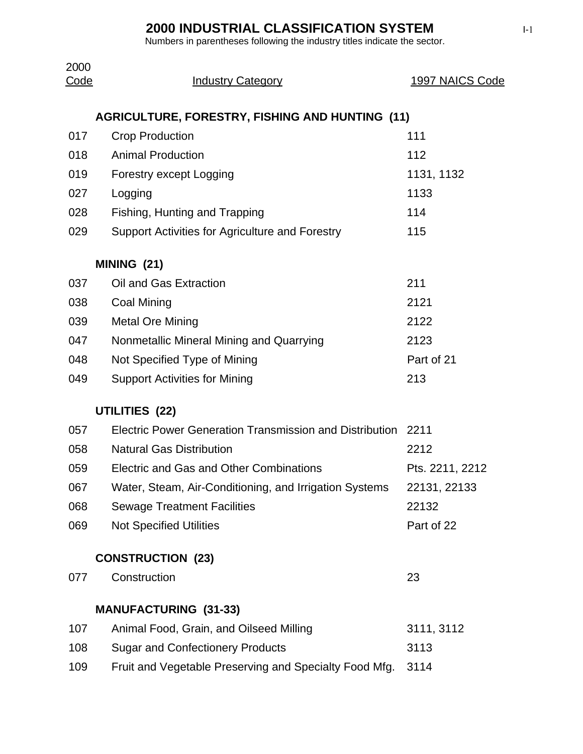| 2000<br>Code | <b>Industry Category</b>                                     | 1997 NAICS Code |
|--------------|--------------------------------------------------------------|-----------------|
|              | <b>AGRICULTURE, FORESTRY, FISHING AND HUNTING (11)</b>       |                 |
| 017          | <b>Crop Production</b>                                       | 111             |
| 018          | <b>Animal Production</b>                                     | 112             |
| 019          | Forestry except Logging                                      | 1131, 1132      |
| 027          | Logging                                                      | 1133            |
| 028          | Fishing, Hunting and Trapping                                | 114             |
| 029          | Support Activities for Agriculture and Forestry              | 115             |
|              | MINING (21)                                                  |                 |
| 037          | Oil and Gas Extraction                                       | 211             |
| 038          | <b>Coal Mining</b>                                           | 2121            |
| 039          | <b>Metal Ore Mining</b>                                      | 2122            |
| 047          | Nonmetallic Mineral Mining and Quarrying                     | 2123            |
| 048          | Not Specified Type of Mining                                 | Part of 21      |
| 049          | <b>Support Activities for Mining</b>                         | 213             |
|              | UTILITIES (22)                                               |                 |
| 057          | Electric Power Generation Transmission and Distribution 2211 |                 |
| 058          | <b>Natural Gas Distribution</b>                              | 2212            |
| 059          | Electric and Gas and Other Combinations                      | Pts. 2211, 2212 |
| 067          | Water, Steam, Air-Conditioning, and Irrigation Systems       | 22131, 22133    |
| 068          | <b>Sewage Treatment Facilities</b>                           | 22132           |
| 069          | <b>Not Specified Utilities</b>                               | Part of 22      |
|              | <b>CONSTRUCTION (23)</b>                                     |                 |
| 077          | Construction                                                 | 23              |
|              | <b>MANUFACTURING (31-33)</b>                                 |                 |
| 107          | Animal Food, Grain, and Oilseed Milling                      | 3111, 3112      |
| 108          | <b>Sugar and Confectionery Products</b>                      | 3113            |
| 109          | Fruit and Vegetable Preserving and Specialty Food Mfg.       | 3114            |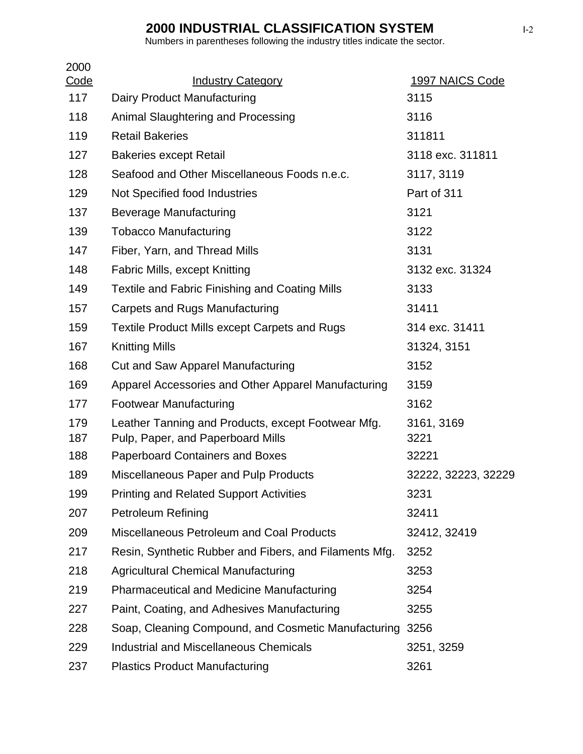| 2000<br>Code | <b>Industry Category</b>                                                                | 1997 NAICS Code     |
|--------------|-----------------------------------------------------------------------------------------|---------------------|
| 117          | Dairy Product Manufacturing                                                             | 3115                |
| 118          | Animal Slaughtering and Processing                                                      | 3116                |
| 119          | <b>Retail Bakeries</b>                                                                  | 311811              |
| 127          | <b>Bakeries except Retail</b>                                                           | 3118 exc. 311811    |
| 128          | Seafood and Other Miscellaneous Foods n.e.c.                                            | 3117, 3119          |
| 129          | Not Specified food Industries                                                           | Part of 311         |
| 137          | Beverage Manufacturing                                                                  | 3121                |
| 139          | <b>Tobacco Manufacturing</b>                                                            | 3122                |
| 147          | Fiber, Yarn, and Thread Mills                                                           | 3131                |
| 148          | <b>Fabric Mills, except Knitting</b>                                                    | 3132 exc. 31324     |
| 149          | Textile and Fabric Finishing and Coating Mills                                          | 3133                |
| 157          | <b>Carpets and Rugs Manufacturing</b>                                                   | 31411               |
| 159          | <b>Textile Product Mills except Carpets and Rugs</b>                                    | 314 exc. 31411      |
| 167          | <b>Knitting Mills</b>                                                                   | 31324, 3151         |
| 168          | Cut and Saw Apparel Manufacturing                                                       | 3152                |
| 169          | Apparel Accessories and Other Apparel Manufacturing                                     | 3159                |
| 177          | <b>Footwear Manufacturing</b>                                                           | 3162                |
| 179<br>187   | Leather Tanning and Products, except Footwear Mfg.<br>Pulp, Paper, and Paperboard Mills | 3161, 3169<br>3221  |
| 188          | <b>Paperboard Containers and Boxes</b>                                                  | 32221               |
| 189          | <b>Miscellaneous Paper and Pulp Products</b>                                            | 32222, 32223, 32229 |
| 199          | <b>Printing and Related Support Activities</b>                                          | 3231                |
| 207          | <b>Petroleum Refining</b>                                                               | 32411               |
| 209          | <b>Miscellaneous Petroleum and Coal Products</b>                                        | 32412, 32419        |
| 217          | Resin, Synthetic Rubber and Fibers, and Filaments Mfg.                                  | 3252                |
| 218          | <b>Agricultural Chemical Manufacturing</b>                                              | 3253                |
| 219          | <b>Pharmaceutical and Medicine Manufacturing</b>                                        | 3254                |
| 227          | Paint, Coating, and Adhesives Manufacturing                                             | 3255                |
| 228          | Soap, Cleaning Compound, and Cosmetic Manufacturing                                     | 3256                |
| 229          | <b>Industrial and Miscellaneous Chemicals</b>                                           | 3251, 3259          |
| 237          | <b>Plastics Product Manufacturing</b>                                                   | 3261                |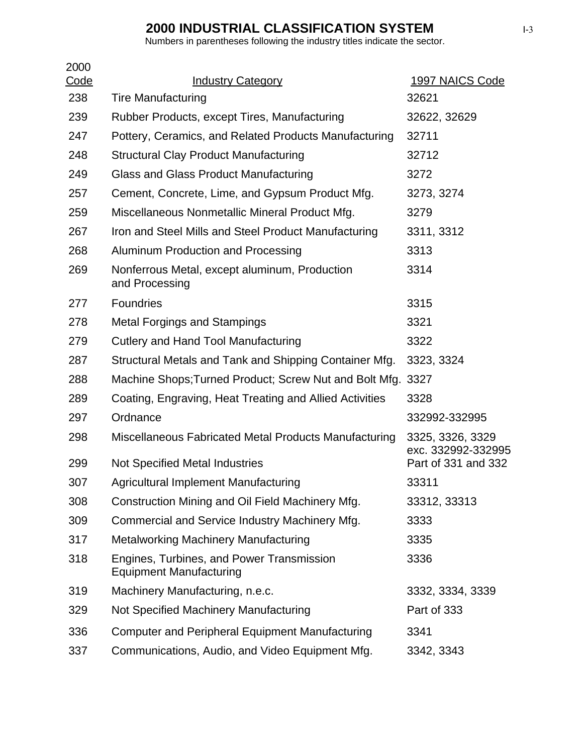| 2000               |                                                                             |                                        |
|--------------------|-----------------------------------------------------------------------------|----------------------------------------|
| <u>Code</u><br>238 | <b>Industry Category</b><br><b>Tire Manufacturing</b>                       | 1997 NAICS Code<br>32621               |
| 239                |                                                                             | 32622, 32629                           |
|                    | Rubber Products, except Tires, Manufacturing                                |                                        |
| 247                | Pottery, Ceramics, and Related Products Manufacturing                       | 32711                                  |
| 248                | <b>Structural Clay Product Manufacturing</b>                                | 32712                                  |
| 249                | Glass and Glass Product Manufacturing                                       | 3272                                   |
| 257                | Cement, Concrete, Lime, and Gypsum Product Mfg.                             | 3273, 3274                             |
| 259                | Miscellaneous Nonmetallic Mineral Product Mfg.                              | 3279                                   |
| 267                | Iron and Steel Mills and Steel Product Manufacturing                        | 3311, 3312                             |
| 268                | Aluminum Production and Processing                                          | 3313                                   |
| 269                | Nonferrous Metal, except aluminum, Production<br>and Processing             | 3314                                   |
| 277                | <b>Foundries</b>                                                            | 3315                                   |
| 278                | <b>Metal Forgings and Stampings</b>                                         | 3321                                   |
| 279                | <b>Cutlery and Hand Tool Manufacturing</b>                                  | 3322                                   |
| 287                | Structural Metals and Tank and Shipping Container Mfg.                      | 3323, 3324                             |
| 288                | Machine Shops; Turned Product; Screw Nut and Bolt Mfg. 3327                 |                                        |
| 289                | Coating, Engraving, Heat Treating and Allied Activities                     | 3328                                   |
| 297                | Ordnance                                                                    | 332992-332995                          |
| 298                | Miscellaneous Fabricated Metal Products Manufacturing                       | 3325, 3326, 3329<br>exc. 332992-332995 |
| 299                | <b>Not Specified Metal Industries</b>                                       | Part of 331 and 332                    |
| 307                | <b>Agricultural Implement Manufacturing</b>                                 | 33311                                  |
| 308                | Construction Mining and Oil Field Machinery Mfg.                            | 33312, 33313                           |
| 309                | Commercial and Service Industry Machinery Mfg.                              | 3333                                   |
| 317                | <b>Metalworking Machinery Manufacturing</b>                                 | 3335                                   |
| 318                | Engines, Turbines, and Power Transmission<br><b>Equipment Manufacturing</b> | 3336                                   |
| 319                | Machinery Manufacturing, n.e.c.                                             | 3332, 3334, 3339                       |
| 329                | Not Specified Machinery Manufacturing                                       | Part of 333                            |
| 336                | <b>Computer and Peripheral Equipment Manufacturing</b>                      | 3341                                   |
| 337                | Communications, Audio, and Video Equipment Mfg.                             | 3342, 3343                             |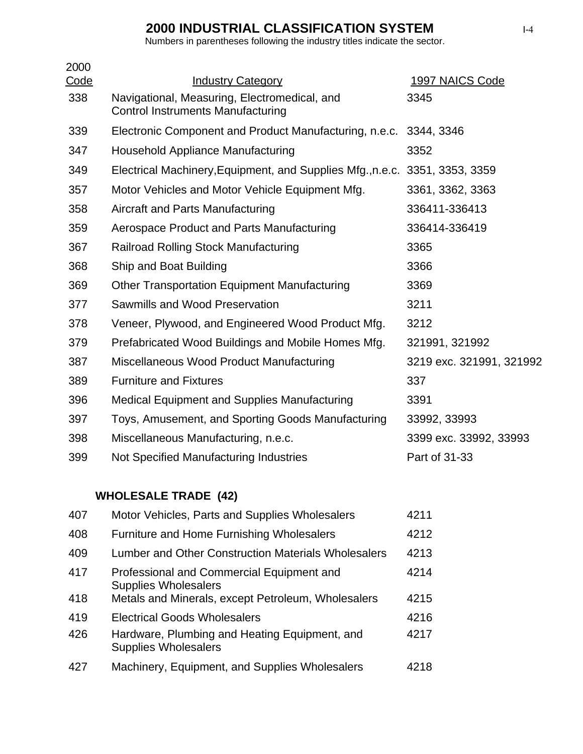Numbers in parentheses following the industry titles indicate the sector.

|                                                     | 1997 NAICS Code                                                                                                                                                                                                   |
|-----------------------------------------------------|-------------------------------------------------------------------------------------------------------------------------------------------------------------------------------------------------------------------|
| <b>Control Instruments Manufacturing</b>            | 3345                                                                                                                                                                                                              |
|                                                     | 3344, 3346                                                                                                                                                                                                        |
| Household Appliance Manufacturing                   | 3352                                                                                                                                                                                                              |
|                                                     |                                                                                                                                                                                                                   |
| Motor Vehicles and Motor Vehicle Equipment Mfg.     | 3361, 3362, 3363                                                                                                                                                                                                  |
| Aircraft and Parts Manufacturing                    | 336411-336413                                                                                                                                                                                                     |
| Aerospace Product and Parts Manufacturing           | 336414-336419                                                                                                                                                                                                     |
| <b>Railroad Rolling Stock Manufacturing</b>         | 3365                                                                                                                                                                                                              |
| Ship and Boat Building                              | 3366                                                                                                                                                                                                              |
| <b>Other Transportation Equipment Manufacturing</b> | 3369                                                                                                                                                                                                              |
| Sawmills and Wood Preservation                      | 3211                                                                                                                                                                                                              |
| Veneer, Plywood, and Engineered Wood Product Mfg.   | 3212                                                                                                                                                                                                              |
| Prefabricated Wood Buildings and Mobile Homes Mfg.  | 321991, 321992                                                                                                                                                                                                    |
| Miscellaneous Wood Product Manufacturing            | 3219 exc. 321991, 321992                                                                                                                                                                                          |
| <b>Furniture and Fixtures</b>                       | 337                                                                                                                                                                                                               |
| <b>Medical Equipment and Supplies Manufacturing</b> | 3391                                                                                                                                                                                                              |
| Toys, Amusement, and Sporting Goods Manufacturing   | 33992, 33993                                                                                                                                                                                                      |
| Miscellaneous Manufacturing, n.e.c.                 | 3399 exc. 33992, 33993                                                                                                                                                                                            |
| Not Specified Manufacturing Industries              | Part of 31-33                                                                                                                                                                                                     |
|                                                     | <b>Industry Category</b><br>Navigational, Measuring, Electromedical, and<br>Electronic Component and Product Manufacturing, n.e.c.<br>Electrical Machinery, Equipment, and Supplies Mfg., n.e.c. 3351, 3353, 3359 |

## **WHOLESALE TRADE (42)**

| 407 | Motor Vehicles, Parts and Supplies Wholesalers                               | 4211 |
|-----|------------------------------------------------------------------------------|------|
| 408 | <b>Furniture and Home Furnishing Wholesalers</b>                             | 4212 |
| 409 | Lumber and Other Construction Materials Wholesalers                          | 4213 |
| 417 | Professional and Commercial Equipment and<br><b>Supplies Wholesalers</b>     | 4214 |
| 418 | Metals and Minerals, except Petroleum, Wholesalers                           | 4215 |
| 419 | <b>Electrical Goods Wholesalers</b>                                          | 4216 |
| 426 | Hardware, Plumbing and Heating Equipment, and<br><b>Supplies Wholesalers</b> | 4217 |
| 427 | Machinery, Equipment, and Supplies Wholesalers                               | 4218 |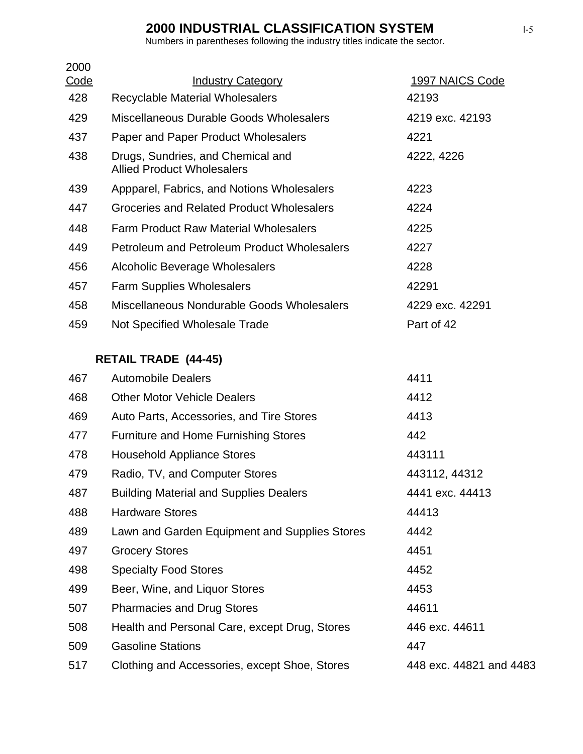Numbers in parentheses following the industry titles indicate the sector.

| 2000 |                                                                        |                 |
|------|------------------------------------------------------------------------|-----------------|
| Code | <b>Industry Category</b>                                               | 1997 NAICS Code |
| 428  | <b>Recyclable Material Wholesalers</b>                                 | 42193           |
| 429  | Miscellaneous Durable Goods Wholesalers                                | 4219 exc. 42193 |
| 437  | Paper and Paper Product Wholesalers                                    | 4221            |
| 438  | Drugs, Sundries, and Chemical and<br><b>Allied Product Wholesalers</b> | 4222, 4226      |
| 439  | Appparel, Fabrics, and Notions Wholesalers                             | 4223            |
| 447  | Groceries and Related Product Wholesalers                              | 4224            |
| 448  | <b>Farm Product Raw Material Wholesalers</b>                           | 4225            |
| 449  | <b>Petroleum and Petroleum Product Wholesalers</b>                     | 4227            |
| 456  | Alcoholic Beverage Wholesalers                                         | 4228            |
| 457  | <b>Farm Supplies Wholesalers</b>                                       | 42291           |
| 458  | Miscellaneous Nondurable Goods Wholesalers                             | 4229 exc. 42291 |
| 459  | Not Specified Wholesale Trade                                          | Part of 42      |
|      | <b>RETAIL TRADE (44-45)</b>                                            |                 |
| 467  | <b>Automobile Dealers</b>                                              | 4411            |
| 468  | <b>Other Motor Vehicle Dealers</b>                                     | 4412            |
| 469  | Auto Parts, Accessories, and Tire Stores                               | 4413            |
| 477  | <b>Furniture and Home Furnishing Stores</b>                            | 442             |
| 478  | <b>Household Appliance Stores</b>                                      | 443111          |
| 479  | Radio, TV, and Computer Stores                                         | 443112, 44312   |
| 487  | <b>Building Material and Supplies Dealers</b>                          | 4441 exc. 44413 |
| 488  | <b>Hardware Stores</b>                                                 | 44413           |
| 489  | Lawn and Garden Equipment and Supplies Stores                          | 4442            |
| 497  | <b>Grocery Stores</b>                                                  | 4451            |
| 498  | <b>Specialty Food Stores</b>                                           | 4452            |
| 499  | Beer, Wine, and Liquor Stores                                          | 4453            |

507 Pharmacies and Drug Stores 44611 508 Health and Personal Care, except Drug, Stores 446 exc. 44611 509 Gasoline Stations 447 517 Clothing and Accessories, except Shoe, Stores 448 exc. 44821 and 4483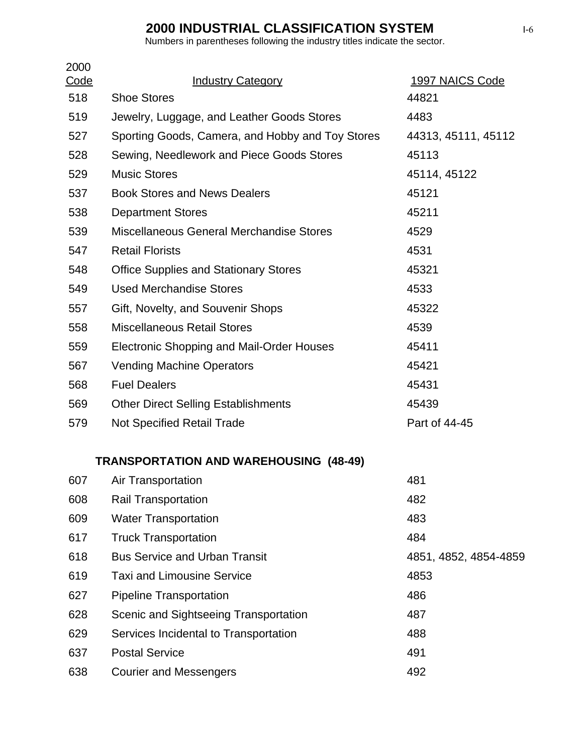| 2000<br>Code | <b>Industry Category</b>                         | 1997 NAICS Code       |
|--------------|--------------------------------------------------|-----------------------|
| 518          | <b>Shoe Stores</b>                               | 44821                 |
| 519          | Jewelry, Luggage, and Leather Goods Stores       | 4483                  |
| 527          | Sporting Goods, Camera, and Hobby and Toy Stores | 44313, 45111, 45112   |
| 528          | Sewing, Needlework and Piece Goods Stores        | 45113                 |
| 529          | <b>Music Stores</b>                              | 45114, 45122          |
| 537          | <b>Book Stores and News Dealers</b>              | 45121                 |
| 538          | <b>Department Stores</b>                         | 45211                 |
| 539          | Miscellaneous General Merchandise Stores         | 4529                  |
| 547          | <b>Retail Florists</b>                           | 4531                  |
| 548          | <b>Office Supplies and Stationary Stores</b>     | 45321                 |
| 549          | <b>Used Merchandise Stores</b>                   | 4533                  |
| 557          | Gift, Novelty, and Souvenir Shops                | 45322                 |
| 558          | <b>Miscellaneous Retail Stores</b>               | 4539                  |
| 559          | Electronic Shopping and Mail-Order Houses        | 45411                 |
| 567          | <b>Vending Machine Operators</b>                 | 45421                 |
| 568          | <b>Fuel Dealers</b>                              | 45431                 |
| 569          | <b>Other Direct Selling Establishments</b>       | 45439                 |
| 579          | <b>Not Specified Retail Trade</b>                | Part of 44-45         |
|              | <b>TRANSPORTATION AND WAREHOUSING (48-49)</b>    |                       |
| 607          | <b>Air Transportation</b>                        | 481                   |
| 608          | <b>Rail Transportation</b>                       | 482                   |
| 609          | <b>Water Transportation</b>                      | 483                   |
| 617          | <b>Truck Transportation</b>                      | 484                   |
| 618          | <b>Bus Service and Urban Transit</b>             | 4851, 4852, 4854-4859 |
| 619          | <b>Taxi and Limousine Service</b>                | 4853                  |
| 627          | <b>Pipeline Transportation</b>                   | 486                   |
| 628          | Scenic and Sightseeing Transportation            | 487                   |
| 629          | Services Incidental to Transportation            | 488                   |
| 637          | <b>Postal Service</b>                            | 491                   |
| 638          | <b>Courier and Messengers</b>                    | 492                   |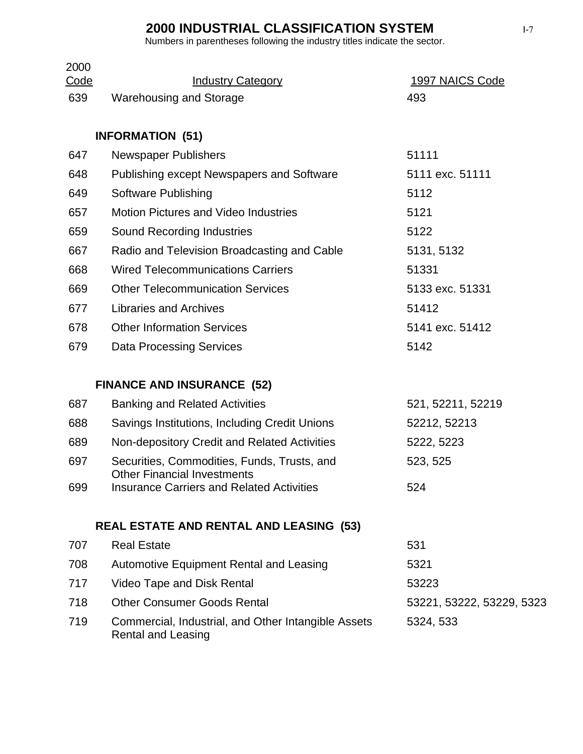| 2000<br>Code | <b>Industry Category</b>                                                               | 1997 NAICS Code           |
|--------------|----------------------------------------------------------------------------------------|---------------------------|
| 639          | <b>Warehousing and Storage</b>                                                         | 493                       |
|              |                                                                                        |                           |
|              | <b>INFORMATION (51)</b>                                                                |                           |
| 647          | <b>Newspaper Publishers</b>                                                            | 51111                     |
| 648          | Publishing except Newspapers and Software                                              | 5111 exc. 51111           |
| 649          | <b>Software Publishing</b>                                                             | 5112                      |
| 657          | <b>Motion Pictures and Video Industries</b>                                            | 5121                      |
| 659          | <b>Sound Recording Industries</b>                                                      | 5122                      |
| 667          | Radio and Television Broadcasting and Cable                                            | 5131, 5132                |
| 668          | <b>Wired Telecommunications Carriers</b>                                               | 51331                     |
| 669          | <b>Other Telecommunication Services</b>                                                | 5133 exc. 51331           |
| 677          | <b>Libraries and Archives</b>                                                          | 51412                     |
| 678          | <b>Other Information Services</b>                                                      | 5141 exc. 51412           |
| 679          | <b>Data Processing Services</b>                                                        | 5142                      |
|              |                                                                                        |                           |
|              | <b>FINANCE AND INSURANCE (52)</b>                                                      |                           |
| 687          | <b>Banking and Related Activities</b>                                                  | 521, 52211, 52219         |
| 688          | Savings Institutions, Including Credit Unions                                          | 52212, 52213              |
| 689          | Non-depository Credit and Related Activities                                           | 5222, 5223                |
| 697          | Securities, Commodities, Funds, Trusts, and                                            | 523, 525                  |
| 699          | <b>Other Financial Investments</b><br><b>Insurance Carriers and Related Activities</b> | 524                       |
|              |                                                                                        |                           |
|              | <b>REAL ESTATE AND RENTAL AND LEASING (53)</b>                                         |                           |
| 707          | <b>Real Estate</b>                                                                     | 531                       |
| 708          | <b>Automotive Equipment Rental and Leasing</b>                                         | 5321                      |
| 717          | Video Tape and Disk Rental                                                             | 53223                     |
| 718          | <b>Other Consumer Goods Rental</b>                                                     | 53221, 53222, 53229, 5323 |
| 719          | Commercial, Industrial, and Other Intangible Assets<br><b>Rental and Leasing</b>       | 5324, 533                 |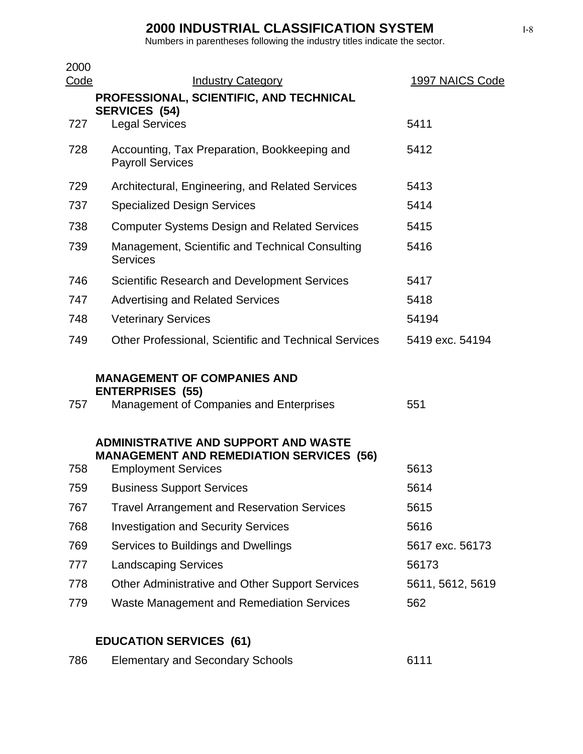Numbers in parentheses following the industry titles indicate the sector.

| 2000<br>Code | <b>Industry Category</b>                                                                                                     | 1997 NAICS Code  |
|--------------|------------------------------------------------------------------------------------------------------------------------------|------------------|
|              | PROFESSIONAL, SCIENTIFIC, AND TECHNICAL                                                                                      |                  |
|              | <b>SERVICES (54)</b>                                                                                                         |                  |
| 727          | <b>Legal Services</b>                                                                                                        | 5411             |
| 728          | Accounting, Tax Preparation, Bookkeeping and<br><b>Payroll Services</b>                                                      | 5412             |
| 729          | Architectural, Engineering, and Related Services                                                                             | 5413             |
| 737          | <b>Specialized Design Services</b>                                                                                           | 5414             |
| 738          | <b>Computer Systems Design and Related Services</b>                                                                          | 5415             |
| 739          | Management, Scientific and Technical Consulting<br><b>Services</b>                                                           | 5416             |
| 746          | <b>Scientific Research and Development Services</b>                                                                          | 5417             |
| 747          | <b>Advertising and Related Services</b>                                                                                      | 5418             |
| 748          | <b>Veterinary Services</b>                                                                                                   | 54194            |
| 749          | <b>Other Professional, Scientific and Technical Services</b>                                                                 | 5419 exc. 54194  |
| 757          | <b>MANAGEMENT OF COMPANIES AND</b><br><b>ENTERPRISES (55)</b><br>Management of Companies and Enterprises                     | 551              |
| 758          | <b>ADMINISTRATIVE AND SUPPORT AND WASTE</b><br><b>MANAGEMENT AND REMEDIATION SERVICES (56)</b><br><b>Employment Services</b> | 5613             |
| 759          | <b>Business Support Services</b>                                                                                             | 5614             |
| 767          | <b>Travel Arrangement and Reservation Services</b>                                                                           | 5615             |
| 768          | <b>Investigation and Security Services</b>                                                                                   | 5616             |
| 769          | Services to Buildings and Dwellings                                                                                          | 5617 exc. 56173  |
| 777          | <b>Landscaping Services</b>                                                                                                  | 56173            |
| 778          | Other Administrative and Other Support Services                                                                              | 5611, 5612, 5619 |
| 779          | <b>Waste Management and Remediation Services</b>                                                                             | 562              |

## **EDUCATION SERVICES (61)**

| 786 | <b>Elementary and Secondary Schools</b> | 6111 |
|-----|-----------------------------------------|------|
|-----|-----------------------------------------|------|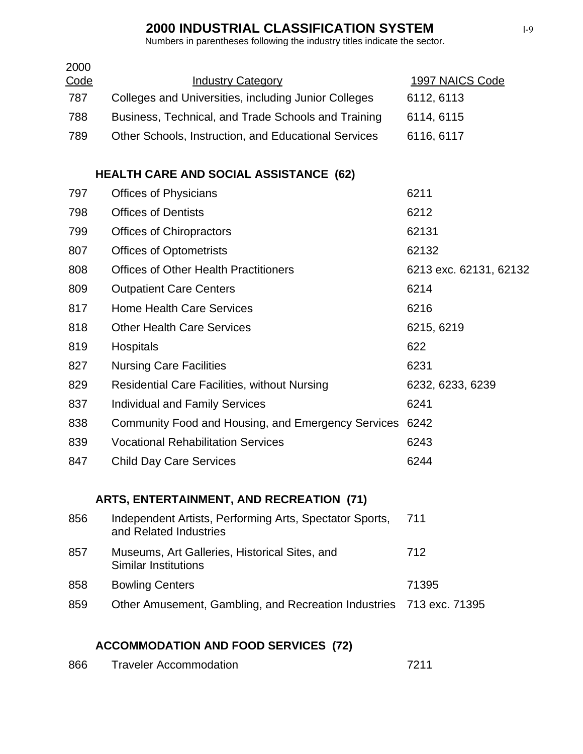| 2000<br>Code | <b>Industry Category</b>                                                          | 1997 NAICS Code        |
|--------------|-----------------------------------------------------------------------------------|------------------------|
| 787          | Colleges and Universities, including Junior Colleges                              | 6112, 6113             |
| 788          | Business, Technical, and Trade Schools and Training                               | 6114, 6115             |
| 789          | Other Schools, Instruction, and Educational Services                              | 6116, 6117             |
|              | <b>HEALTH CARE AND SOCIAL ASSISTANCE (62)</b>                                     |                        |
| 797          | <b>Offices of Physicians</b>                                                      | 6211                   |
| 798          | <b>Offices of Dentists</b>                                                        | 6212                   |
| 799          | <b>Offices of Chiropractors</b>                                                   | 62131                  |
| 807          | <b>Offices of Optometrists</b>                                                    | 62132                  |
| 808          | <b>Offices of Other Health Practitioners</b>                                      | 6213 exc. 62131, 62132 |
| 809          | <b>Outpatient Care Centers</b>                                                    | 6214                   |
| 817          | <b>Home Health Care Services</b>                                                  | 6216                   |
| 818          | <b>Other Health Care Services</b>                                                 | 6215, 6219             |
| 819          | <b>Hospitals</b>                                                                  | 622                    |
| 827          | <b>Nursing Care Facilities</b>                                                    | 6231                   |
| 829          | <b>Residential Care Facilities, without Nursing</b>                               | 6232, 6233, 6239       |
| 837          | <b>Individual and Family Services</b>                                             | 6241                   |
| 838          | Community Food and Housing, and Emergency Services                                | 6242                   |
| 839          | <b>Vocational Rehabilitation Services</b>                                         | 6243                   |
| 847          | <b>Child Day Care Services</b>                                                    | 6244                   |
|              | <b>ARTS, ENTERTAINMENT, AND RECREATION (71)</b>                                   |                        |
| 856          | Independent Artists, Performing Arts, Spectator Sports,<br>and Related Industries | 711                    |
| 857          | Museums, Art Galleries, Historical Sites, and<br><b>Similar Institutions</b>      | 712                    |
| 858          | <b>Bowling Centers</b>                                                            | 71395                  |
| 859          | Other Amusement, Gambling, and Recreation Industries                              | 713 exc. 71395         |
|              | <b>ACCOMMODATION AND FOOD SERVICES (72)</b>                                       |                        |
| 866          | <b>Traveler Accommodation</b>                                                     | 7211                   |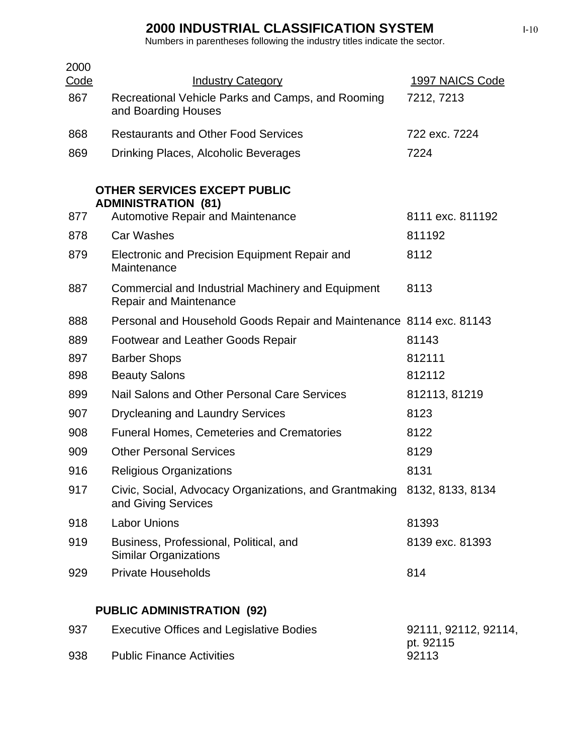| 2000<br><u>Code</u> | <b>Industry Category</b>                                                                       | 1997 NAICS Code                   |
|---------------------|------------------------------------------------------------------------------------------------|-----------------------------------|
| 867                 | Recreational Vehicle Parks and Camps, and Rooming<br>and Boarding Houses                       | 7212, 7213                        |
| 868                 | <b>Restaurants and Other Food Services</b>                                                     | 722 exc. 7224                     |
| 869                 | Drinking Places, Alcoholic Beverages                                                           | 7224                              |
|                     | <b>OTHER SERVICES EXCEPT PUBLIC</b><br><b>ADMINISTRATION (81)</b>                              |                                   |
| 877                 | <b>Automotive Repair and Maintenance</b>                                                       | 8111 exc. 811192                  |
| 878                 | <b>Car Washes</b>                                                                              | 811192                            |
| 879                 | Electronic and Precision Equipment Repair and<br>Maintenance                                   | 8112                              |
| 887                 | Commercial and Industrial Machinery and Equipment<br><b>Repair and Maintenance</b>             | 8113                              |
| 888                 | Personal and Household Goods Repair and Maintenance 8114 exc. 81143                            |                                   |
| 889                 | <b>Footwear and Leather Goods Repair</b>                                                       | 81143                             |
| 897                 | <b>Barber Shops</b>                                                                            | 812111                            |
| 898                 | <b>Beauty Salons</b>                                                                           | 812112                            |
| 899                 | Nail Salons and Other Personal Care Services                                                   | 812113, 81219                     |
| 907                 | <b>Drycleaning and Laundry Services</b>                                                        | 8123                              |
| 908                 | <b>Funeral Homes, Cemeteries and Crematories</b>                                               | 8122                              |
| 909                 | <b>Other Personal Services</b>                                                                 | 8129                              |
| 916                 | <b>Religious Organizations</b>                                                                 | 8131                              |
| 917                 | Civic, Social, Advocacy Organizations, and Grantmaking 8132, 8133, 8134<br>and Giving Services |                                   |
| 918                 | <b>Labor Unions</b>                                                                            | 81393                             |
| 919                 | Business, Professional, Political, and<br><b>Similar Organizations</b>                         | 8139 exc. 81393                   |
| 929                 | <b>Private Households</b>                                                                      | 814                               |
|                     | <b>PUBLIC ADMINISTRATION (92)</b>                                                              |                                   |
| 937                 | <b>Executive Offices and Legislative Bodies</b>                                                | 92111, 92112, 92114,<br>pt. 92115 |
| 938                 | <b>Public Finance Activities</b>                                                               | 92113                             |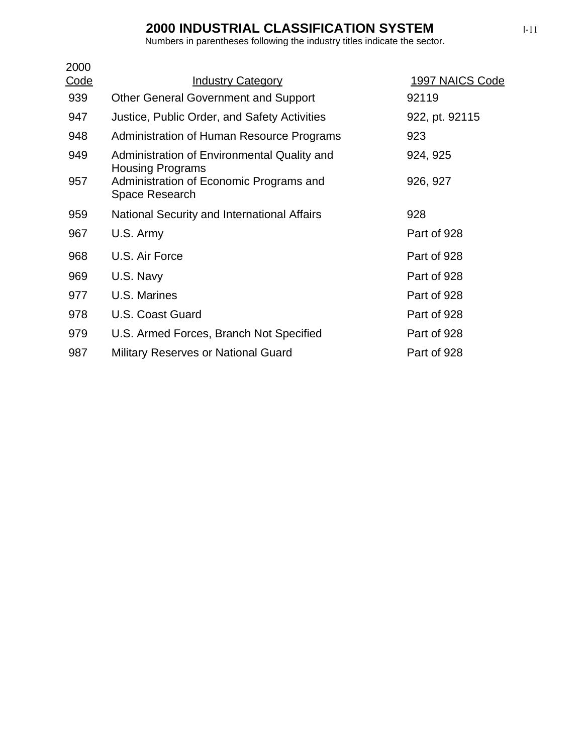| 2000        |                                                                        |                 |
|-------------|------------------------------------------------------------------------|-----------------|
| <u>Code</u> | <b>Industry Category</b>                                               | 1997 NAICS Code |
| 939         | <b>Other General Government and Support</b>                            | 92119           |
| 947         | Justice, Public Order, and Safety Activities                           | 922, pt. 92115  |
| 948         | Administration of Human Resource Programs                              | 923             |
| 949         | Administration of Environmental Quality and<br><b>Housing Programs</b> | 924, 925        |
| 957         | Administration of Economic Programs and<br>Space Research              | 926, 927        |
| 959         | National Security and International Affairs                            | 928             |
| 967         | U.S. Army                                                              | Part of 928     |
| 968         | U.S. Air Force                                                         | Part of 928     |
| 969         | U.S. Navy                                                              | Part of 928     |
| 977         | U.S. Marines                                                           | Part of 928     |
| 978         | U.S. Coast Guard                                                       | Part of 928     |
| 979         | U.S. Armed Forces, Branch Not Specified                                | Part of 928     |
| 987         | <b>Military Reserves or National Guard</b>                             | Part of 928     |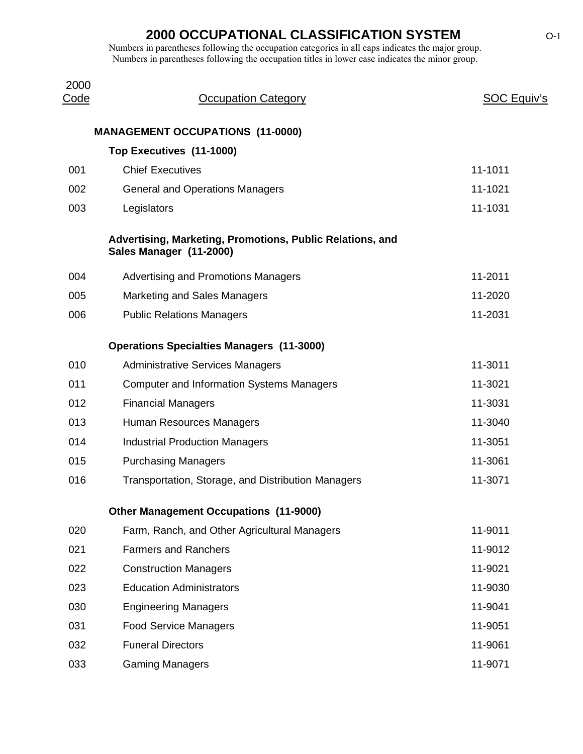| 2000<br><u>Code</u> | <b>Occupation Category</b>                                                           | <b>SOC Equiv's</b> |
|---------------------|--------------------------------------------------------------------------------------|--------------------|
|                     | <b>MANAGEMENT OCCUPATIONS (11-0000)</b>                                              |                    |
|                     | Top Executives (11-1000)                                                             |                    |
| 001                 | <b>Chief Executives</b>                                                              | 11-1011            |
| 002                 | <b>General and Operations Managers</b>                                               | 11-1021            |
| 003                 | Legislators                                                                          | 11-1031            |
|                     | Advertising, Marketing, Promotions, Public Relations, and<br>Sales Manager (11-2000) |                    |
| 004                 | <b>Advertising and Promotions Managers</b>                                           | 11-2011            |
| 005                 | <b>Marketing and Sales Managers</b>                                                  | 11-2020            |
| 006                 | <b>Public Relations Managers</b>                                                     | 11-2031            |
|                     | <b>Operations Specialties Managers (11-3000)</b>                                     |                    |
| 010                 | <b>Administrative Services Managers</b>                                              | 11-3011            |
| 011                 | <b>Computer and Information Systems Managers</b>                                     | 11-3021            |
| 012                 | <b>Financial Managers</b>                                                            | 11-3031            |
| 013                 | Human Resources Managers                                                             | 11-3040            |
| 014                 | <b>Industrial Production Managers</b>                                                | 11-3051            |
| 015                 | <b>Purchasing Managers</b>                                                           | 11-3061            |
| 016                 | Transportation, Storage, and Distribution Managers                                   | 11-3071            |
|                     | <b>Other Management Occupations (11-9000)</b>                                        |                    |
| 020                 | Farm, Ranch, and Other Agricultural Managers                                         | 11-9011            |
| 021                 | <b>Farmers and Ranchers</b>                                                          | 11-9012            |
| 022                 | <b>Construction Managers</b>                                                         | 11-9021            |
| 023                 | <b>Education Administrators</b>                                                      | 11-9030            |
| 030                 | <b>Engineering Managers</b>                                                          | 11-9041            |
| 031                 | <b>Food Service Managers</b>                                                         | 11-9051            |
| 032                 | <b>Funeral Directors</b>                                                             | 11-9061            |
| 033                 | <b>Gaming Managers</b>                                                               | 11-9071            |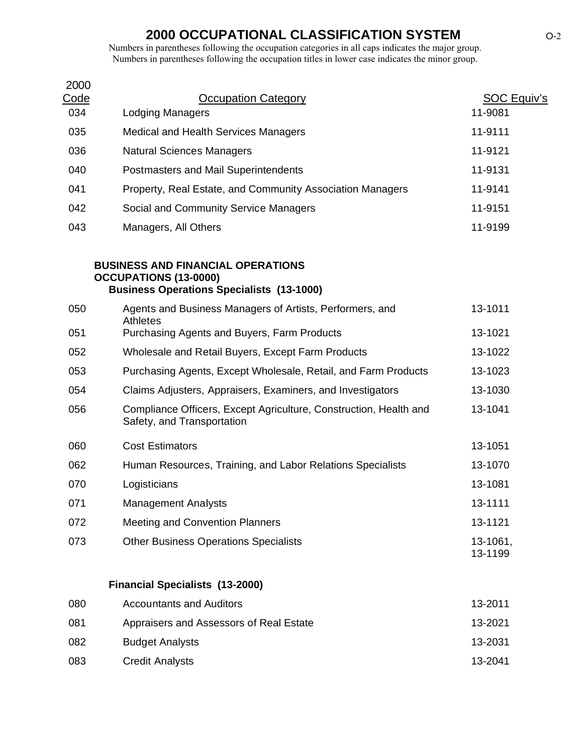| 2000               |                                                                                                                              |                               |
|--------------------|------------------------------------------------------------------------------------------------------------------------------|-------------------------------|
| <u>Code</u><br>034 | <b>Occupation Category</b><br><b>Lodging Managers</b>                                                                        | <b>SOC Equiv's</b><br>11-9081 |
| 035                | <b>Medical and Health Services Managers</b>                                                                                  | 11-9111                       |
| 036                | <b>Natural Sciences Managers</b>                                                                                             | 11-9121                       |
| 040                | Postmasters and Mail Superintendents                                                                                         | 11-9131                       |
| 041                | Property, Real Estate, and Community Association Managers                                                                    | 11-9141                       |
| 042                | Social and Community Service Managers                                                                                        | 11-9151                       |
| 043                | Managers, All Others                                                                                                         | 11-9199                       |
|                    | <b>BUSINESS AND FINANCIAL OPERATIONS</b><br><b>OCCUPATIONS (13-0000)</b><br><b>Business Operations Specialists (13-1000)</b> |                               |
| 050                | Agents and Business Managers of Artists, Performers, and                                                                     | 13-1011                       |
| 051                | <b>Athletes</b><br>Purchasing Agents and Buyers, Farm Products                                                               | 13-1021                       |
| 052                | Wholesale and Retail Buyers, Except Farm Products                                                                            | 13-1022                       |
| 053                | Purchasing Agents, Except Wholesale, Retail, and Farm Products                                                               | 13-1023                       |
| 054                | Claims Adjusters, Appraisers, Examiners, and Investigators                                                                   | 13-1030                       |
| 056                | Compliance Officers, Except Agriculture, Construction, Health and<br>Safety, and Transportation                              | 13-1041                       |
| 060                | <b>Cost Estimators</b>                                                                                                       | 13-1051                       |
| 062                | Human Resources, Training, and Labor Relations Specialists                                                                   | 13-1070                       |
| 070                | Logisticians                                                                                                                 | 13-1081                       |
| 071                | <b>Management Analysts</b>                                                                                                   | 13-1111                       |
| 072                | <b>Meeting and Convention Planners</b>                                                                                       | 13-1121                       |
| 073                | <b>Other Business Operations Specialists</b>                                                                                 | 13-1061,<br>13-1199           |
|                    | <b>Financial Specialists (13-2000)</b>                                                                                       |                               |

| 080 | <b>Accountants and Auditors</b>         | 13-2011 |
|-----|-----------------------------------------|---------|
| 081 | Appraisers and Assessors of Real Estate | 13-2021 |
| 082 | <b>Budget Analysts</b>                  | 13-2031 |
| 083 | <b>Credit Analysts</b>                  | 13-2041 |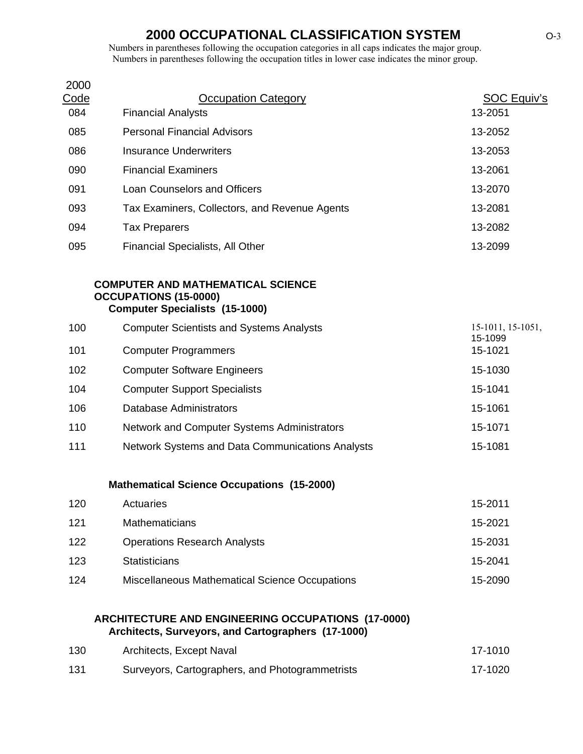Numbers in parentheses following the occupation categories in all caps indicates the major group. Numbers in parentheses following the occupation titles in lower case indicates the minor group.

| 2000 |                                               |             |
|------|-----------------------------------------------|-------------|
| Code | <b>Occupation Category</b>                    | SOC Equiv's |
| 084  | <b>Financial Analysts</b>                     | 13-2051     |
| 085  | <b>Personal Financial Advisors</b>            | 13-2052     |
| 086  | Insurance Underwriters                        | 13-2053     |
| 090  | <b>Financial Examiners</b>                    | 13-2061     |
| 091  | Loan Counselors and Officers                  | 13-2070     |
| 093  | Tax Examiners, Collectors, and Revenue Agents | 13-2081     |
| 094  | <b>Tax Preparers</b>                          | 13-2082     |
| 095  | <b>Financial Specialists, All Other</b>       | 13-2099     |
|      |                                               |             |

#### **COMPUTER AND MATHEMATICAL SCIENCE OCCUPATIONS (15-0000) Computer Specialists (15-1000)**

| 100 | <b>Computer Scientists and Systems Analysts</b>  | $15-1011$ , $15-1051$ ,<br>15-1099 |
|-----|--------------------------------------------------|------------------------------------|
| 101 | <b>Computer Programmers</b>                      | 15-1021                            |
| 102 | <b>Computer Software Engineers</b>               | 15-1030                            |
| 104 | <b>Computer Support Specialists</b>              | 15-1041                            |
| 106 | Database Administrators                          | 15-1061                            |
| 110 | Network and Computer Systems Administrators      | 15-1071                            |
| 111 | Network Systems and Data Communications Analysts | 15-1081                            |

#### **Mathematical Science Occupations (15-2000)**

| 120 | Actuaries                                      | 15-2011 |
|-----|------------------------------------------------|---------|
| 121 | <b>Mathematicians</b>                          | 15-2021 |
| 122 | <b>Operations Research Analysts</b>            | 15-2031 |
| 123 | <b>Statisticians</b>                           | 15-2041 |
| 124 | Miscellaneous Mathematical Science Occupations | 15-2090 |

#### **ARCHITECTURE AND ENGINEERING OCCUPATIONS (17-0000) Architects, Surveyors, and Cartographers (17-1000)**

| 130 | Architects, Except Naval                        | 17-1010 |
|-----|-------------------------------------------------|---------|
| 131 | Surveyors, Cartographers, and Photogrammetrists | 17-1020 |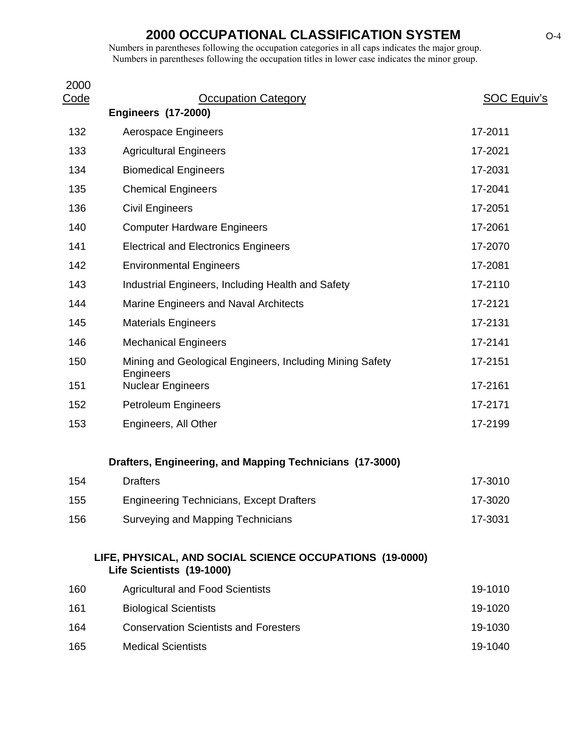| 2000        |                                                                                       |             |
|-------------|---------------------------------------------------------------------------------------|-------------|
| <u>Code</u> | <b>Occupation Category</b><br><b>Engineers (17-2000)</b>                              | SOC Equiv's |
| 132         | Aerospace Engineers                                                                   | 17-2011     |
| 133         | <b>Agricultural Engineers</b>                                                         | 17-2021     |
| 134         | <b>Biomedical Engineers</b>                                                           | 17-2031     |
| 135         | <b>Chemical Engineers</b>                                                             | 17-2041     |
| 136         | <b>Civil Engineers</b>                                                                | 17-2051     |
| 140         | <b>Computer Hardware Engineers</b>                                                    | 17-2061     |
| 141         | <b>Electrical and Electronics Engineers</b>                                           | 17-2070     |
| 142         | <b>Environmental Engineers</b>                                                        | 17-2081     |
| 143         | Industrial Engineers, Including Health and Safety                                     | 17-2110     |
| 144         | Marine Engineers and Naval Architects                                                 | 17-2121     |
| 145         | <b>Materials Engineers</b>                                                            | 17-2131     |
| 146         | <b>Mechanical Engineers</b>                                                           | 17-2141     |
| 150         | Mining and Geological Engineers, Including Mining Safety                              | 17-2151     |
| 151         | Engineers<br><b>Nuclear Engineers</b>                                                 | 17-2161     |
| 152         | <b>Petroleum Engineers</b>                                                            | 17-2171     |
| 153         | Engineers, All Other                                                                  | 17-2199     |
|             | Drafters, Engineering, and Mapping Technicians (17-3000)                              |             |
| 154         | <b>Drafters</b>                                                                       | 17-3010     |
| 155         | <b>Engineering Technicians, Except Drafters</b>                                       | 17-3020     |
| 156         | Surveying and Mapping Technicians                                                     | 17-3031     |
|             | LIFE, PHYSICAL, AND SOCIAL SCIENCE OCCUPATIONS (19-0000)<br>Life Scientists (19-1000) |             |
| 160         | <b>Agricultural and Food Scientists</b>                                               | 19-1010     |
| 161         | <b>Biological Scientists</b>                                                          | 19-1020     |
| 164         | <b>Conservation Scientists and Foresters</b>                                          | 19-1030     |
| 165         | <b>Medical Scientists</b>                                                             | 19-1040     |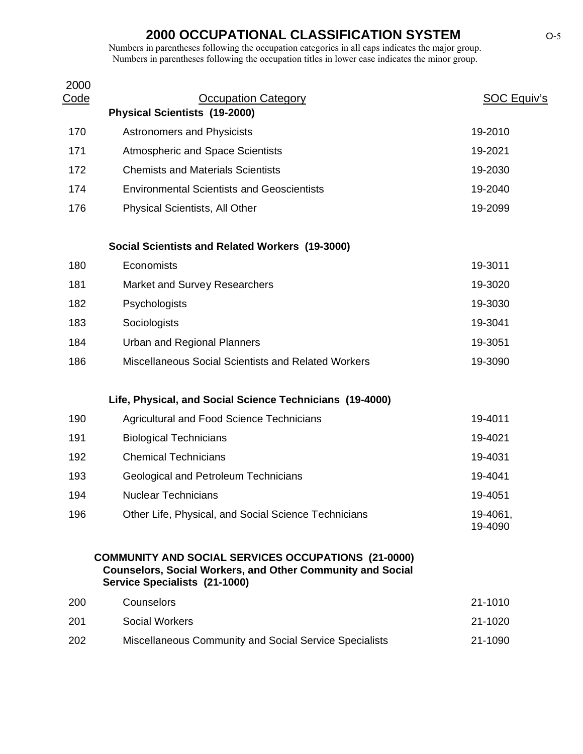| 2000<br><u>Code</u> | <b>Occupation Category</b>                                                                                                                                       | <b>SOC Equiv's</b>  |
|---------------------|------------------------------------------------------------------------------------------------------------------------------------------------------------------|---------------------|
|                     | <b>Physical Scientists (19-2000)</b>                                                                                                                             |                     |
| 170                 | <b>Astronomers and Physicists</b>                                                                                                                                | 19-2010             |
| 171                 | <b>Atmospheric and Space Scientists</b>                                                                                                                          | 19-2021             |
| 172                 | <b>Chemists and Materials Scientists</b>                                                                                                                         | 19-2030             |
| 174                 | <b>Environmental Scientists and Geoscientists</b>                                                                                                                | 19-2040             |
| 176                 | <b>Physical Scientists, All Other</b>                                                                                                                            | 19-2099             |
|                     | Social Scientists and Related Workers (19-3000)                                                                                                                  |                     |
| 180                 | Economists                                                                                                                                                       | 19-3011             |
| 181                 | <b>Market and Survey Researchers</b>                                                                                                                             | 19-3020             |
| 182                 | Psychologists                                                                                                                                                    | 19-3030             |
| 183                 | Sociologists                                                                                                                                                     | 19-3041             |
| 184                 | <b>Urban and Regional Planners</b>                                                                                                                               | 19-3051             |
| 186                 | Miscellaneous Social Scientists and Related Workers                                                                                                              | 19-3090             |
|                     | Life, Physical, and Social Science Technicians (19-4000)                                                                                                         |                     |
| 190                 | <b>Agricultural and Food Science Technicians</b>                                                                                                                 | 19-4011             |
| 191                 | <b>Biological Technicians</b>                                                                                                                                    | 19-4021             |
| 192                 | <b>Chemical Technicians</b>                                                                                                                                      | 19-4031             |
| 193                 | <b>Geological and Petroleum Technicians</b>                                                                                                                      | 19-4041             |
| 194                 | <b>Nuclear Technicians</b>                                                                                                                                       | 19-4051             |
| 196                 | Other Life, Physical, and Social Science Technicians                                                                                                             | 19-4061,<br>19-4090 |
|                     | <b>COMMUNITY AND SOCIAL SERVICES OCCUPATIONS (21-0000)</b><br><b>Counselors, Social Workers, and Other Community and Social</b><br>Service Specialists (21-1000) |                     |
| 200                 | Counselors                                                                                                                                                       | 21-1010             |
| 201                 | <b>Social Workers</b>                                                                                                                                            | 21-1020             |
| 202                 | Miscellaneous Community and Social Service Specialists                                                                                                           | 21-1090             |
|                     |                                                                                                                                                                  |                     |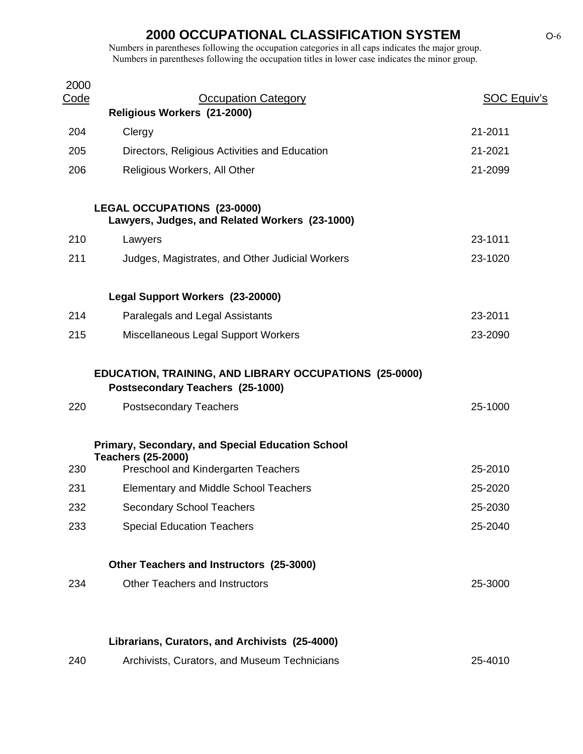| 2000<br><u>Code</u> | <b>Occupation Category</b>                                                                 | <b>SOC Equiv's</b> |
|---------------------|--------------------------------------------------------------------------------------------|--------------------|
|                     | Religious Workers (21-2000)                                                                |                    |
| 204                 | Clergy                                                                                     | 21-2011            |
| 205                 | Directors, Religious Activities and Education                                              | 21-2021            |
| 206                 | Religious Workers, All Other                                                               | 21-2099            |
|                     | <b>LEGAL OCCUPATIONS (23-0000)</b><br>Lawyers, Judges, and Related Workers (23-1000)       |                    |
| 210                 | Lawyers                                                                                    | 23-1011            |
| 211                 | Judges, Magistrates, and Other Judicial Workers                                            | 23-1020            |
|                     | Legal Support Workers (23-20000)                                                           |                    |
| 214                 | Paralegals and Legal Assistants                                                            | 23-2011            |
| 215                 | Miscellaneous Legal Support Workers                                                        | 23-2090            |
|                     | EDUCATION, TRAINING, AND LIBRARY OCCUPATIONS (25-0000)<br>Postsecondary Teachers (25-1000) |                    |
| 220                 | <b>Postsecondary Teachers</b>                                                              | 25-1000            |
|                     | <b>Primary, Secondary, and Special Education School</b><br><b>Teachers (25-2000)</b>       |                    |
| 230                 | Preschool and Kindergarten Teachers                                                        | 25-2010            |
| 231                 | <b>Elementary and Middle School Teachers</b>                                               | 25-2020            |
| 232                 | <b>Secondary School Teachers</b>                                                           | 25-2030            |
| 233                 | <b>Special Education Teachers</b>                                                          | 25-2040            |
|                     | Other Teachers and Instructors (25-3000)                                                   |                    |
| 234                 | <b>Other Teachers and Instructors</b>                                                      | 25-3000            |
|                     |                                                                                            |                    |
|                     | Librarians, Curators, and Archivists (25-4000)                                             |                    |
| 240                 | Archivists, Curators, and Museum Technicians                                               | 25-4010            |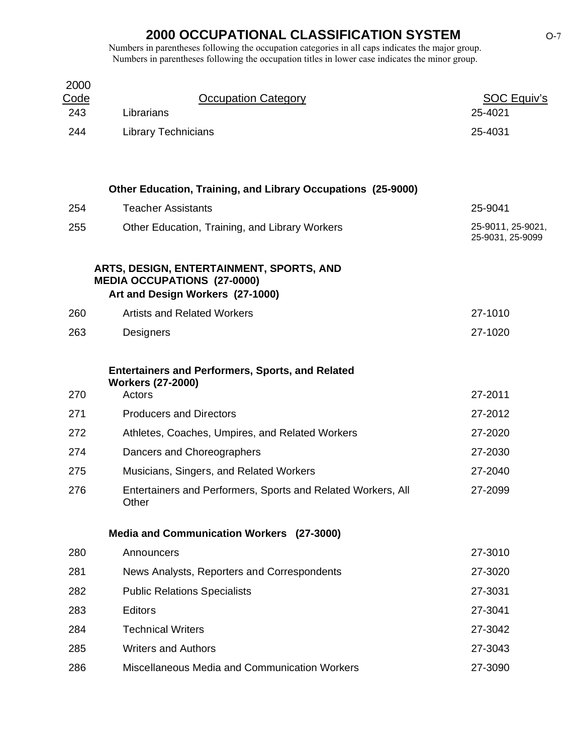| 2000<br><u>Code</u><br>243 | <b>Occupation Category</b><br>Librarians                                                                           | <b>SOC Equiv's</b><br>25-4021         |
|----------------------------|--------------------------------------------------------------------------------------------------------------------|---------------------------------------|
| 244                        | <b>Library Technicians</b>                                                                                         | 25-4031                               |
|                            |                                                                                                                    |                                       |
|                            | <b>Other Education, Training, and Library Occupations (25-9000)</b>                                                |                                       |
| 254                        | <b>Teacher Assistants</b>                                                                                          | 25-9041                               |
| 255                        | Other Education, Training, and Library Workers                                                                     | 25-9011, 25-9021,<br>25-9031, 25-9099 |
|                            | ARTS, DESIGN, ENTERTAINMENT, SPORTS, AND<br><b>MEDIA OCCUPATIONS (27-0000)</b><br>Art and Design Workers (27-1000) |                                       |
| 260                        | <b>Artists and Related Workers</b>                                                                                 | 27-1010                               |
| 263                        | Designers                                                                                                          | 27-1020                               |
|                            | <b>Entertainers and Performers, Sports, and Related</b><br><b>Workers (27-2000)</b>                                |                                       |
| 270                        | Actors                                                                                                             | 27-2011                               |
| 271                        | <b>Producers and Directors</b>                                                                                     | 27-2012                               |
| 272                        | Athletes, Coaches, Umpires, and Related Workers                                                                    | 27-2020                               |
| 274                        | Dancers and Choreographers                                                                                         | 27-2030                               |
| 275                        | Musicians, Singers, and Related Workers                                                                            | 27-2040                               |
| 276                        | Entertainers and Performers, Sports and Related Workers, All<br>Other                                              | 27-2099                               |
|                            | Media and Communication Workers (27-3000)                                                                          |                                       |
| 280                        | Announcers                                                                                                         | 27-3010                               |
| 281                        | News Analysts, Reporters and Correspondents                                                                        | 27-3020                               |
| 282                        | <b>Public Relations Specialists</b>                                                                                | 27-3031                               |
| 283                        | <b>Editors</b>                                                                                                     | 27-3041                               |
| 284                        | <b>Technical Writers</b>                                                                                           | 27-3042                               |
| 285                        | <b>Writers and Authors</b>                                                                                         | 27-3043                               |
| 286                        | Miscellaneous Media and Communication Workers                                                                      | 27-3090                               |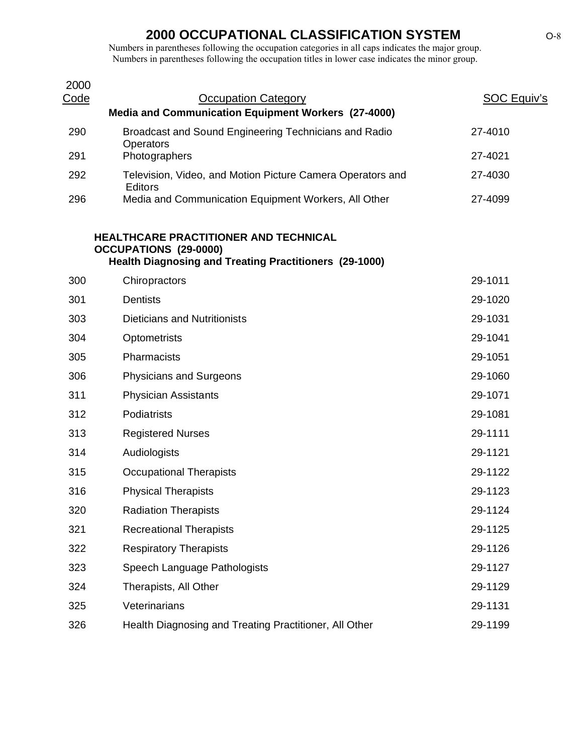| 2000<br><u>Code</u> | <b>Occupation Category</b>                                                                                                             | <b>SOC Equiv's</b> |
|---------------------|----------------------------------------------------------------------------------------------------------------------------------------|--------------------|
|                     | Media and Communication Equipment Workers (27-4000)                                                                                    |                    |
| 290                 | Broadcast and Sound Engineering Technicians and Radio<br>Operators                                                                     | 27-4010            |
| 291                 | Photographers                                                                                                                          | 27-4021            |
| 292                 | Television, Video, and Motion Picture Camera Operators and<br>Editors                                                                  | 27-4030            |
| 296                 | Media and Communication Equipment Workers, All Other                                                                                   | 27-4099            |
|                     | HEALTHCARE PRACTITIONER AND TECHNICAL<br><b>OCCUPATIONS (29-0000)</b><br><b>Health Diagnosing and Treating Practitioners (29-1000)</b> |                    |
| 300                 | Chiropractors                                                                                                                          | 29-1011            |
| 301                 | <b>Dentists</b>                                                                                                                        | 29-1020            |
| 303                 | <b>Dieticians and Nutritionists</b>                                                                                                    | 29-1031            |
| 304                 | Optometrists                                                                                                                           | 29-1041            |
| 305                 | Pharmacists                                                                                                                            | 29-1051            |
| 306                 | <b>Physicians and Surgeons</b>                                                                                                         | 29-1060            |
| 311                 | <b>Physician Assistants</b>                                                                                                            | 29-1071            |
| 312                 | Podiatrists                                                                                                                            | 29-1081            |
| 313                 | <b>Registered Nurses</b>                                                                                                               | 29-1111            |
| 314                 | Audiologists                                                                                                                           | 29-1121            |
| 315                 | <b>Occupational Therapists</b>                                                                                                         | 29-1122            |
| 316                 | <b>Physical Therapists</b>                                                                                                             | 29-1123            |
| 320                 | <b>Radiation Therapists</b>                                                                                                            | 29-1124            |
| 321                 | <b>Recreational Therapists</b>                                                                                                         | 29-1125            |
| 322                 | <b>Respiratory Therapists</b>                                                                                                          | 29-1126            |
| 323                 | Speech Language Pathologists                                                                                                           | 29-1127            |
| 324                 | Therapists, All Other                                                                                                                  | 29-1129            |
| 325                 | Veterinarians                                                                                                                          | 29-1131            |
| 326                 | Health Diagnosing and Treating Practitioner, All Other                                                                                 | 29-1199            |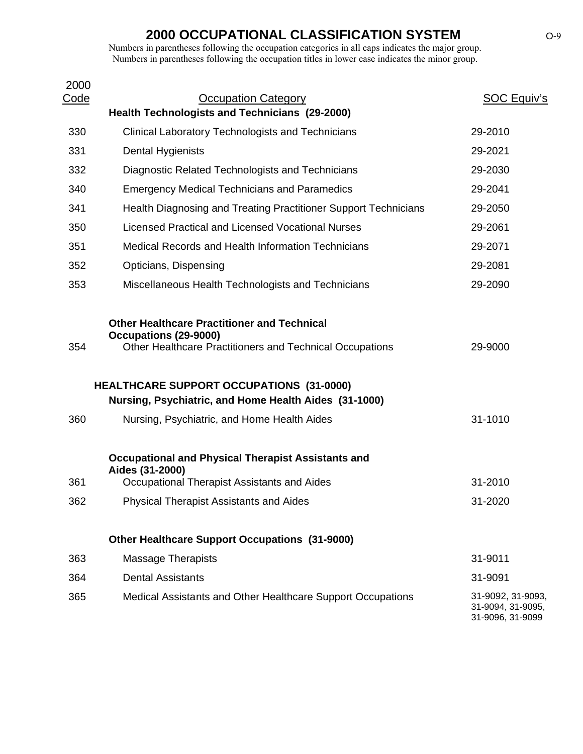| 2000        |                                                                                                                                         |                                                            |
|-------------|-----------------------------------------------------------------------------------------------------------------------------------------|------------------------------------------------------------|
| <u>Code</u> | <b>Occupation Category</b><br><b>Health Technologists and Technicians (29-2000)</b>                                                     | <b>SOC Equiv's</b>                                         |
| 330         | <b>Clinical Laboratory Technologists and Technicians</b>                                                                                | 29-2010                                                    |
| 331         | Dental Hygienists                                                                                                                       | 29-2021                                                    |
| 332         | Diagnostic Related Technologists and Technicians                                                                                        | 29-2030                                                    |
| 340         | <b>Emergency Medical Technicians and Paramedics</b>                                                                                     | 29-2041                                                    |
|             |                                                                                                                                         |                                                            |
| 341         | Health Diagnosing and Treating Practitioner Support Technicians                                                                         | 29-2050                                                    |
| 350         | <b>Licensed Practical and Licensed Vocational Nurses</b>                                                                                | 29-2061                                                    |
| 351         | Medical Records and Health Information Technicians                                                                                      | 29-2071                                                    |
| 352         | Opticians, Dispensing                                                                                                                   | 29-2081                                                    |
| 353         | Miscellaneous Health Technologists and Technicians                                                                                      | 29-2090                                                    |
| 354         | <b>Other Healthcare Practitioner and Technical</b><br>Occupations (29-9000)<br>Other Healthcare Practitioners and Technical Occupations | 29-9000                                                    |
|             |                                                                                                                                         |                                                            |
|             | <b>HEALTHCARE SUPPORT OCCUPATIONS (31-0000)</b>                                                                                         |                                                            |
|             | Nursing, Psychiatric, and Home Health Aides (31-1000)                                                                                   |                                                            |
| 360         | Nursing, Psychiatric, and Home Health Aides                                                                                             | 31-1010                                                    |
|             | <b>Occupational and Physical Therapist Assistants and</b><br>Aides (31-2000)                                                            |                                                            |
| 361         | Occupational Therapist Assistants and Aides                                                                                             | 31-2010                                                    |
| 362         | <b>Physical Therapist Assistants and Aides</b>                                                                                          | 31-2020                                                    |
|             | <b>Other Healthcare Support Occupations (31-9000)</b>                                                                                   |                                                            |
| 363         | <b>Massage Therapists</b>                                                                                                               | 31-9011                                                    |
| 364         | <b>Dental Assistants</b>                                                                                                                | 31-9091                                                    |
| 365         | Medical Assistants and Other Healthcare Support Occupations                                                                             | 31-9092, 31-9093,<br>31-9094, 31-9095,<br>31-9096, 31-9099 |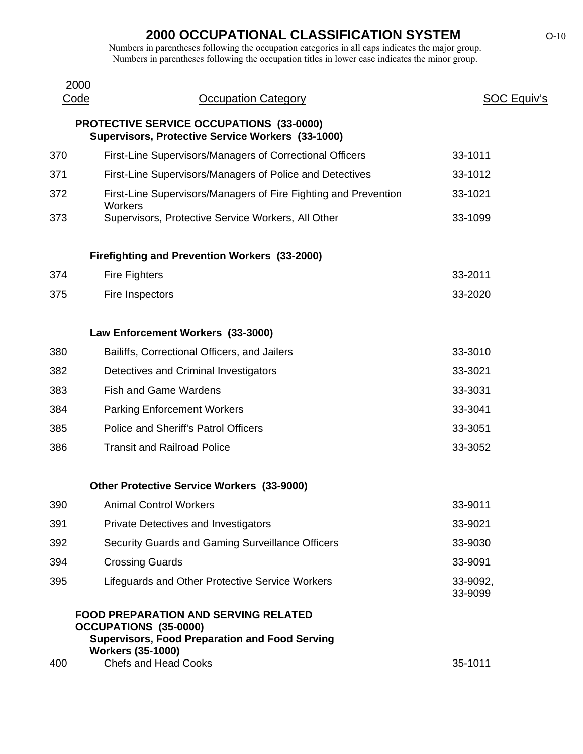| 2000<br>Code | <b>Occupation Category</b>                                                                                                                                                                      | SOC Equiv's         |
|--------------|-------------------------------------------------------------------------------------------------------------------------------------------------------------------------------------------------|---------------------|
|              | <b>PROTECTIVE SERVICE OCCUPATIONS (33-0000)</b><br>Supervisors, Protective Service Workers (33-1000)                                                                                            |                     |
| 370          | First-Line Supervisors/Managers of Correctional Officers                                                                                                                                        | 33-1011             |
| 371          | First-Line Supervisors/Managers of Police and Detectives                                                                                                                                        | 33-1012             |
| 372          | First-Line Supervisors/Managers of Fire Fighting and Prevention<br>Workers                                                                                                                      | 33-1021             |
| 373          | Supervisors, Protective Service Workers, All Other                                                                                                                                              | 33-1099             |
|              | <b>Firefighting and Prevention Workers (33-2000)</b>                                                                                                                                            |                     |
| 374          | <b>Fire Fighters</b>                                                                                                                                                                            | 33-2011             |
| 375          | Fire Inspectors                                                                                                                                                                                 | 33-2020             |
|              | Law Enforcement Workers (33-3000)                                                                                                                                                               |                     |
| 380          | Bailiffs, Correctional Officers, and Jailers                                                                                                                                                    | 33-3010             |
| 382          | Detectives and Criminal Investigators                                                                                                                                                           | 33-3021             |
| 383          | <b>Fish and Game Wardens</b>                                                                                                                                                                    | 33-3031             |
| 384          | <b>Parking Enforcement Workers</b>                                                                                                                                                              | 33-3041             |
| 385          | Police and Sheriff's Patrol Officers                                                                                                                                                            | 33-3051             |
| 386          | <b>Transit and Railroad Police</b>                                                                                                                                                              | 33-3052             |
|              | <b>Other Protective Service Workers (33-9000)</b>                                                                                                                                               |                     |
| 390          | <b>Animal Control Workers</b>                                                                                                                                                                   | 33-9011             |
| 391          | Private Detectives and Investigators                                                                                                                                                            | 33-9021             |
| 392          | Security Guards and Gaming Surveillance Officers                                                                                                                                                | 33-9030             |
| 394          | <b>Crossing Guards</b>                                                                                                                                                                          | 33-9091             |
| 395          | Lifeguards and Other Protective Service Workers                                                                                                                                                 | 33-9092,<br>33-9099 |
| 400          | <b>FOOD PREPARATION AND SERVING RELATED</b><br><b>OCCUPATIONS (35-0000)</b><br><b>Supervisors, Food Preparation and Food Serving</b><br><b>Workers (35-1000)</b><br><b>Chefs and Head Cooks</b> | 35-1011             |
|              |                                                                                                                                                                                                 |                     |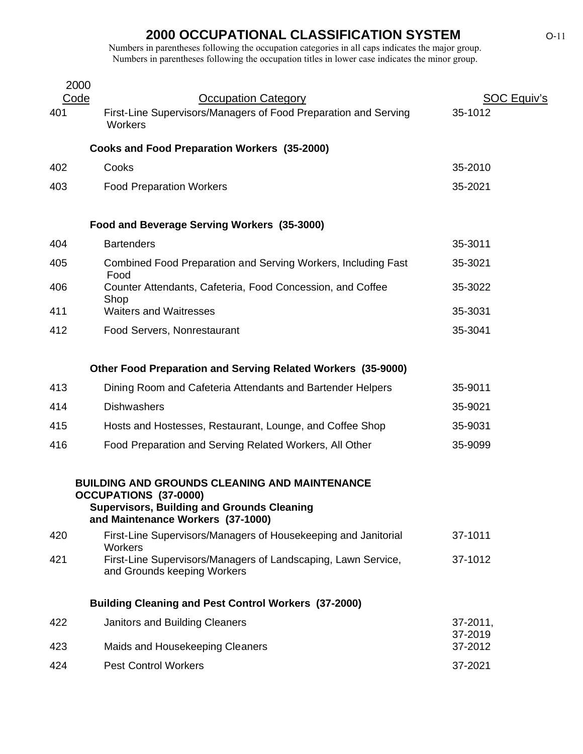|     | 2000                                                                                                                                                                           |                     |
|-----|--------------------------------------------------------------------------------------------------------------------------------------------------------------------------------|---------------------|
|     | Code<br><b>Occupation Category</b>                                                                                                                                             | <b>SOC Equiv's</b>  |
| 401 | First-Line Supervisors/Managers of Food Preparation and Serving<br>Workers                                                                                                     | 35-1012             |
|     | <b>Cooks and Food Preparation Workers (35-2000)</b>                                                                                                                            |                     |
| 402 | Cooks                                                                                                                                                                          | 35-2010             |
| 403 | <b>Food Preparation Workers</b>                                                                                                                                                | 35-2021             |
|     | Food and Beverage Serving Workers (35-3000)                                                                                                                                    |                     |
| 404 | <b>Bartenders</b>                                                                                                                                                              | 35-3011             |
| 405 | Combined Food Preparation and Serving Workers, Including Fast<br>Food                                                                                                          | 35-3021             |
| 406 | Counter Attendants, Cafeteria, Food Concession, and Coffee<br>Shop                                                                                                             | 35-3022             |
| 411 | <b>Waiters and Waitresses</b>                                                                                                                                                  | 35-3031             |
| 412 | Food Servers, Nonrestaurant                                                                                                                                                    | 35-3041             |
|     | Other Food Preparation and Serving Related Workers (35-9000)                                                                                                                   |                     |
| 413 | Dining Room and Cafeteria Attendants and Bartender Helpers                                                                                                                     | 35-9011             |
| 414 | <b>Dishwashers</b>                                                                                                                                                             | 35-9021             |
| 415 | Hosts and Hostesses, Restaurant, Lounge, and Coffee Shop                                                                                                                       | 35-9031             |
| 416 | Food Preparation and Serving Related Workers, All Other                                                                                                                        | 35-9099             |
|     | <b>BUILDING AND GROUNDS CLEANING AND MAINTENANCE</b><br><b>OCCUPATIONS (37-0000)</b><br><b>Supervisors, Building and Grounds Cleaning</b><br>and Maintenance Workers (37-1000) |                     |
| 420 | First-Line Supervisors/Managers of Housekeeping and Janitorial                                                                                                                 | 37-1011             |
| 421 | Workers<br>First-Line Supervisors/Managers of Landscaping, Lawn Service,<br>and Grounds keeping Workers                                                                        | 37-1012             |
|     | <b>Building Cleaning and Pest Control Workers (37-2000)</b>                                                                                                                    |                     |
| 422 | Janitors and Building Cleaners                                                                                                                                                 | 37-2011,<br>37-2019 |
| 423 | Maids and Housekeeping Cleaners                                                                                                                                                | 37-2012             |
| 424 | <b>Pest Control Workers</b>                                                                                                                                                    | 37-2021             |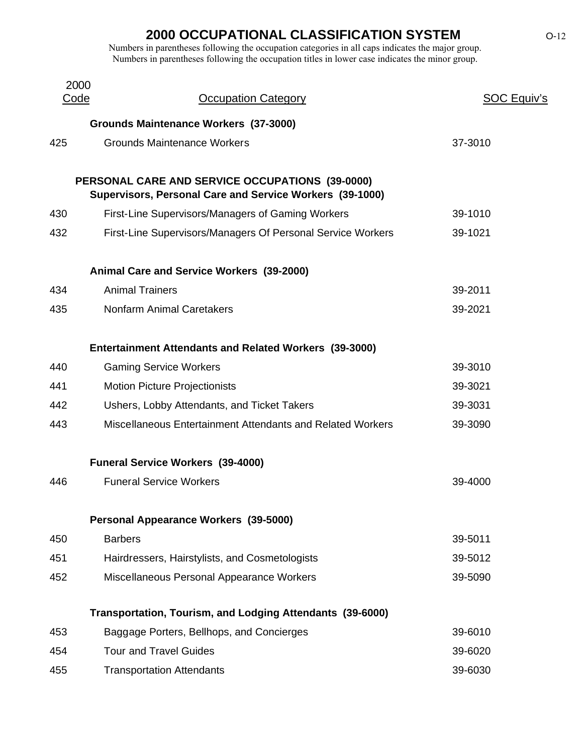| 2000 |                                                                                                             |             |
|------|-------------------------------------------------------------------------------------------------------------|-------------|
| Code | <b>Occupation Category</b>                                                                                  | SOC Equiv's |
|      | <b>Grounds Maintenance Workers (37-3000)</b>                                                                |             |
| 425  | <b>Grounds Maintenance Workers</b>                                                                          | 37-3010     |
|      |                                                                                                             |             |
|      | PERSONAL CARE AND SERVICE OCCUPATIONS (39-0000)<br>Supervisors, Personal Care and Service Workers (39-1000) |             |
| 430  | First-Line Supervisors/Managers of Gaming Workers                                                           | 39-1010     |
| 432  | First-Line Supervisors/Managers Of Personal Service Workers                                                 | 39-1021     |
|      | Animal Care and Service Workers (39-2000)                                                                   |             |
| 434  | <b>Animal Trainers</b>                                                                                      | 39-2011     |
| 435  | <b>Nonfarm Animal Caretakers</b>                                                                            | 39-2021     |
|      | <b>Entertainment Attendants and Related Workers (39-3000)</b>                                               |             |
| 440  | <b>Gaming Service Workers</b>                                                                               | 39-3010     |
| 441  | <b>Motion Picture Projectionists</b>                                                                        | 39-3021     |
| 442  | Ushers, Lobby Attendants, and Ticket Takers                                                                 | 39-3031     |
| 443  | Miscellaneous Entertainment Attendants and Related Workers                                                  | 39-3090     |
|      | <b>Funeral Service Workers (39-4000)</b>                                                                    |             |
| 446  | <b>Funeral Service Workers</b>                                                                              | 39-4000     |
|      | Personal Appearance Workers (39-5000)                                                                       |             |
| 450  | <b>Barbers</b>                                                                                              | 39-5011     |
| 451  | Hairdressers, Hairstylists, and Cosmetologists                                                              | 39-5012     |
| 452  | Miscellaneous Personal Appearance Workers                                                                   | 39-5090     |
|      | Transportation, Tourism, and Lodging Attendants (39-6000)                                                   |             |
| 453  | Baggage Porters, Bellhops, and Concierges                                                                   | 39-6010     |
| 454  | <b>Tour and Travel Guides</b>                                                                               | 39-6020     |
| 455  | <b>Transportation Attendants</b>                                                                            | 39-6030     |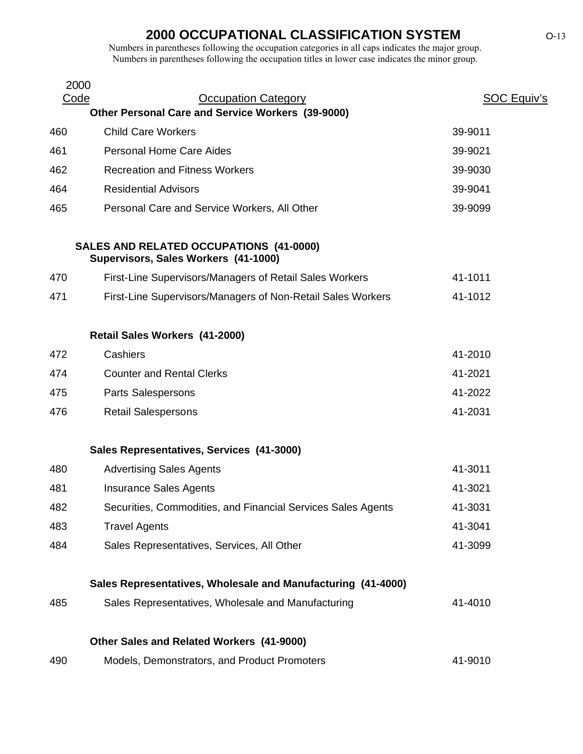| 2000<br>Code | <b>Occupation Category</b>                                                      | <b>SOC Equiv's</b> |
|--------------|---------------------------------------------------------------------------------|--------------------|
|              | Other Personal Care and Service Workers (39-9000)                               |                    |
| 460          | <b>Child Care Workers</b>                                                       | 39-9011            |
| 461          | <b>Personal Home Care Aides</b>                                                 | 39-9021            |
| 462          | <b>Recreation and Fitness Workers</b>                                           | 39-9030            |
| 464          | <b>Residential Advisors</b>                                                     | 39-9041            |
| 465          | Personal Care and Service Workers, All Other                                    | 39-9099            |
|              | SALES AND RELATED OCCUPATIONS (41-0000)<br>Supervisors, Sales Workers (41-1000) |                    |
| 470          | First-Line Supervisors/Managers of Retail Sales Workers                         | 41-1011            |
| 471          | First-Line Supervisors/Managers of Non-Retail Sales Workers                     | 41-1012            |
|              | Retail Sales Workers (41-2000)                                                  |                    |
| 472          | Cashiers                                                                        | 41-2010            |
| 474          | <b>Counter and Rental Clerks</b>                                                | 41-2021            |
| 475          | Parts Salespersons                                                              | 41-2022            |
| 476          | <b>Retail Salespersons</b>                                                      | 41-2031            |
|              | Sales Representatives, Services (41-3000)                                       |                    |
| 480          | <b>Advertising Sales Agents</b>                                                 | 41-3011            |
| 481          | <b>Insurance Sales Agents</b>                                                   | 41-3021            |
| 482          | Securities, Commodities, and Financial Services Sales Agents                    | 41-3031            |
| 483          | <b>Travel Agents</b>                                                            | 41-3041            |
| 484          | Sales Representatives, Services, All Other                                      | 41-3099            |
|              | Sales Representatives, Wholesale and Manufacturing (41-4000)                    |                    |
| 485          | Sales Representatives, Wholesale and Manufacturing                              | 41-4010            |
|              | Other Sales and Related Workers (41-9000)                                       |                    |
| 490          | Models, Demonstrators, and Product Promoters                                    | 41-9010            |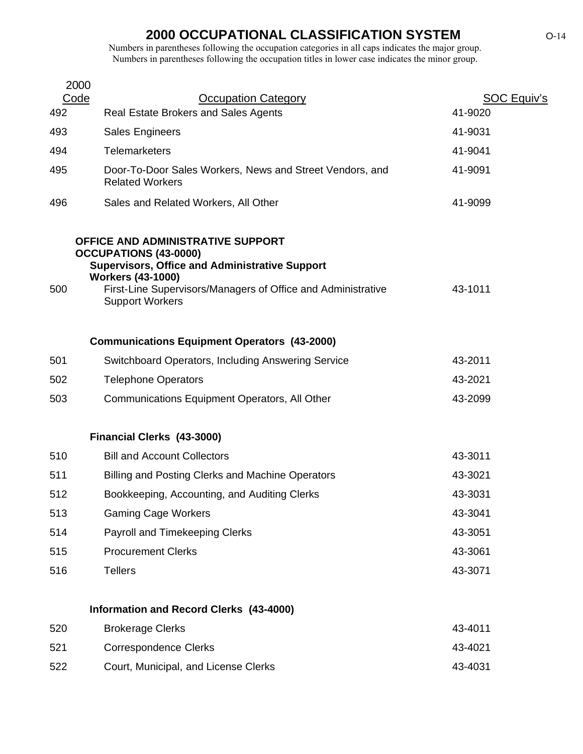|     | 2000                                                                                                                                                   |                        |
|-----|--------------------------------------------------------------------------------------------------------------------------------------------------------|------------------------|
| 492 | Code<br><b>Occupation Category</b><br>Real Estate Brokers and Sales Agents                                                                             | SOC Equiv's<br>41-9020 |
|     |                                                                                                                                                        | 41-9031                |
| 493 | <b>Sales Engineers</b>                                                                                                                                 |                        |
| 494 | <b>Telemarketers</b>                                                                                                                                   | 41-9041                |
| 495 | Door-To-Door Sales Workers, News and Street Vendors, and<br><b>Related Workers</b>                                                                     | 41-9091                |
| 496 | Sales and Related Workers, All Other                                                                                                                   | 41-9099                |
|     | OFFICE AND ADMINISTRATIVE SUPPORT<br><b>OCCUPATIONS (43-0000)</b><br><b>Supervisors, Office and Administrative Support</b><br><b>Workers (43-1000)</b> |                        |
| 500 | First-Line Supervisors/Managers of Office and Administrative<br><b>Support Workers</b>                                                                 | 43-1011                |
|     | <b>Communications Equipment Operators (43-2000)</b>                                                                                                    |                        |
| 501 | Switchboard Operators, Including Answering Service                                                                                                     | 43-2011                |
| 502 | <b>Telephone Operators</b>                                                                                                                             | 43-2021                |
| 503 | Communications Equipment Operators, All Other                                                                                                          | 43-2099                |
|     | Financial Clerks (43-3000)                                                                                                                             |                        |
| 510 | <b>Bill and Account Collectors</b>                                                                                                                     | 43-3011                |
| 511 | Billing and Posting Clerks and Machine Operators                                                                                                       | 43-3021                |
| 512 | Bookkeeping, Accounting, and Auditing Clerks                                                                                                           | 43-3031                |
| 513 | <b>Gaming Cage Workers</b>                                                                                                                             | 43-3041                |
| 514 | Payroll and Timekeeping Clerks                                                                                                                         | 43-3051                |
| 515 | <b>Procurement Clerks</b>                                                                                                                              | 43-3061                |
| 516 | <b>Tellers</b>                                                                                                                                         | 43-3071                |
|     | Information and Record Clerks (43-4000)                                                                                                                |                        |
| 520 | <b>Brokerage Clerks</b>                                                                                                                                | 43-4011                |
| 521 | <b>Correspondence Clerks</b>                                                                                                                           | 43-4021                |
| 522 | Court, Municipal, and License Clerks                                                                                                                   | 43-4031                |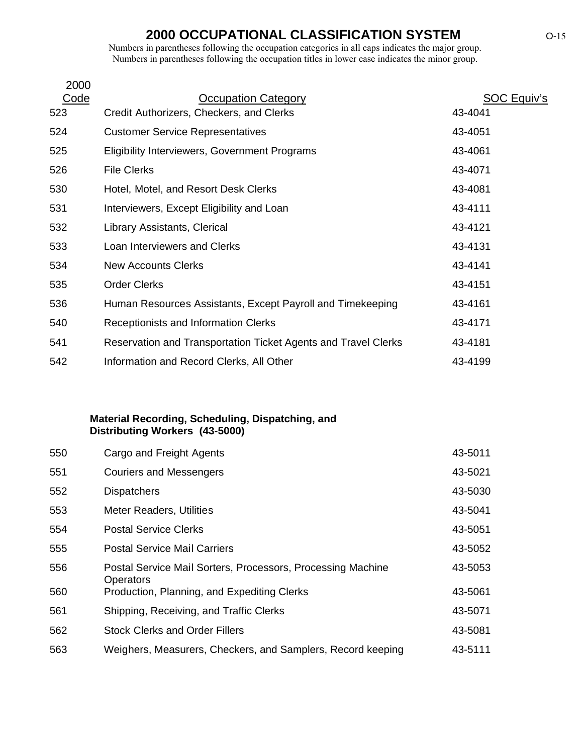Numbers in parentheses following the occupation categories in all caps indicates the major group. Numbers in parentheses following the occupation titles in lower case indicates the minor group.

| 2000 |                                                                |                    |
|------|----------------------------------------------------------------|--------------------|
| Code | <b>Occupation Category</b>                                     | <b>SOC Equiv's</b> |
| 523  | Credit Authorizers, Checkers, and Clerks                       | 43-4041            |
| 524  | <b>Customer Service Representatives</b>                        | 43-4051            |
| 525  | <b>Eligibility Interviewers, Government Programs</b>           | 43-4061            |
| 526  | <b>File Clerks</b>                                             | 43-4071            |
| 530  | Hotel, Motel, and Resort Desk Clerks                           | 43-4081            |
| 531  | Interviewers, Except Eligibility and Loan                      | 43-4111            |
| 532  | Library Assistants, Clerical                                   | 43-4121            |
| 533  | Loan Interviewers and Clerks                                   | 43-4131            |
| 534  | <b>New Accounts Clerks</b>                                     | 43-4141            |
| 535  | <b>Order Clerks</b>                                            | 43-4151            |
| 536  | Human Resources Assistants, Except Payroll and Timekeeping     | 43-4161            |
| 540  | Receptionists and Information Clerks                           | 43-4171            |
| 541  | Reservation and Transportation Ticket Agents and Travel Clerks | 43-4181            |
| 542  | Information and Record Clerks, All Other                       | 43-4199            |

#### **Material Recording, Scheduling, Dispatching, and Distributing Workers (43-5000)**

| Cargo and Freight Agents                                                 | 43-5011 |
|--------------------------------------------------------------------------|---------|
| <b>Couriers and Messengers</b>                                           | 43-5021 |
| <b>Dispatchers</b>                                                       | 43-5030 |
| <b>Meter Readers, Utilities</b>                                          | 43-5041 |
| <b>Postal Service Clerks</b>                                             | 43-5051 |
| <b>Postal Service Mail Carriers</b>                                      | 43-5052 |
| Postal Service Mail Sorters, Processors, Processing Machine<br>Operators | 43-5053 |
| Production, Planning, and Expediting Clerks                              | 43-5061 |
| Shipping, Receiving, and Traffic Clerks                                  | 43-5071 |
| <b>Stock Clerks and Order Fillers</b>                                    | 43-5081 |
| Weighers, Measurers, Checkers, and Samplers, Record keeping              | 43-5111 |
|                                                                          |         |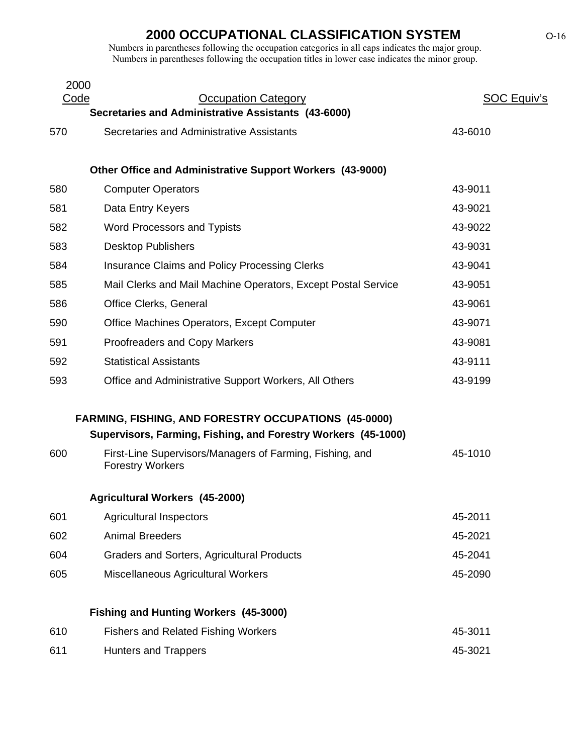| 2000<br>Code | <b>Occupation Category</b>                                                          | <b>SOC Equiv's</b> |
|--------------|-------------------------------------------------------------------------------------|--------------------|
|              | Secretaries and Administrative Assistants (43-6000)                                 |                    |
| 570          | Secretaries and Administrative Assistants                                           | 43-6010            |
|              | Other Office and Administrative Support Workers (43-9000)                           |                    |
| 580          | <b>Computer Operators</b>                                                           | 43-9011            |
| 581          | Data Entry Keyers                                                                   | 43-9021            |
| 582          | Word Processors and Typists                                                         | 43-9022            |
| 583          | <b>Desktop Publishers</b>                                                           | 43-9031            |
| 584          | <b>Insurance Claims and Policy Processing Clerks</b>                                | 43-9041            |
| 585          | Mail Clerks and Mail Machine Operators, Except Postal Service                       | 43-9051            |
| 586          | Office Clerks, General                                                              | 43-9061            |
| 590          | Office Machines Operators, Except Computer                                          | 43-9071            |
| 591          | <b>Proofreaders and Copy Markers</b>                                                | 43-9081            |
| 592          | <b>Statistical Assistants</b>                                                       | 43-9111            |
| 593          | Office and Administrative Support Workers, All Others                               | 43-9199            |
|              | <b>FARMING, FISHING, AND FORESTRY OCCUPATIONS (45-0000)</b>                         |                    |
|              | Supervisors, Farming, Fishing, and Forestry Workers (45-1000)                       |                    |
| 600          | First-Line Supervisors/Managers of Farming, Fishing, and<br><b>Forestry Workers</b> | 45-1010            |
|              | <b>Agricultural Workers (45-2000)</b>                                               |                    |
| 601          | <b>Agricultural Inspectors</b>                                                      | 45-2011            |
| 602          | <b>Animal Breeders</b>                                                              | 45-2021            |
| 604          | <b>Graders and Sorters, Agricultural Products</b>                                   | 45-2041            |
| 605          | Miscellaneous Agricultural Workers                                                  | 45-2090            |
|              | <b>Fishing and Hunting Workers (45-3000)</b>                                        |                    |
| 610          | <b>Fishers and Related Fishing Workers</b>                                          | 45-3011            |
| 611          | <b>Hunters and Trappers</b>                                                         | 45-3021            |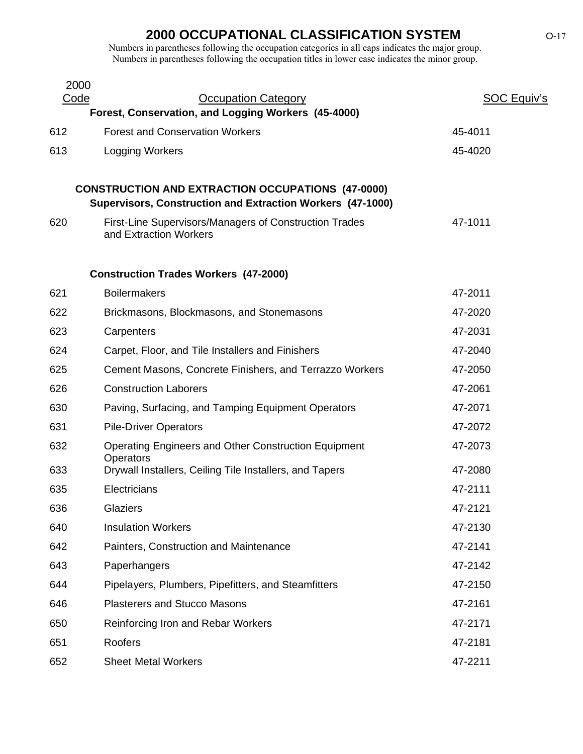| 2000 |                                                                                                                        |                    |
|------|------------------------------------------------------------------------------------------------------------------------|--------------------|
| Code | <b>Occupation Category</b><br>Forest, Conservation, and Logging Workers (45-4000)                                      | <b>SOC Equiv's</b> |
| 612  | <b>Forest and Conservation Workers</b>                                                                                 | 45-4011            |
| 613  | Logging Workers                                                                                                        | 45-4020            |
|      | <b>CONSTRUCTION AND EXTRACTION OCCUPATIONS (47-0000)</b><br>Supervisors, Construction and Extraction Workers (47-1000) |                    |
| 620  | First-Line Supervisors/Managers of Construction Trades<br>and Extraction Workers                                       | 47-1011            |
|      | <b>Construction Trades Workers (47-2000)</b>                                                                           |                    |
| 621  | <b>Boilermakers</b>                                                                                                    | 47-2011            |
| 622  | Brickmasons, Blockmasons, and Stonemasons                                                                              | 47-2020            |
| 623  | Carpenters                                                                                                             | 47-2031            |
| 624  | Carpet, Floor, and Tile Installers and Finishers                                                                       | 47-2040            |
| 625  | Cement Masons, Concrete Finishers, and Terrazzo Workers                                                                | 47-2050            |
| 626  | <b>Construction Laborers</b>                                                                                           | 47-2061            |
| 630  | Paving, Surfacing, and Tamping Equipment Operators                                                                     | 47-2071            |
| 631  | <b>Pile-Driver Operators</b>                                                                                           | 47-2072            |
| 632  | Operating Engineers and Other Construction Equipment<br>Operators                                                      | 47-2073            |
| 633  | Drywall Installers, Ceiling Tile Installers, and Tapers                                                                | 47-2080            |
| 635  | Electricians                                                                                                           | 47-2111            |
| 636  | Glaziers                                                                                                               | 47-2121            |
| 640  | <b>Insulation Workers</b>                                                                                              | 47-2130            |
| 642  | Painters, Construction and Maintenance                                                                                 | 47-2141            |
| 643  | Paperhangers                                                                                                           | 47-2142            |
| 644  | Pipelayers, Plumbers, Pipefitters, and Steamfitters                                                                    | 47-2150            |
| 646  | <b>Plasterers and Stucco Masons</b>                                                                                    | 47-2161            |
| 650  | Reinforcing Iron and Rebar Workers                                                                                     | 47-2171            |
| 651  | Roofers                                                                                                                | 47-2181            |
| 652  | <b>Sheet Metal Workers</b>                                                                                             | 47-2211            |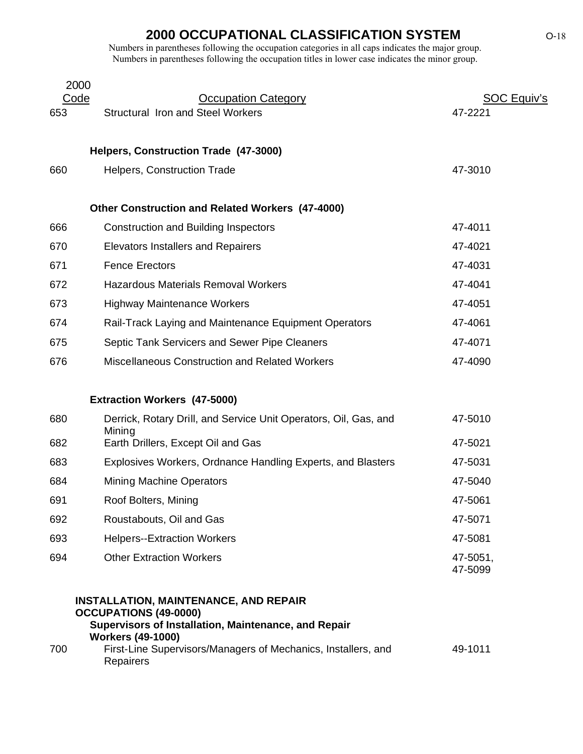Numbers in parentheses following the occupation categories in all caps indicates the major group. Numbers in parentheses following the occupation titles in lower case indicates the minor group.

| 2000        |                                                                                                                                      |                               |
|-------------|--------------------------------------------------------------------------------------------------------------------------------------|-------------------------------|
| Code<br>653 | <b>Occupation Category</b><br><b>Structural Iron and Steel Workers</b>                                                               | <b>SOC Equiv's</b><br>47-2221 |
|             |                                                                                                                                      |                               |
|             | Helpers, Construction Trade (47-3000)                                                                                                |                               |
| 660         | <b>Helpers, Construction Trade</b>                                                                                                   | 47-3010                       |
|             |                                                                                                                                      |                               |
|             | <b>Other Construction and Related Workers (47-4000)</b>                                                                              |                               |
| 666         | <b>Construction and Building Inspectors</b>                                                                                          | 47-4011                       |
| 670         | <b>Elevators Installers and Repairers</b>                                                                                            | 47-4021                       |
| 671         | <b>Fence Erectors</b>                                                                                                                | 47-4031                       |
| 672         | <b>Hazardous Materials Removal Workers</b>                                                                                           | 47-4041                       |
| 673         | <b>Highway Maintenance Workers</b>                                                                                                   | 47-4051                       |
| 674         | Rail-Track Laying and Maintenance Equipment Operators                                                                                | 47-4061                       |
| 675         | Septic Tank Servicers and Sewer Pipe Cleaners                                                                                        | 47-4071                       |
| 676         | <b>Miscellaneous Construction and Related Workers</b>                                                                                | 47-4090                       |
|             |                                                                                                                                      |                               |
|             | <b>Extraction Workers (47-5000)</b>                                                                                                  |                               |
| 680         | Derrick, Rotary Drill, and Service Unit Operators, Oil, Gas, and<br>Mining                                                           | 47-5010                       |
| 682         | Earth Drillers, Except Oil and Gas                                                                                                   | 47-5021                       |
| 683         | Explosives Workers, Ordnance Handling Experts, and Blasters                                                                          | 47-5031                       |
| 684         | <b>Mining Machine Operators</b>                                                                                                      | 47-5040                       |
| 691         | Roof Bolters, Mining                                                                                                                 | 47-5061                       |
| 692         | Roustabouts, Oil and Gas                                                                                                             | 47-5071                       |
| 693         | <b>Helpers--Extraction Workers</b>                                                                                                   | 47-5081                       |
| 694         | <b>Other Extraction Workers</b>                                                                                                      | 47-5051,<br>47-5099           |
|             | <b>INSTALLATION, MAINTENANCE, AND REPAIR</b><br><b>OCCUPATIONS (49-0000)</b><br>Supervisors of Installation, Maintenance, and Repair |                               |

### **Workers (49-1000)**

| 700 | First-Line Supervisors/Managers of Mechanics, Installers, and | 49-1011 |
|-----|---------------------------------------------------------------|---------|
|     | <b>Repairers</b>                                              |         |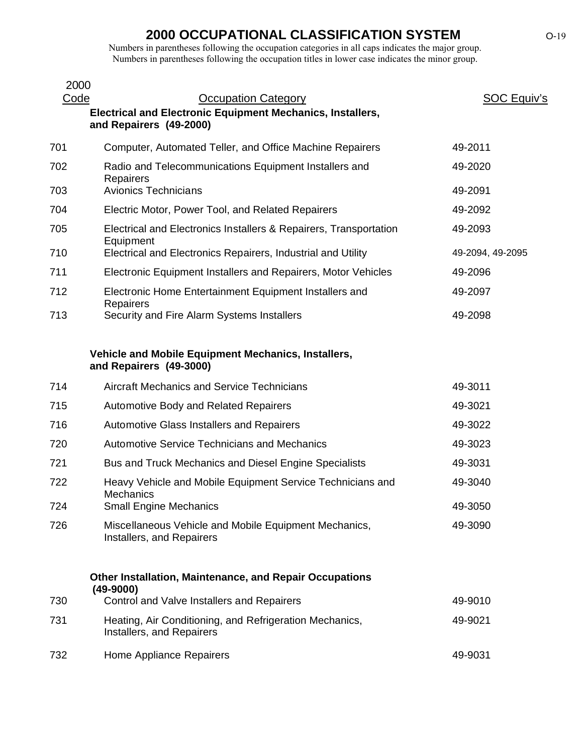| 2000 |                                                                                              |                    |
|------|----------------------------------------------------------------------------------------------|--------------------|
| Code | <b>Occupation Category</b>                                                                   | <b>SOC Equiv's</b> |
|      | <b>Electrical and Electronic Equipment Mechanics, Installers,</b><br>and Repairers (49-2000) |                    |
| 701  | Computer, Automated Teller, and Office Machine Repairers                                     | 49-2011            |
| 702  | Radio and Telecommunications Equipment Installers and<br>Repairers                           | 49-2020            |
| 703  | <b>Avionics Technicians</b>                                                                  | 49-2091            |
| 704  | Electric Motor, Power Tool, and Related Repairers                                            | 49-2092            |
| 705  | Electrical and Electronics Installers & Repairers, Transportation<br>Equipment               | 49-2093            |
| 710  | Electrical and Electronics Repairers, Industrial and Utility                                 | 49-2094, 49-2095   |
| 711  | Electronic Equipment Installers and Repairers, Motor Vehicles                                | 49-2096            |
| 712  | Electronic Home Entertainment Equipment Installers and<br>Repairers                          | 49-2097            |
| 713  | Security and Fire Alarm Systems Installers                                                   | 49-2098            |
|      |                                                                                              |                    |
|      | Vehicle and Mobile Equipment Mechanics, Installers,<br>and Repairers (49-3000)               |                    |
| 714  | Aircraft Mechanics and Service Technicians                                                   | 49-3011            |
| 715  | <b>Automotive Body and Related Repairers</b>                                                 | 49-3021            |
| 716  | Automotive Glass Installers and Repairers                                                    | 49-3022            |
| 720  | <b>Automotive Service Technicians and Mechanics</b>                                          | 49-3023            |
| 721  | Bus and Truck Mechanics and Diesel Engine Specialists                                        | 49-3031            |
| 722  | Heavy Vehicle and Mobile Equipment Service Technicians and<br><b>Mechanics</b>               | 49-3040            |
| 724  | <b>Small Engine Mechanics</b>                                                                | 49-3050            |
| 726  | Miscellaneous Vehicle and Mobile Equipment Mechanics,<br>Installers, and Repairers           | 49-3090            |
|      | <b>Other Installation, Maintenance, and Repair Occupations</b><br>$(49-9000)$                |                    |
| 730  | Control and Valve Installers and Repairers                                                   | 49-9010            |
| 731  | Heating, Air Conditioning, and Refrigeration Mechanics,<br>Installers, and Repairers         | 49-9021            |
| 732  | Home Appliance Repairers                                                                     | 49-9031            |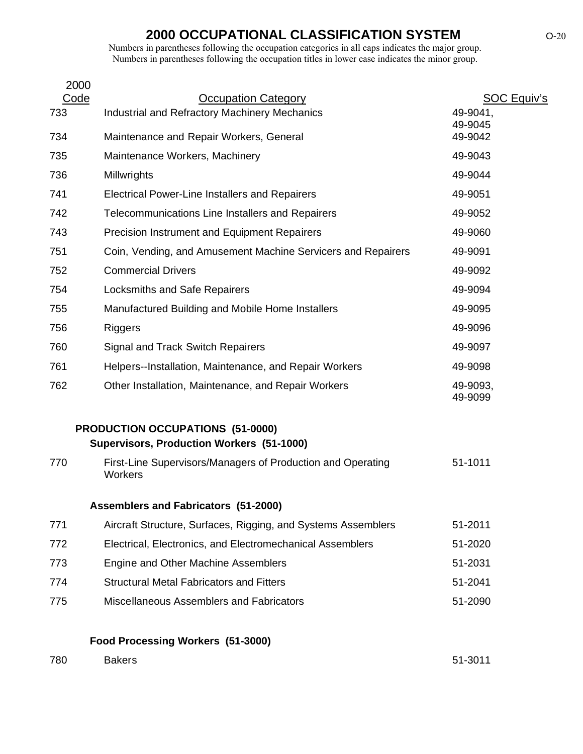Numbers in parentheses following the occupation categories in all caps indicates the major group. Numbers in parentheses following the occupation titles in lower case indicates the minor group.

| 2000 |                                                                                      |                     |
|------|--------------------------------------------------------------------------------------|---------------------|
| Code | <b>Occupation Category</b>                                                           | <b>SOC Equiv's</b>  |
| 733  | Industrial and Refractory Machinery Mechanics                                        | 49-9041,<br>49-9045 |
| 734  | Maintenance and Repair Workers, General                                              | 49-9042             |
| 735  | Maintenance Workers, Machinery                                                       | 49-9043             |
| 736  | Millwrights                                                                          | 49-9044             |
| 741  | <b>Electrical Power-Line Installers and Repairers</b>                                | 49-9051             |
| 742  | Telecommunications Line Installers and Repairers                                     | 49-9052             |
| 743  | <b>Precision Instrument and Equipment Repairers</b>                                  | 49-9060             |
| 751  | Coin, Vending, and Amusement Machine Servicers and Repairers                         | 49-9091             |
| 752  | <b>Commercial Drivers</b>                                                            | 49-9092             |
| 754  | Locksmiths and Safe Repairers                                                        | 49-9094             |
| 755  | Manufactured Building and Mobile Home Installers                                     | 49-9095             |
| 756  | <b>Riggers</b>                                                                       | 49-9096             |
| 760  | <b>Signal and Track Switch Repairers</b>                                             | 49-9097             |
| 761  | Helpers--Installation, Maintenance, and Repair Workers                               | 49-9098             |
| 762  | Other Installation, Maintenance, and Repair Workers                                  | 49-9093,<br>49-9099 |
|      | <b>PRODUCTION OCCUPATIONS (51-0000)</b><br>Supervisors, Production Workers (51-1000) |                     |
| 770  | First-Line Supervisors/Managers of Production and Operating<br>Workers               | 51-1011             |
|      | <b>Assemblers and Fabricators (51-2000)</b>                                          |                     |
| 771  | Aircraft Structure, Surfaces, Rigging, and Systems Assemblers                        | 51-2011             |
| 772  | Electrical, Electronics, and Electromechanical Assemblers                            | 51-2020             |
| 773  | Engine and Other Machine Assemblers                                                  | 51-2031             |
| 774  | <b>Structural Metal Fabricators and Fitters</b>                                      | 51-2041             |
| 775  | Miscellaneous Assemblers and Fabricators                                             | 51-2090             |
|      |                                                                                      |                     |

### **Food Processing Workers (51-3000)**

| 780<br><b>Bakers</b> | 51-3011 |
|----------------------|---------|
|----------------------|---------|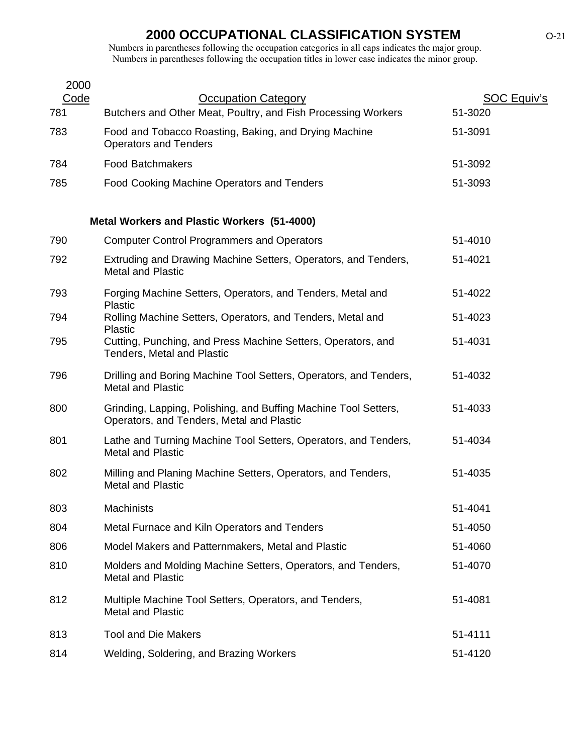| <b>Occupation Category</b>                                                                                   | <b>SOC Equiv's</b>                                                   |
|--------------------------------------------------------------------------------------------------------------|----------------------------------------------------------------------|
| Butchers and Other Meat, Poultry, and Fish Processing Workers                                                | 51-3020                                                              |
| Food and Tobacco Roasting, Baking, and Drying Machine<br><b>Operators and Tenders</b>                        | 51-3091                                                              |
| <b>Food Batchmakers</b>                                                                                      | 51-3092                                                              |
| Food Cooking Machine Operators and Tenders                                                                   | 51-3093                                                              |
|                                                                                                              |                                                                      |
| <b>Computer Control Programmers and Operators</b>                                                            | 51-4010                                                              |
| Extruding and Drawing Machine Setters, Operators, and Tenders,<br><b>Metal and Plastic</b>                   | 51-4021                                                              |
| Forging Machine Setters, Operators, and Tenders, Metal and                                                   | 51-4022                                                              |
| Rolling Machine Setters, Operators, and Tenders, Metal and<br><b>Plastic</b>                                 | 51-4023                                                              |
| Cutting, Punching, and Press Machine Setters, Operators, and<br><b>Tenders, Metal and Plastic</b>            | 51-4031                                                              |
| Drilling and Boring Machine Tool Setters, Operators, and Tenders,<br><b>Metal and Plastic</b>                | 51-4032                                                              |
| Grinding, Lapping, Polishing, and Buffing Machine Tool Setters,<br>Operators, and Tenders, Metal and Plastic | 51-4033                                                              |
| Lathe and Turning Machine Tool Setters, Operators, and Tenders,<br><b>Metal and Plastic</b>                  | 51-4034                                                              |
| Milling and Planing Machine Setters, Operators, and Tenders,<br><b>Metal and Plastic</b>                     | 51-4035                                                              |
| Machinists                                                                                                   | 51-4041                                                              |
| Metal Furnace and Kiln Operators and Tenders                                                                 | 51-4050                                                              |
| Model Makers and Patternmakers, Metal and Plastic                                                            | 51-4060                                                              |
| Molders and Molding Machine Setters, Operators, and Tenders,<br><b>Metal and Plastic</b>                     | 51-4070                                                              |
| Multiple Machine Tool Setters, Operators, and Tenders,<br><b>Metal and Plastic</b>                           | 51-4081                                                              |
| <b>Tool and Die Makers</b>                                                                                   | 51-4111                                                              |
| Welding, Soldering, and Brazing Workers                                                                      | 51-4120                                                              |
|                                                                                                              | <b>Metal Workers and Plastic Workers (51-4000)</b><br><b>Plastic</b> |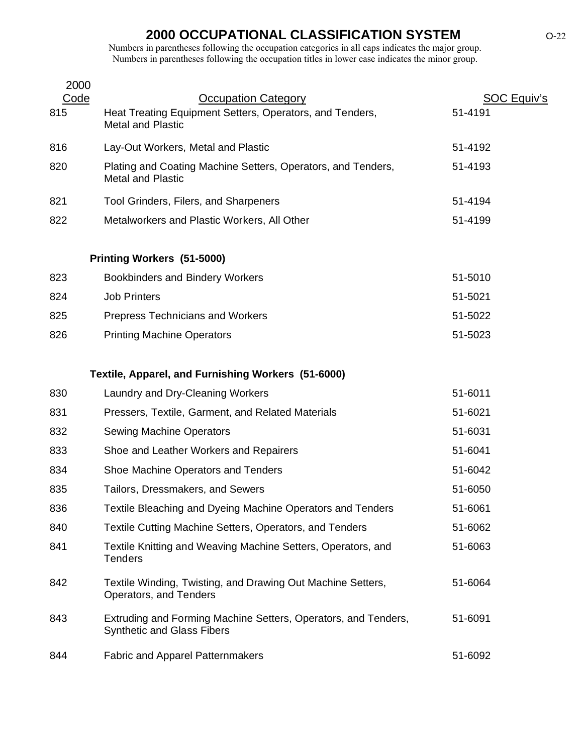| 2000 |                                                                                                     |                    |  |
|------|-----------------------------------------------------------------------------------------------------|--------------------|--|
| Code | <b>Occupation Category</b>                                                                          | <b>SOC Equiv's</b> |  |
| 815  | Heat Treating Equipment Setters, Operators, and Tenders,<br><b>Metal and Plastic</b>                | 51-4191            |  |
| 816  | Lay-Out Workers, Metal and Plastic                                                                  | 51-4192            |  |
| 820  | Plating and Coating Machine Setters, Operators, and Tenders,<br><b>Metal and Plastic</b>            | 51-4193            |  |
| 821  | Tool Grinders, Filers, and Sharpeners                                                               | 51-4194            |  |
| 822  | Metalworkers and Plastic Workers, All Other                                                         | 51-4199            |  |
|      | Printing Workers (51-5000)                                                                          |                    |  |
| 823  | <b>Bookbinders and Bindery Workers</b>                                                              | 51-5010            |  |
| 824  | <b>Job Printers</b>                                                                                 | 51-5021            |  |
| 825  | <b>Prepress Technicians and Workers</b>                                                             | 51-5022            |  |
| 826  | <b>Printing Machine Operators</b>                                                                   | 51-5023            |  |
|      | Textile, Apparel, and Furnishing Workers (51-6000)                                                  |                    |  |
| 830  | Laundry and Dry-Cleaning Workers                                                                    | 51-6011            |  |
| 831  | Pressers, Textile, Garment, and Related Materials                                                   | 51-6021            |  |
| 832  | <b>Sewing Machine Operators</b>                                                                     | 51-6031            |  |
| 833  | Shoe and Leather Workers and Repairers                                                              | 51-6041            |  |
| 834  | Shoe Machine Operators and Tenders                                                                  | 51-6042            |  |
| 835  | Tailors, Dressmakers, and Sewers                                                                    | 51-6050            |  |
| 836  | Textile Bleaching and Dyeing Machine Operators and Tenders                                          | 51-6061            |  |
| 840  | Textile Cutting Machine Setters, Operators, and Tenders                                             | 51-6062            |  |
| 841  | Textile Knitting and Weaving Machine Setters, Operators, and<br><b>Tenders</b>                      | 51-6063            |  |
| 842  | Textile Winding, Twisting, and Drawing Out Machine Setters,<br>Operators, and Tenders               | 51-6064            |  |
| 843  | Extruding and Forming Machine Setters, Operators, and Tenders,<br><b>Synthetic and Glass Fibers</b> | 51-6091            |  |
| 844  | <b>Fabric and Apparel Patternmakers</b>                                                             | 51-6092            |  |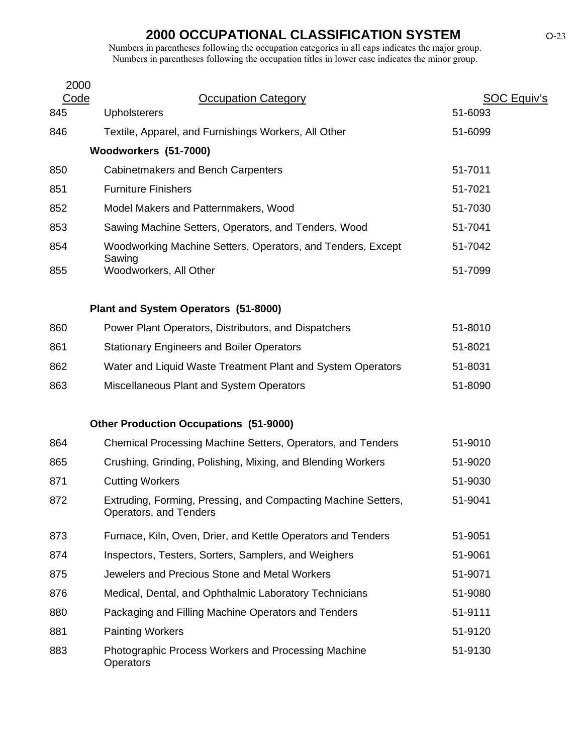| 2000 |                                                                                         |             |
|------|-----------------------------------------------------------------------------------------|-------------|
| Code | <b>Occupation Category</b>                                                              | SOC Equiv's |
| 845  | <b>Upholsterers</b>                                                                     | 51-6093     |
| 846  | Textile, Apparel, and Furnishings Workers, All Other                                    | 51-6099     |
|      | Woodworkers (51-7000)                                                                   |             |
| 850  | <b>Cabinetmakers and Bench Carpenters</b>                                               | 51-7011     |
| 851  | <b>Furniture Finishers</b>                                                              | 51-7021     |
| 852  | Model Makers and Patternmakers, Wood                                                    | 51-7030     |
| 853  | Sawing Machine Setters, Operators, and Tenders, Wood                                    | 51-7041     |
| 854  | Woodworking Machine Setters, Operators, and Tenders, Except<br>Sawing                   | 51-7042     |
| 855  | Woodworkers, All Other                                                                  | 51-7099     |
|      | Plant and System Operators (51-8000)                                                    |             |
| 860  | Power Plant Operators, Distributors, and Dispatchers                                    | 51-8010     |
| 861  | <b>Stationary Engineers and Boiler Operators</b>                                        | 51-8021     |
| 862  | Water and Liquid Waste Treatment Plant and System Operators                             | 51-8031     |
| 863  | Miscellaneous Plant and System Operators                                                | 51-8090     |
|      | <b>Other Production Occupations (51-9000)</b>                                           |             |
| 864  | Chemical Processing Machine Setters, Operators, and Tenders                             | 51-9010     |
| 865  | Crushing, Grinding, Polishing, Mixing, and Blending Workers                             | 51-9020     |
| 871  | <b>Cutting Workers</b>                                                                  | 51-9030     |
| 872  | Extruding, Forming, Pressing, and Compacting Machine Setters,<br>Operators, and Tenders | 51-9041     |
| 873  | Furnace, Kiln, Oven, Drier, and Kettle Operators and Tenders                            | 51-9051     |
| 874  | Inspectors, Testers, Sorters, Samplers, and Weighers                                    | 51-9061     |
| 875  | Jewelers and Precious Stone and Metal Workers                                           | 51-9071     |
| 876  | Medical, Dental, and Ophthalmic Laboratory Technicians                                  | 51-9080     |
| 880  | Packaging and Filling Machine Operators and Tenders                                     | 51-9111     |
| 881  | <b>Painting Workers</b>                                                                 | 51-9120     |
| 883  | Photographic Process Workers and Processing Machine<br><b>Operators</b>                 | 51-9130     |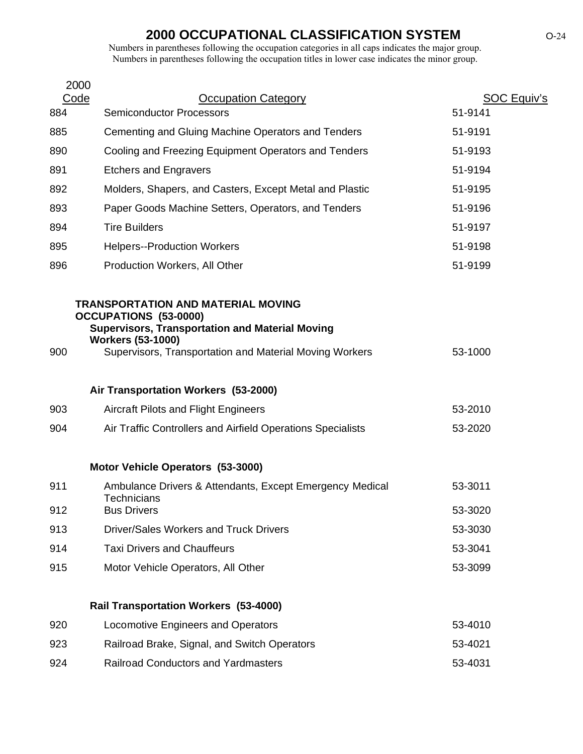| 2000        |                                                                                                                                                                                                                            |                               |
|-------------|----------------------------------------------------------------------------------------------------------------------------------------------------------------------------------------------------------------------------|-------------------------------|
| Code<br>884 | <b>Occupation Category</b><br><b>Semiconductor Processors</b>                                                                                                                                                              | <b>SOC Equiv's</b><br>51-9141 |
| 885         | Cementing and Gluing Machine Operators and Tenders                                                                                                                                                                         | 51-9191                       |
| 890         | Cooling and Freezing Equipment Operators and Tenders                                                                                                                                                                       | 51-9193                       |
| 891         | <b>Etchers and Engravers</b>                                                                                                                                                                                               | 51-9194                       |
| 892         | Molders, Shapers, and Casters, Except Metal and Plastic                                                                                                                                                                    | 51-9195                       |
| 893         | Paper Goods Machine Setters, Operators, and Tenders                                                                                                                                                                        | 51-9196                       |
| 894         | <b>Tire Builders</b>                                                                                                                                                                                                       | 51-9197                       |
| 895         | <b>Helpers--Production Workers</b>                                                                                                                                                                                         | 51-9198                       |
| 896         | Production Workers, All Other                                                                                                                                                                                              | 51-9199                       |
| 900         | <b>TRANSPORTATION AND MATERIAL MOVING</b><br><b>OCCUPATIONS (53-0000)</b><br><b>Supervisors, Transportation and Material Moving</b><br><b>Workers (53-1000)</b><br>Supervisors, Transportation and Material Moving Workers | 53-1000                       |
|             | Air Transportation Workers (53-2000)                                                                                                                                                                                       |                               |
| 903         | <b>Aircraft Pilots and Flight Engineers</b>                                                                                                                                                                                | 53-2010                       |
| 904         | Air Traffic Controllers and Airfield Operations Specialists                                                                                                                                                                | 53-2020                       |
|             | Motor Vehicle Operators (53-3000)                                                                                                                                                                                          |                               |
| 911         | Ambulance Drivers & Attendants, Except Emergency Medical                                                                                                                                                                   | 53-3011                       |
| 912         | <b>Technicians</b><br><b>Bus Drivers</b>                                                                                                                                                                                   | 53-3020                       |
| 913         | Driver/Sales Workers and Truck Drivers                                                                                                                                                                                     | 53-3030                       |
| 914         | <b>Taxi Drivers and Chauffeurs</b>                                                                                                                                                                                         | 53-3041                       |
| 915         | Motor Vehicle Operators, All Other                                                                                                                                                                                         | 53-3099                       |
|             | <b>Rail Transportation Workers (53-4000)</b>                                                                                                                                                                               |                               |
| 920         | Locomotive Engineers and Operators                                                                                                                                                                                         | 53-4010                       |
| 923         | Railroad Brake, Signal, and Switch Operators                                                                                                                                                                               | 53-4021                       |
| $\sim$      |                                                                                                                                                                                                                            |                               |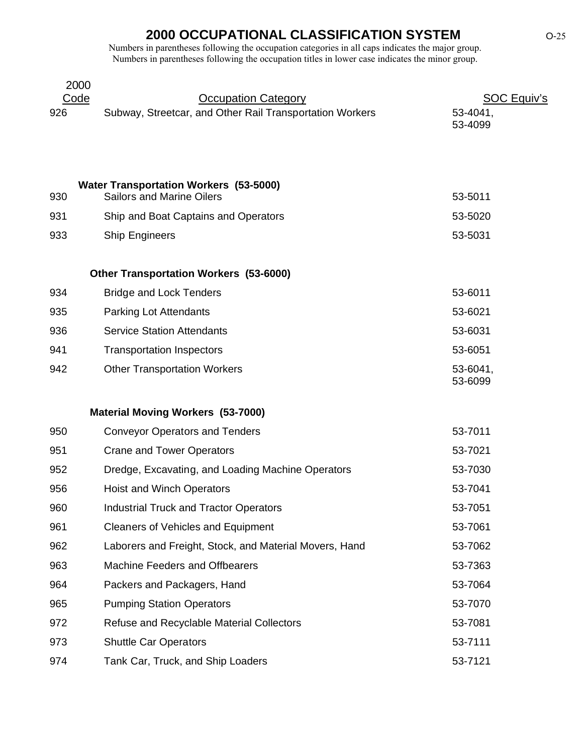|     | 2000                                                     |                     |
|-----|----------------------------------------------------------|---------------------|
|     | Code<br><b>Occupation Category</b>                       | <b>SOC Equiv's</b>  |
| 926 | Subway, Streetcar, and Other Rail Transportation Workers | 53-4041,<br>53-4099 |
|     |                                                          |                     |
|     | <b>Water Transportation Workers (53-5000)</b>            |                     |
| 930 | <b>Sailors and Marine Oilers</b>                         | 53-5011             |
| 931 | Ship and Boat Captains and Operators                     | 53-5020             |
| 933 | <b>Ship Engineers</b>                                    | 53-5031             |
|     | <b>Other Transportation Workers (53-6000)</b>            |                     |
| 934 | <b>Bridge and Lock Tenders</b>                           | 53-6011             |
| 935 | <b>Parking Lot Attendants</b>                            | 53-6021             |
| 936 | <b>Service Station Attendants</b>                        | 53-6031             |
| 941 | <b>Transportation Inspectors</b>                         | 53-6051             |
| 942 | <b>Other Transportation Workers</b>                      | 53-6041,            |
|     |                                                          | 53-6099             |
|     | <b>Material Moving Workers (53-7000)</b>                 |                     |
| 950 | <b>Conveyor Operators and Tenders</b>                    | 53-7011             |
| 951 | <b>Crane and Tower Operators</b>                         | 53-7021             |
| 952 | Dredge, Excavating, and Loading Machine Operators        | 53-7030             |
| 956 | <b>Hoist and Winch Operators</b>                         | 53-7041             |
| 960 | <b>Industrial Truck and Tractor Operators</b>            | 53-7051             |
| 961 | <b>Cleaners of Vehicles and Equipment</b>                | 53-7061             |
| 962 | Laborers and Freight, Stock, and Material Movers, Hand   | 53-7062             |
| 963 | <b>Machine Feeders and Offbearers</b>                    | 53-7363             |
| 964 | Packers and Packagers, Hand                              | 53-7064             |
| 965 | <b>Pumping Station Operators</b>                         | 53-7070             |
| 972 | <b>Refuse and Recyclable Material Collectors</b>         | 53-7081             |
| 973 | <b>Shuttle Car Operators</b>                             | 53-7111             |
| 974 | Tank Car, Truck, and Ship Loaders                        | 53-7121             |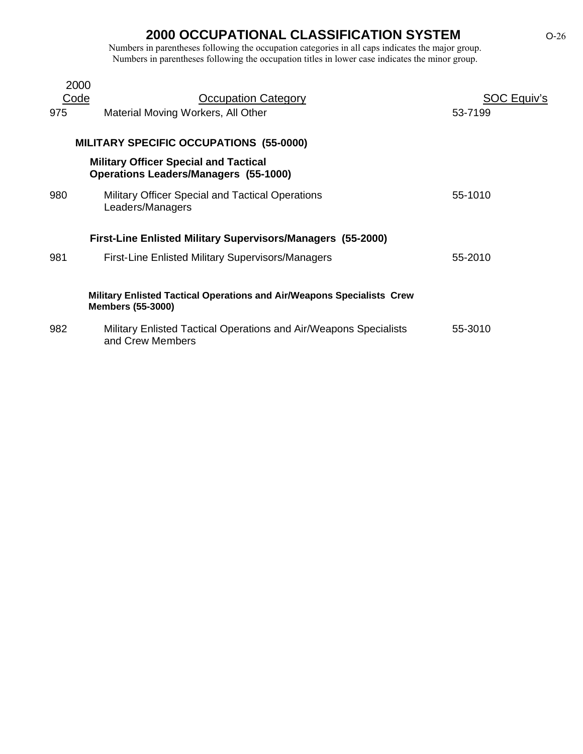| 2000 |                                                                                                           |             |
|------|-----------------------------------------------------------------------------------------------------------|-------------|
| Code | <b>Occupation Category</b>                                                                                | SOC Equiv's |
| 975  | Material Moving Workers, All Other                                                                        | 53-7199     |
|      |                                                                                                           |             |
|      | <b>MILITARY SPECIFIC OCCUPATIONS (55-0000)</b>                                                            |             |
|      | <b>Military Officer Special and Tactical</b><br><b>Operations Leaders/Managers (55-1000)</b>              |             |
| 980  | Military Officer Special and Tactical Operations<br>Leaders/Managers                                      | 55-1010     |
|      | <b>First-Line Enlisted Military Supervisors/Managers (55-2000)</b>                                        |             |
| 981  | <b>First-Line Enlisted Military Supervisors/Managers</b>                                                  | 55-2010     |
|      |                                                                                                           |             |
|      | <b>Military Enlisted Tactical Operations and Air/Weapons Specialists Crew</b><br><b>Members (55-3000)</b> |             |
| 982  | Military Enlisted Tactical Operations and Air/Weapons Specialists<br>and Crew Members                     | 55-3010     |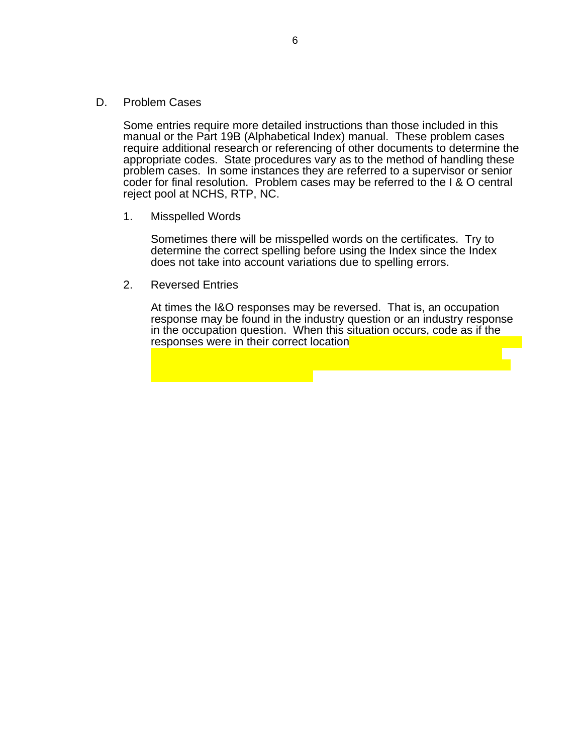D. Problem Cases

Some entries require more detailed instructions than those included in this manual or the Part 19B (Alphabetical Index) manual. These problem cases require additional research or referencing of other documents to determine the appropriate codes. State procedures vary as to the method of handling these problem cases. In some instances they are referred to a supervisor or senior coder for final resolution. Problem cases may be referred to the I & O central reject pool at NCHS, RTP, NC.

1. Misspelled Words

Sometimes there will be misspelled words on the certificates. Try to determine the correct spelling before using the Index since the Index does not take into account variations due to spelling errors.

2. Reversed Entries

At times the I&O responses may be reversed. That is, an occupation response may be found in the industry question or an industry response in the occupation question. When this situation occurs, code as if the responses were in their correct location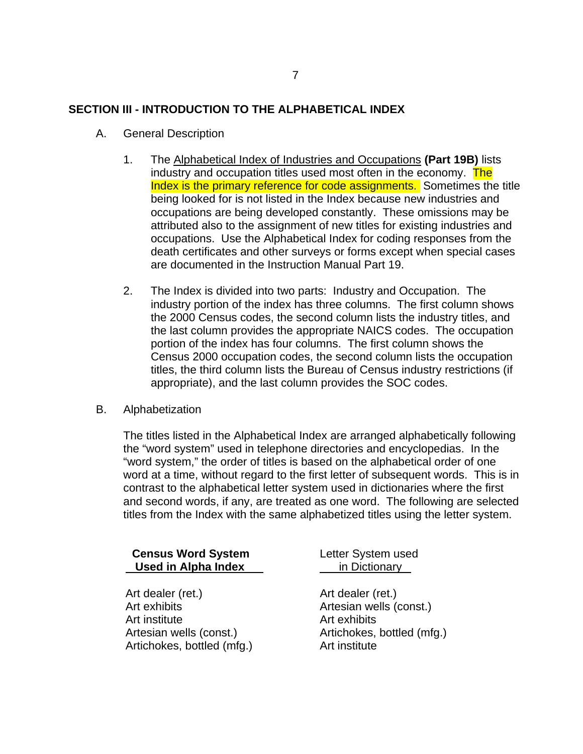### **SECTION III - INTRODUCTION TO THE ALPHABETICAL INDEX**

- A. General Description
	- 1. The Alphabetical Index of Industries and Occupations (Part 19B) lists industry and occupation titles used most often in the economy. The Index is the primary reference for code assignments. Sometimes the title being looked for is not listed in the Index because new industries and occupations are being developed constantly. These omissions may be attributed also to the assignment of new titles for existing industries and occupations. Use the Alphabetical Index for coding responses from the death certificates and other surveys or forms except when special cases are documented in the Instruction Manual Part 19.
	- 2. The Index is divided into two parts: Industry and Occupation. The industry portion of the index has three columns. The first column shows the 2000 Census codes, the second column lists the industry titles, and the last column provides the appropriate NAICS codes. The occupation portion of the index has four columns. The first column shows the Census 2000 occupation codes, the second column lists the occupation titles, the third column lists the Bureau of Census industry restrictions (if appropriate), and the last column provides the SOC codes.
- B. Alphabetization

The titles listed in the Alphabetical Index are arranged alphabetically following the "word system" used in telephone directories and encyclopedias. In the "word system," the order of titles is based on the alphabetical order of one word at a time, without regard to the first letter of subsequent words. This is in contrast to the alphabetical letter system used in dictionaries where the first and second words, if any, are treated as one word. The following are selected titles from the Index with the same alphabetized titles using the letter system.

| <b>Census Word System</b><br><b>Used in Alpha Index</b> | Letter System used<br>in Dictionary |
|---------------------------------------------------------|-------------------------------------|
| Art dealer (ret.)                                       | Art dealer (ret.)                   |
| Art exhibits                                            | Artesian wells (const.)             |
| Art institute                                           | Art exhibits                        |
| Artesian wells (const.)                                 | Artichokes, bottled (mfg.)          |
| Artichokes, bottled (mfg.)                              | Art institute                       |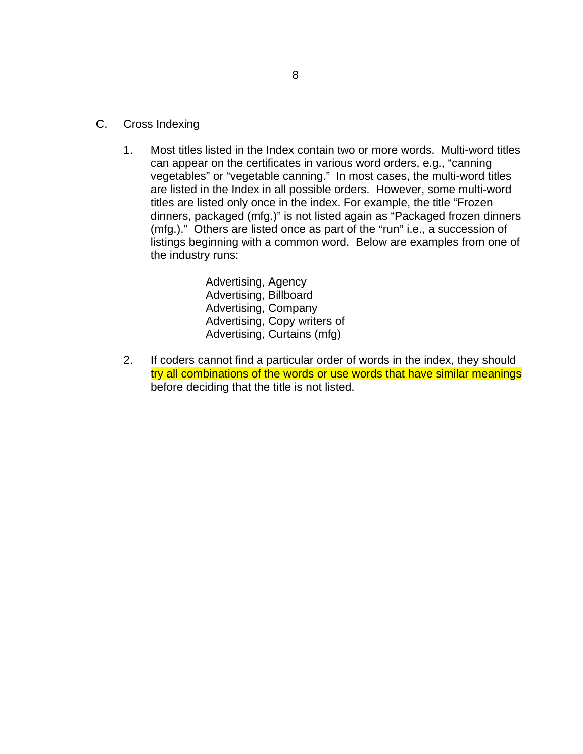- C. Cross Indexing
	- 1. Most titles listed in the Index contain two or more words. Multi-word titles can appear on the certificates in various word orders, e.g., "canning vegetables" or "vegetable canning." In most cases, the multi-word titles are listed in the Index in all possible orders. However, some multi-word titles are listed only once in the index. For example, the title "Frozen dinners, packaged (mfg.)" is not listed again as "Packaged frozen dinners ( $mfg.$ )." Others are listed once as part of the "run" i.e., a succession of listings beginning with a common word. Below are examples from one of the industry runs:

Advertising, Agency Advertising, Billboard Advertising, Company Advertising, Copy writers of Advertising, Curtains (mfg)

2. If coders cannot find a particular order of words in the index, they should try all combinations of the words or use words that have similar meanings before deciding that the title is not listed.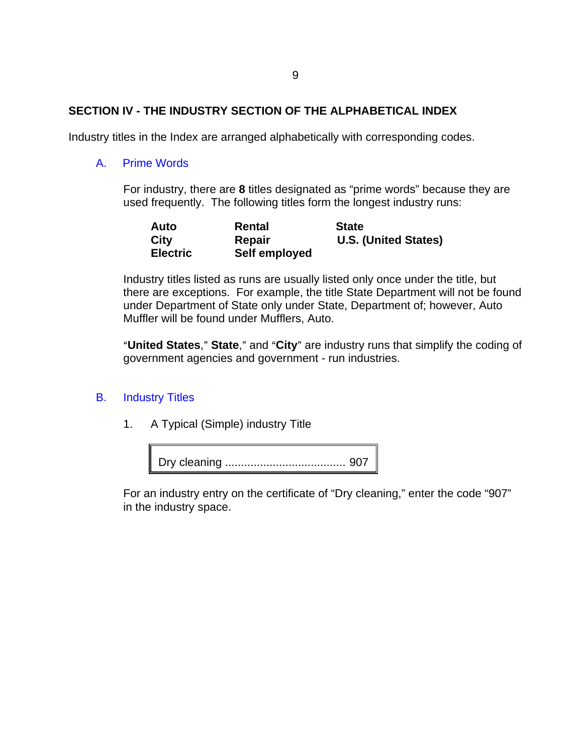### **SECTION IV - THE INDUSTRY SECTION OF THE ALPHABETICAL INDEX**

Industry titles in the Index are arranged alphabetically with corresponding codes.

#### A. Prime Words

For industry, there are **8** titles designated as "prime words" because they are used frequently. The following titles form the longest industry runs:

| Auto            | Rental        | <b>State</b>                |
|-----------------|---------------|-----------------------------|
| City            | Repair        | <b>U.S. (United States)</b> |
| <b>Electric</b> | Self employed |                             |

Industry titles listed as runs are usually listed only once under the title, but there are exceptions. For example, the title State Department will not be found under Department of State only under State, Department of; however, Auto Muffler will be found under Mufflers, Auto.

"United States," State," and "City" are industry runs that simplify the coding of government agencies and government - run industries.

### B. Industry Titles

1. A Typical (Simple) industry Title



For an industry entry on the certificate of "Dry cleaning," enter the code "907" in the industry space.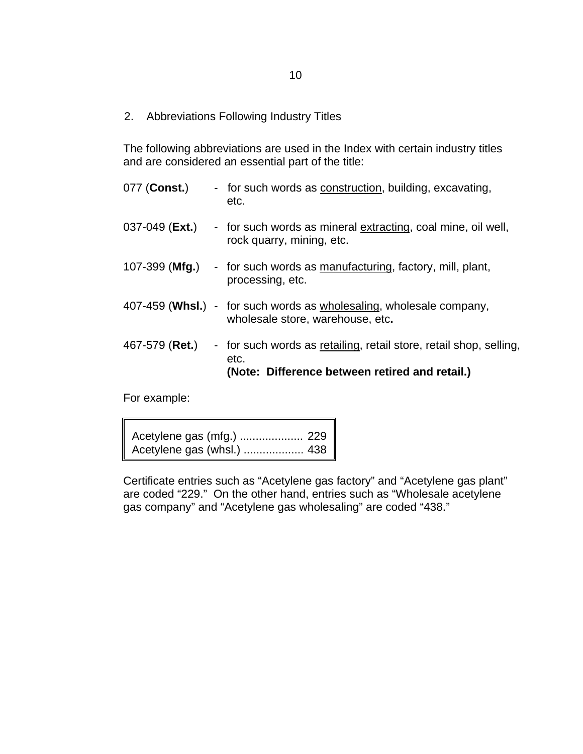2. Abbreviations Following Industry Titles

The following abbreviations are used in the Index with certain industry titles and are considered an essential part of the title:

077 (Const.) - for such words as **construction**, building, excavating, etc. 037-049 (Ext.) - for such words as mineral extracting, coal mine, oil well, rock quarry, mining, etc. 107-399 (**Mfg.**) - for such words as manufacturing, factory, mill, plant, processing, etc. 407-459 (**Whsl.**) - for such words as wholesaling, wholesale company, wholesale store, warehouse, etc**.**  467-579 (**Ret.**) - for such words as retailing, retail store, retail shop, selling, etc. **(Note: Difference between retired and retail.)** 

For example:

Acetylene gas (mfg.) .................... 229 Acetylene gas (whsl.) ................... 438

Certificate entries such as "Acetylene gas factory" and "Acetylene gas plant" are coded "229." On the other hand, entries such as "Wholesale acetylene gas company" and "Acetylene gas wholesaling" are coded "438."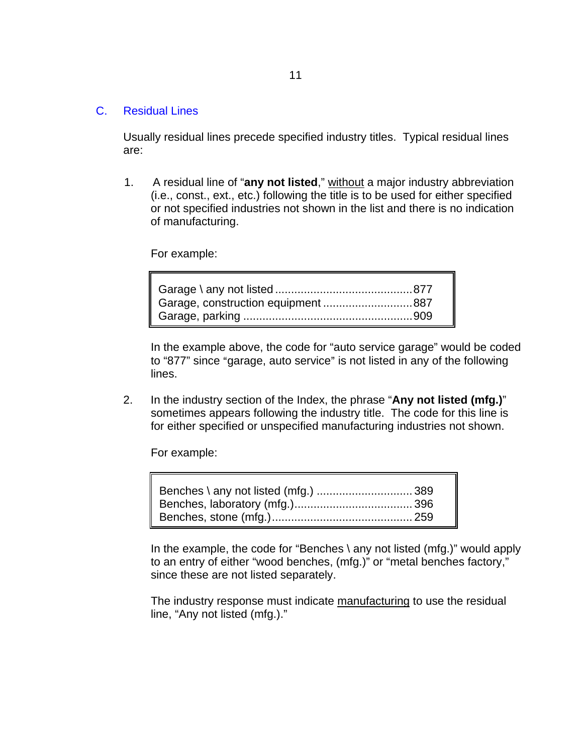#### C. Residual Lines

Usually residual lines precede specified industry titles. Typical residual lines are:

1. A residual line of "**any not listed**," without a major industry abbreviation (i.e., const., ext., etc.) following the title is to be used for either specified or not specified industries not shown in the list and there is no indication of manufacturing.

For example:

In the example above, the code for "auto service garage" would be coded to "877" since "garage, auto service" is not listed in any of the following lines.

2. In the industry section of the Index, the phrase "**Any not listed (mfg.)**" sometimes appears following the industry title. The code for this line is for either specified or unspecified manufacturing industries not shown.

For example:

In the example, the code for "Benches \ any not listed (mfg.)" would apply to an entry of either "wood benches, (mfg.)" or "metal benches factory," since these are not listed separately.

The industry response must indicate manufacturing to use the residual line, "Any not listed (mfg.)."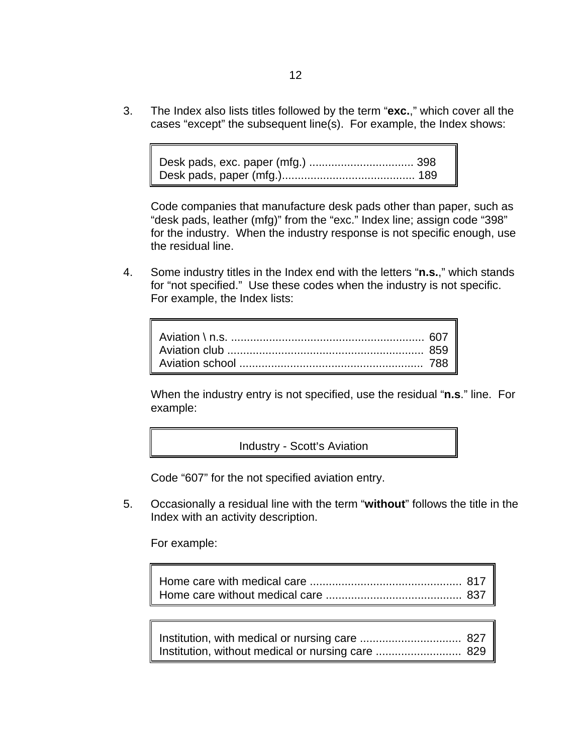3. The Index also lists titles followed by the term "**exc.**," which cover all the cases "except" the subsequent line(s). For example, the Index shows:

```
Desk pads, exc. paper (mfg.) ................................. 398 
Desk pads, paper (mfg.).......................................... 189
```
Code companies that manufacture desk pads other than paper, such as "desk pads, leather (mfg)" from the "exc." Index line; assign code "398" for the industry. When the industry response is not specific enough, use the residual line.

4. Some industry titles in the Index end with the letters "**n.s.**," which stands for "not specified." Use these codes when the industry is not specific. For example, the Index lists:

When the industry entry is not specified, use the residual "**n.s**." line. For example:

Industry - Scott's Aviation

Code "607" for the not specified aviation entry.

5. Occasionally a residual line with the term "**without**" follows the title in the Index with an activity description.

For example:

| Institution, without medical or nursing care  829 |  |
|---------------------------------------------------|--|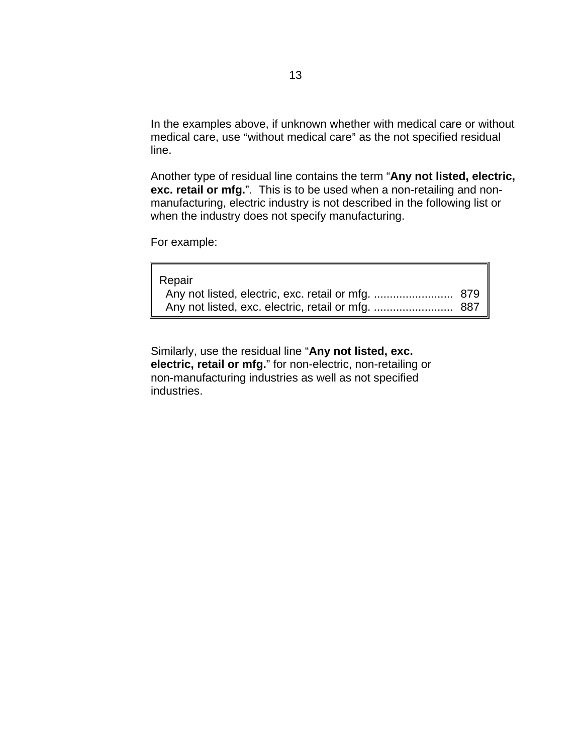In the examples above, if unknown whether with medical care or without medical care, use "without medical care" as the not specified residual line.

Another type of residual line contains the term "**Any not listed, electric, exc. retail or mfg.**". This is to be used when a non-retailing and nonmanufacturing, electric industry is not described in the following list or when the industry does not specify manufacturing.

For example:

| Repair |  |
|--------|--|
|        |  |
|        |  |

Similarly, use the residual line "**Any not listed, exc. electric, retail or mfg.**" for non-electric, non-retailing or non-manufacturing industries as well as not specified industries.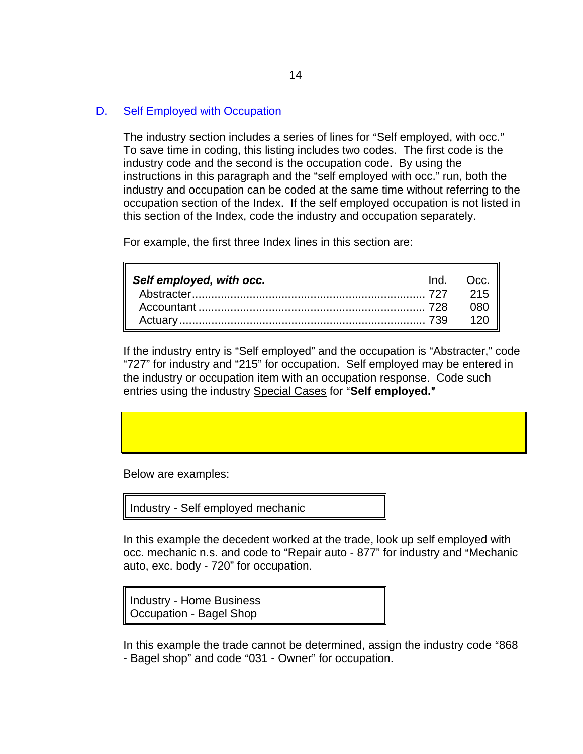### D. Self Employed with Occupation

The industry section includes a series of lines for "Self employed, with occ." To save time in coding, this listing includes two codes. The first code is the industry code and the second is the occupation code. By using the instructions in this paragraph and the "self employed with occ." run, both the industry and occupation can be coded at the same time without referring to the occupation section of the Index. If the self employed occupation is not listed in this section of the Index, code the industry and occupation separately.

For example, the first three Index lines in this section are:

| Self employed, with occ. | Ind. Occ. |
|--------------------------|-----------|
|                          |           |
|                          | - 080     |
|                          |           |

If the industry entry is "Self employed" and the occupation is "Abstracter," code "727" for industry and "215" for occupation. Self employed may be entered in the industry or occupation item with an occupation response. Code such entries using the industry Special Cases for "Self employed."

Below are examples:

Industry - Self employed mechanic

In this example the decedent worked at the trade, look up self employed with occ. mechanic n.s. and code to "Repair auto - 877" for industry and "Mechanic auto, exc. body - 720" for occupation.

Industry - Home Business Occupation - Bagel Shop

In this example the trade cannot be determined, assign the industry code "868 - Bagel shop" and code "031 - Owner" for occupation.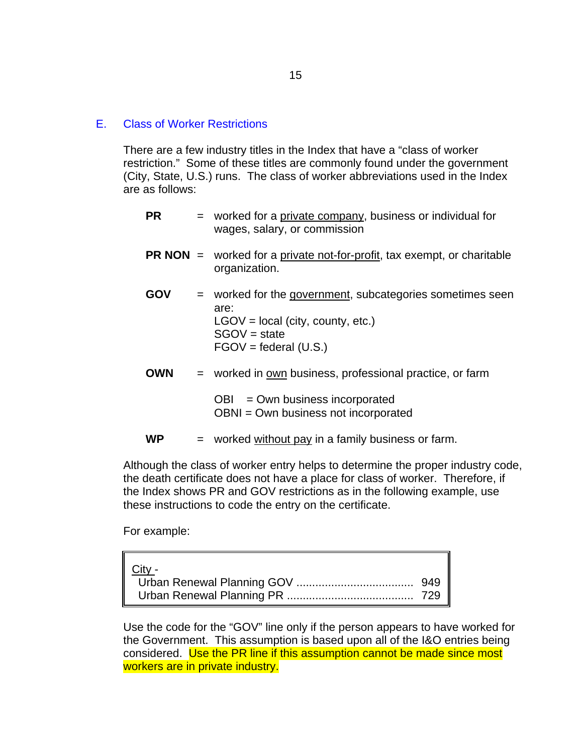#### E. Class of Worker Restrictions

There are a few industry titles in the Index that have a "class of worker restriction." Some of these titles are commonly found under the government (City, State, U.S.) runs. The class of worker abbreviations used in the Index are as follows:

- **PR** = worked for a private company, business or individual for wages, salary, or commission
- **PR NON** = worked for a private not-for-profit, tax exempt, or charitable organization.
- **GOV** = worked for the government, subcategories sometimes seen are:  $LGOV = local (city, country, etc.)$ SGOV = state  $FGOV = federal (U.S.)$
- **OWN** = worked in own business, professional practice, or farm

 $OBI = Own business incorporated$ OBNI = Own business not incorporated

 $WP =$  worked without pay in a family business or farm.

Although the class of worker entry helps to determine the proper industry code, the death certificate does not have a place for class of worker. Therefore, if the Index shows PR and GOV restrictions as in the following example, use these instructions to code the entry on the certificate.

For example:

| City - |  |
|--------|--|
|        |  |
|        |  |

Use the code for the "GOV" line only if the person appears to have worked for the Government. This assumption is based upon all of the I&O entries being considered. Use the PR line if this assumption cannot be made since most workers are in private industry.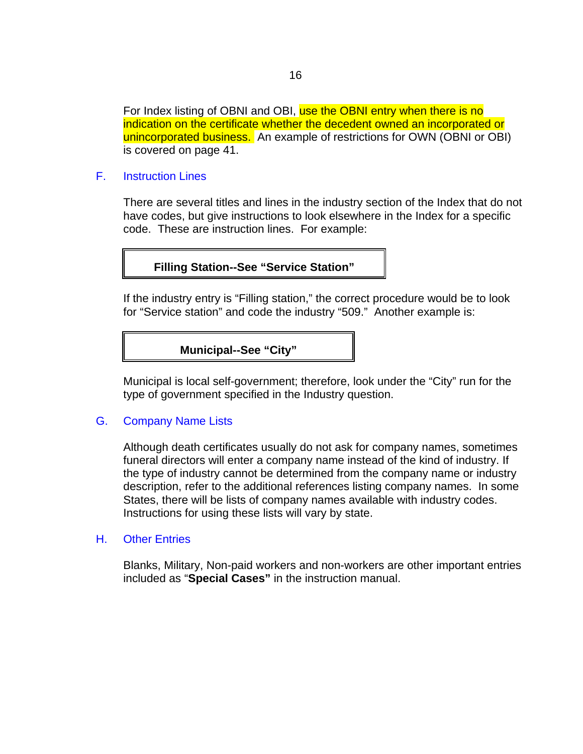For Index listing of OBNI and OBI, use the OBNI entry when there is no indication on the certificate whether the decedent owned an incorporated or unincorporated business. An example of restrictions for OWN (OBNI or OBI) is covered on page 41.

F. Instruction Lines

There are several titles and lines in the industry section of the Index that do not have codes, but give instructions to look elsewhere in the Index for a specific code. These are instruction lines. For example:

**Filling Station--See "Service Station"** 

If the industry entry is "Filling station," the correct procedure would be to look for "Service station" and code the industry "509." Another example is:

**Municipal--See "City"** 

Municipal is local self-government; therefore, look under the "City" run for the type of government specified in the Industry question.

#### G. Company Name Lists

Although death certificates usually do not ask for company names, sometimes funeral directors will enter a company name instead of the kind of industry. If the type of industry cannot be determined from the company name or industry description, refer to the additional references listing company names. In some States, there will be lists of company names available with industry codes. Instructions for using these lists will vary by state.

#### H. Other Entries

Blanks, Military, Non-paid workers and non-workers are other important entries included as "**Special Cases"** in the instruction manual.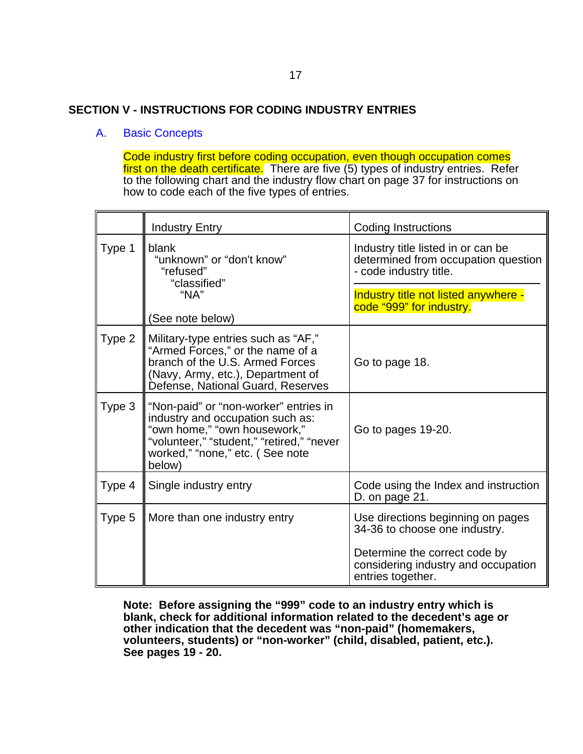#### **SECTION V - INSTRUCTIONS FOR CODING INDUSTRY ENTRIES**

#### A. Basic Concepts

Code industry first before coding occupation, even though occupation comes first on the death certificate. There are five (5) types of industry entries. Refer to the following chart and the industry flow chart on page 37 for instructions on how to code each of the five types of entries.

|        | <b>Industry Entry</b>                                                                                                                                                                               | <b>Coding Instructions</b>                                                                                                                 |
|--------|-----------------------------------------------------------------------------------------------------------------------------------------------------------------------------------------------------|--------------------------------------------------------------------------------------------------------------------------------------------|
| Type 1 | blank<br>"unknown" or "don't know"<br>"refused"<br>"classified"                                                                                                                                     | Industry title listed in or can be<br>determined from occupation question<br>- code industry title.                                        |
| "NA"   | (See note below)                                                                                                                                                                                    | Industry title not listed anywhere -<br>code "999" for industry.                                                                           |
| Type 2 | Military-type entries such as "AF,"<br>"Armed Forces," or the name of a<br>branch of the U.S. Armed Forces<br>(Navy, Army, etc.), Department of<br>Defense, National Guard, Reserves                | Go to page 18.                                                                                                                             |
| Type 3 | "Non-paid" or "non-worker" entries in<br>industry and occupation such as:<br>"own home," "own housework,"<br>"volunteer," "student," "retired," "never<br>worked," "none," etc. (See note<br>below) | Go to pages 19-20.                                                                                                                         |
| Type 4 | Single industry entry                                                                                                                                                                               | Code using the Index and instruction<br>D. on page 21.                                                                                     |
| Type 5 | More than one industry entry                                                                                                                                                                        | Use directions beginning on pages<br>34-36 to choose one industry.<br>Determine the correct code by<br>considering industry and occupation |
|        |                                                                                                                                                                                                     | entries together.                                                                                                                          |

**Note: Before assigning the "999" code to an industry entry which is blank, check for additional information related to the decedent's age or other indication that the decedent was "non-paid" (homemakers, volunteers, students) or "non-worker" (child, disabled, patient, etc.). See pages 19 - 20.**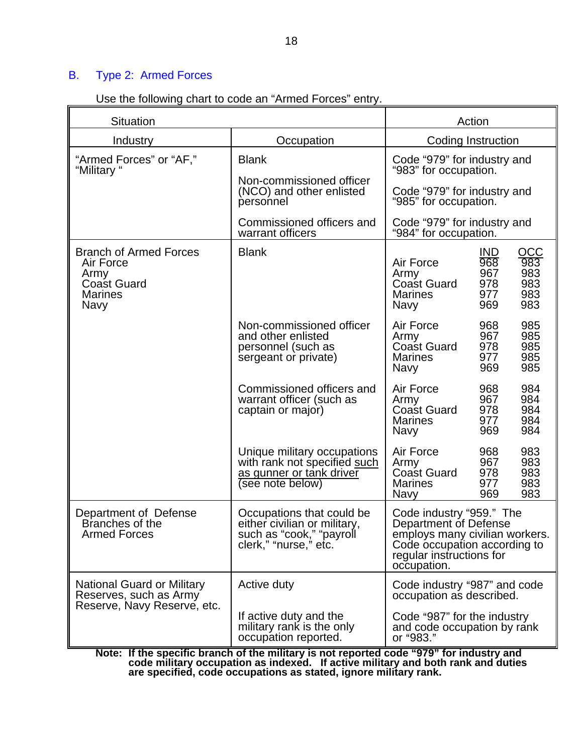### B. Type 2: Armed Forces

| Use the following chart to code an "Armed Forces" entry. |  |  |  |
|----------------------------------------------------------|--|--|--|
|                                                          |  |  |  |

| <b>Situation</b>                                                                                   |                                                                                                                | Action                                                                                                                                                              |  |  |
|----------------------------------------------------------------------------------------------------|----------------------------------------------------------------------------------------------------------------|---------------------------------------------------------------------------------------------------------------------------------------------------------------------|--|--|
| Industry                                                                                           | Occupation                                                                                                     | Coding Instruction                                                                                                                                                  |  |  |
| "Armed Forces" or "AF,"<br>"Military"                                                              | <b>Blank</b>                                                                                                   | Code "979" for industry and<br>"983" for occupation.                                                                                                                |  |  |
|                                                                                                    | Non-commissioned officer<br>(NCO) and other enlisted<br>personnel                                              | Code "979" for industry and<br>"985" for occupation.                                                                                                                |  |  |
|                                                                                                    | Commissioned officers and<br>warrant officers                                                                  | Code "979" for industry and<br>"984" for occupation.                                                                                                                |  |  |
| <b>Branch of Armed Forces</b><br>Air Force<br>Army<br><b>Coast Guard</b><br><b>Marines</b><br>Navy | <b>Blank</b>                                                                                                   | OCC<br><b>IND</b><br>983<br>968<br>Air Force<br>983<br>967<br>Army<br>978<br>983<br><b>Coast Guard</b><br>983<br>977<br><b>Marines</b><br>983<br>969<br><b>Navy</b> |  |  |
|                                                                                                    | Non-commissioned officer<br>and other enlisted<br>personnel (such as<br>sergeant or private)                   | Air Force<br>985<br>968<br>985<br>967<br>Army<br>Coast Guard<br>985<br>978<br>985<br><b>Marines</b><br>977<br>985<br>969<br><b>Navy</b>                             |  |  |
|                                                                                                    | Commissioned officers and<br>warrant officer (such as<br>captain or major)                                     | Air Force<br>968<br>984<br>967<br>984<br>Army<br>978<br>984<br>Coast Guard<br>984<br><b>Marines</b><br>977<br>969<br>984<br>Navy                                    |  |  |
|                                                                                                    | Unique military occupations<br>with rank not specified such<br>as gunner or tank driver<br>(see note below)    | Air Force<br>968<br>983<br>967<br>983<br>Army<br>Coast Guard<br>978<br>983<br><b>Marines</b><br>977<br>983<br>969<br>983<br>Navy                                    |  |  |
| Department of Defense<br>Branches of the<br><b>Armed Forces</b>                                    | Occupations that could be<br>either civilian or military,<br>such as "cook," "payroll<br>clerk," "nurse," etc. | Code industry "959." The<br>Department of Defense<br>employs many civilian workers.<br>Code occupation according to<br>regular instructions for<br>occupation.      |  |  |
| National Guard or Military<br>Reserves, such as Army<br>Reserve, Navy Reserve, etc.                | Active duty                                                                                                    | Code industry "987" and code<br>occupation as described.                                                                                                            |  |  |
|                                                                                                    | If active duty and the<br>military rank is the only<br>occupation reported.                                    | Code "987" for the industry<br>and code occupation by rank<br>or "983."                                                                                             |  |  |

**Note: If the specific branch of the military is not reported code "979" for industry and code military occupation as indexed. If active military and both rank and duties are specified, code occupations as stated, ignore military rank.**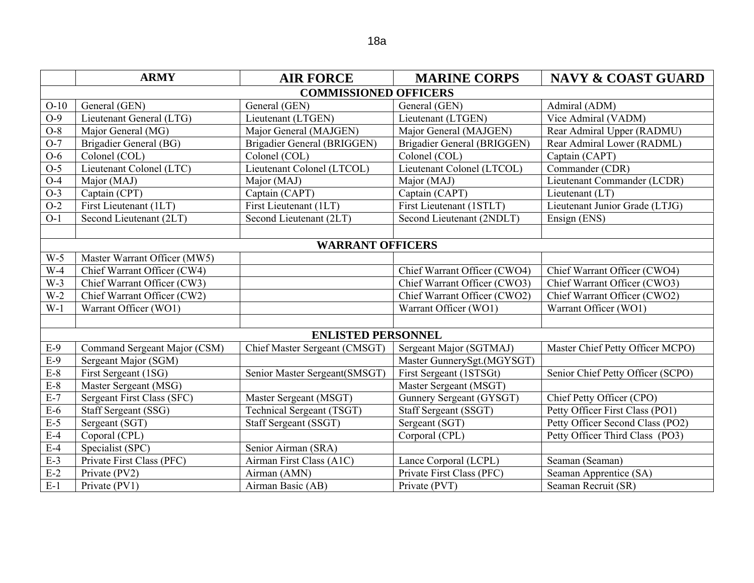|        | <b>ARMY</b>                  | <b>AIR FORCE</b>              | <b>MARINE CORPS</b>          | <b>NAVY &amp; COAST GUARD</b>     |  |  |  |
|--------|------------------------------|-------------------------------|------------------------------|-----------------------------------|--|--|--|
|        | <b>COMMISSIONED OFFICERS</b> |                               |                              |                                   |  |  |  |
| $O-10$ | General (GEN)                | General (GEN)                 | General (GEN)                | Admiral (ADM)                     |  |  |  |
| $O-9$  | Lieutenant General (LTG)     | Lieutenant (LTGEN)            | Lieutenant (LTGEN)           | Vice Admiral (VADM)               |  |  |  |
| $O-8$  | Major General (MG)           | Major General (MAJGEN)        | Major General (MAJGEN)       | Rear Admiral Upper (RADMU)        |  |  |  |
| $O-7$  | Brigadier General (BG)       | Brigadier General (BRIGGEN)   | Brigadier General (BRIGGEN)  | Rear Admiral Lower (RADML)        |  |  |  |
| $O-6$  | Colonel (COL)                | Colonel (COL)                 | Colonel (COL)                | Captain (CAPT)                    |  |  |  |
| $O-5$  | Lieutenant Colonel (LTC)     | Lieutenant Colonel (LTCOL)    | Lieutenant Colonel (LTCOL)   | Commander (CDR)                   |  |  |  |
| $O-4$  | Major (MAJ)                  | Major (MAJ)                   | Major (MAJ)                  | Lieutenant Commander (LCDR)       |  |  |  |
| $O-3$  | Captain (CPT)                | Captain (CAPT)                | Captain (CAPT)               | Lieutenant (LT)                   |  |  |  |
| $O-2$  | First Lieutenant (1LT)       | First Lieutenant (1LT)        | First Lieutenant (1STLT)     | Lieutenant Junior Grade (LTJG)    |  |  |  |
| $O-1$  | Second Lieutenant (2LT)      | Second Lieutenant (2LT)       | Second Lieutenant (2NDLT)    | Ensign (ENS)                      |  |  |  |
|        |                              |                               |                              |                                   |  |  |  |
|        |                              | <b>WARRANT OFFICERS</b>       |                              |                                   |  |  |  |
| $W-5$  | Master Warrant Officer (MW5) |                               |                              |                                   |  |  |  |
| $W-4$  | Chief Warrant Officer (CW4)  |                               | Chief Warrant Officer (CWO4) | Chief Warrant Officer (CWO4)      |  |  |  |
| $W-3$  | Chief Warrant Officer (CW3)  |                               | Chief Warrant Officer (CWO3) | Chief Warrant Officer (CWO3)      |  |  |  |
| $W-2$  | Chief Warrant Officer (CW2)  |                               | Chief Warrant Officer (CWO2) | Chief Warrant Officer (CWO2)      |  |  |  |
| $W-1$  | Warrant Officer (WO1)        |                               | Warrant Officer (WO1)        | Warrant Officer (WO1)             |  |  |  |
|        |                              |                               |                              |                                   |  |  |  |
|        |                              | <b>ENLISTED PERSONNEL</b>     |                              |                                   |  |  |  |
| $E-9$  | Command Sergeant Major (CSM) | Chief Master Sergeant (CMSGT) | Sergeant Major (SGTMAJ)      | Master Chief Petty Officer MCPO)  |  |  |  |
| $E-9$  | Sergeant Major (SGM)         |                               | Master GunnerySgt.(MGYSGT)   |                                   |  |  |  |
| $E-8$  | First Sergeant (1SG)         | Senior Master Sergeant(SMSGT) | First Sergeant (1STSGt)      | Senior Chief Petty Officer (SCPO) |  |  |  |
| $E-8$  | Master Sergeant (MSG)        |                               | Master Sergeant (MSGT)       |                                   |  |  |  |
| $E-7$  | Sergeant First Class (SFC)   | Master Sergeant (MSGT)        | Gunnery Sergeant (GYSGT)     | Chief Petty Officer (CPO)         |  |  |  |
| $E-6$  | Staff Sergeant (SSG)         | Technical Sergeant (TSGT)     | Staff Sergeant (SSGT)        | Petty Officer First Class (PO1)   |  |  |  |
| $E-5$  | Sergeant (SGT)               | Staff Sergeant (SSGT)         | Sergeant (SGT)               | Petty Officer Second Class (PO2)  |  |  |  |
| $E-4$  | Coporal (CPL)                |                               | Corporal (CPL)               | Petty Officer Third Class (PO3)   |  |  |  |
| $E-4$  | Specialist (SPC)             | Senior Airman (SRA)           |                              |                                   |  |  |  |
| $E-3$  | Private First Class (PFC)    | Airman First Class (A1C)      | Lance Corporal (LCPL)        | Seaman (Seaman)                   |  |  |  |
| $E-2$  | Private (PV2)                | Airman (AMN)                  | Private First Class (PFC)    | Seaman Apprentice (SA)            |  |  |  |
| $E-1$  | Private (PV1)                | Airman Basic (AB)             | Private (PVT)                | Seaman Recruit (SR)               |  |  |  |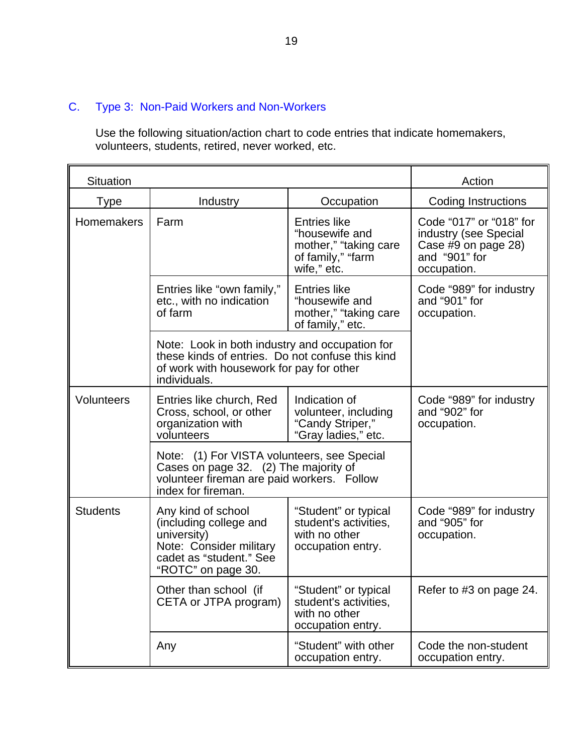### C. Type 3: Non-Paid Workers and Non-Workers

Use the following situation/action chart to code entries that indicate homemakers, volunteers, students, retired, never worked, etc.

| <b>Situation</b>  |                                                                                                                                                                |                                                                                                    | Action                                                                                                  |
|-------------------|----------------------------------------------------------------------------------------------------------------------------------------------------------------|----------------------------------------------------------------------------------------------------|---------------------------------------------------------------------------------------------------------|
| <b>Type</b>       | Industry                                                                                                                                                       | Occupation                                                                                         | <b>Coding Instructions</b>                                                                              |
| Homemakers        | Farm                                                                                                                                                           | <b>Entries like</b><br>"housewife and<br>mother," "taking care<br>of family," "farm<br>wife," etc. | Code "017" or "018" for<br>industry (see Special<br>Case #9 on page 28)<br>and "901" for<br>occupation. |
|                   | Entries like "own family,"<br>etc., with no indication<br>of farm                                                                                              | <b>Entries like</b><br>"housewife and<br>mother," "taking care<br>of family," etc.                 | Code "989" for industry<br>and "901" for<br>occupation.                                                 |
|                   | Note: Look in both industry and occupation for<br>these kinds of entries. Do not confuse this kind<br>of work with housework for pay for other<br>individuals. |                                                                                                    |                                                                                                         |
| <b>Volunteers</b> | Entries like church, Red<br>Cross, school, or other<br>organization with<br>volunteers                                                                         | Indication of<br>volunteer, including<br>"Candy Striper,"<br>"Gray ladies," etc.                   | Code "989" for industry<br>and "902" for<br>occupation.                                                 |
|                   | Note: (1) For VISTA volunteers, see Special<br>Cases on page 32. (2) The majority of<br>volunteer fireman are paid workers. Follow<br>index for fireman.       |                                                                                                    |                                                                                                         |
| <b>Students</b>   | Any kind of school<br>(including college and<br>university)<br>Note: Consider military<br>cadet as "student." See<br>"ROTC" on page 30.                        | "Student" or typical<br>student's activities,<br>with no other<br>occupation entry.                | Code "989" for industry<br>and "905" for<br>occupation.                                                 |
|                   | Other than school (if<br>CETA or JTPA program)                                                                                                                 | "Student" or typical<br>student's activities,<br>with no other<br>occupation entry.                | Refer to #3 on page 24.                                                                                 |
|                   | Any                                                                                                                                                            | "Student" with other<br>occupation entry.                                                          | Code the non-student<br>occupation entry.                                                               |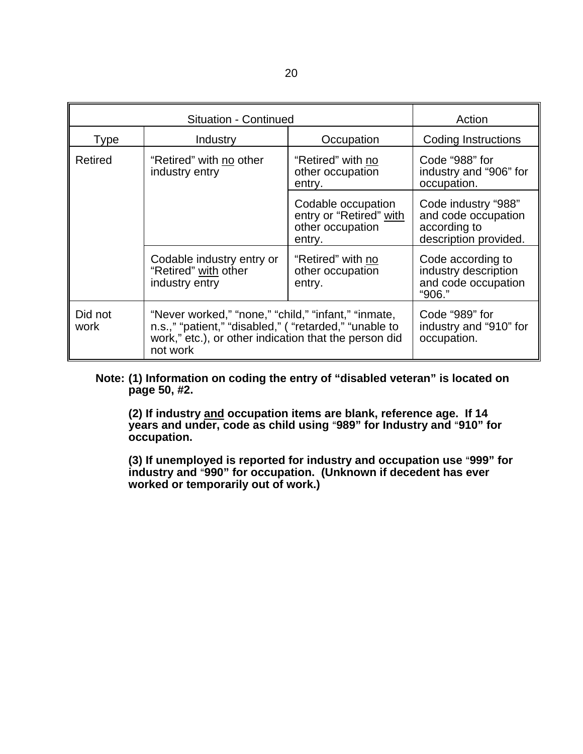| <b>Situation - Continued</b> |                                                                                                                                                                                    |                                                                             | Action                                                                              |
|------------------------------|------------------------------------------------------------------------------------------------------------------------------------------------------------------------------------|-----------------------------------------------------------------------------|-------------------------------------------------------------------------------------|
| <b>Type</b>                  | Industry                                                                                                                                                                           | Occupation                                                                  | Coding Instructions                                                                 |
| Retired                      | "Retired" with no other<br>industry entry                                                                                                                                          | "Retired" with no<br>other occupation<br>entry.                             | Code "988" for<br>industry and "906" for<br>occupation.                             |
|                              |                                                                                                                                                                                    | Codable occupation<br>entry or "Retired" with<br>other occupation<br>entry. | Code industry "988"<br>and code occupation<br>according to<br>description provided. |
|                              | Codable industry entry or<br>"Retired" with other<br>industry entry                                                                                                                | "Retired" with no<br>other occupation<br>entry.                             | Code according to<br>industry description<br>and code occupation<br>"906."          |
| Did not<br>work              | "Never worked," "none," "child," "infant," "inmate,<br>n.s.," "patient," "disabled," ( "retarded," "unable to<br>work," etc.), or other indication that the person did<br>not work |                                                                             | Code "989" for<br>industry and "910" for<br>occupation.                             |

#### **Note: (1) Information on coding the entry of "disabled veteran" is located on page 50, #2.**

**(2) If industry and occupation items are blank, reference age. If 14**   $\frac{1}{2}$  years and under, code as child using "989" for Industry and "910" for **occupation.** 

**(3) If unemployed is reported for industry and occupation use "999" for industry and "990" for occupation. (Unknown if decedent has ever worked or temporarily out of work.)**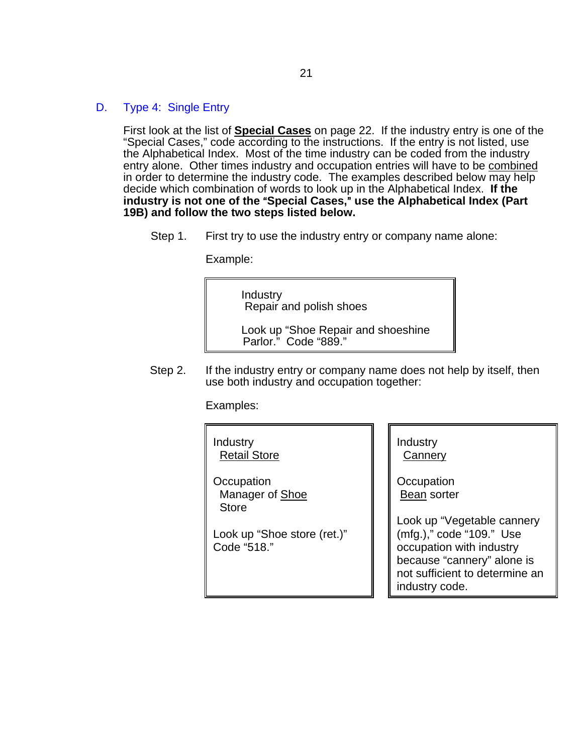#### D. Type 4: Single Entry

First look at the list of **Special Cases** on page 22. If the industry entry is one of the "Special Cases," code according to the instructions. If the entry is not listed, use the Alphabetical Index. Most of the time industry can be coded from the industry entry alone. Other times industry and occupation entries will have to be combined in order to determine the industry code. The examples described below may help decide which combination of words to look up in the Alphabetical Index. **If the**  industry is not one of the "Special Cases," use the Alphabetical Index (Part **19B) and follow the two steps listed below.** 

Step 1. First try to use the industry entry or company name alone:

Example:

Industry Repair and polish shoes

Look up "Shoe Repair and shoeshine Parlor." Code "889."

Step 2. If the industry entry or company name does not help by itself, then use both industry and occupation together:

Examples:

Industry Retail Store

**Occupation** Manager of Shoe Store

Look up "Shoe store (ret.)" Code "518."

Industry **Cannery** 

**Occupation Bean** sorter

Look up "Vegetable cannery (mfg.)," code "109." Use occupation with industry because "cannery" alone is not sufficient to determine an industry code.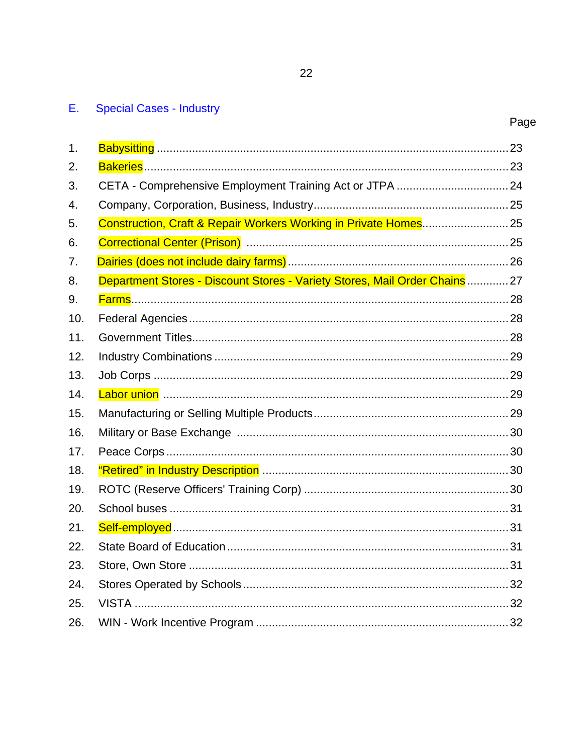## E. Special Cases - Industry

| 1.  |                                                                             |  |
|-----|-----------------------------------------------------------------------------|--|
| 2.  |                                                                             |  |
| 3.  |                                                                             |  |
| 4.  |                                                                             |  |
| 5.  | Construction, Craft & Repair Workers Working in Private Homes 25            |  |
| 6.  |                                                                             |  |
| 7.  |                                                                             |  |
| 8.  | Department Stores - Discount Stores - Variety Stores, Mail Order Chains  27 |  |
| 9.  |                                                                             |  |
| 10. |                                                                             |  |
| 11. |                                                                             |  |
| 12. |                                                                             |  |
| 13. |                                                                             |  |
| 14. |                                                                             |  |
| 15. |                                                                             |  |
|     |                                                                             |  |
| 16. |                                                                             |  |
| 17. |                                                                             |  |
| 18. |                                                                             |  |
| 19. |                                                                             |  |
| 20. |                                                                             |  |
| 21. |                                                                             |  |
| 22. |                                                                             |  |
| 23. |                                                                             |  |
| 24. |                                                                             |  |
| 25. |                                                                             |  |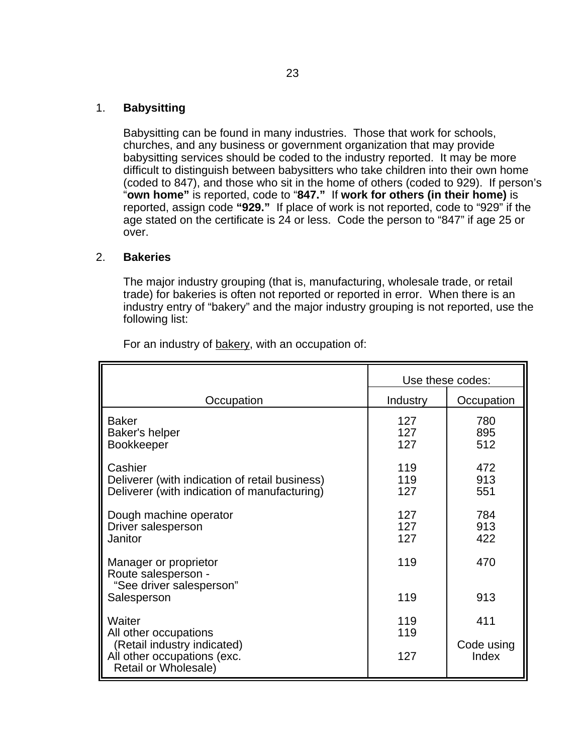#### 1. **Babysitting**

Babysitting can be found in many industries. Those that work for schools, churches, and any business or government organization that may provide babysitting services should be coded to the industry reported. It may be more difficult to distinguish between babysitters who take children into their own home (coded to 847), and those who sit in the home of others (coded to 929). If person's "**own home"** is reported, code to "**847."** If **work for others (in their home)** is reported, assign code **"929."** If place of work is not reported, code to "929" if the age stated on the certificate is 24 or less. Code the person to "847" if age 25 or over.

#### 2. **Bakeries**

The major industry grouping (that is, manufacturing, wholesale trade, or retail trade) for bakeries is often not reported or reported in error. When there is an industry entry of "bakery" and the major industry grouping is not reported, use the following list:

|                                                                                                                       |                   | Use these codes:           |
|-----------------------------------------------------------------------------------------------------------------------|-------------------|----------------------------|
| Occupation                                                                                                            | Industry          | Occupation                 |
| <b>Baker</b><br>Baker's helper<br><b>Bookkeeper</b>                                                                   | 127<br>127<br>127 | 780<br>895<br>512          |
| Cashier<br>Deliverer (with indication of retail business)<br>Deliverer (with indication of manufacturing)             | 119<br>119<br>127 | 472<br>913<br>551          |
| Dough machine operator<br>Driver salesperson<br>Janitor                                                               | 127<br>127<br>127 | 784<br>913<br>422          |
| Manager or proprietor<br>Route salesperson -<br>"See driver salesperson"<br>Salesperson                               | 119<br>119        | 470<br>913                 |
| Waiter<br>All other occupations<br>(Retail industry indicated)<br>All other occupations (exc.<br>Retail or Wholesale) | 119<br>119<br>127 | 411<br>Code using<br>Index |

For an industry of bakery, with an occupation of: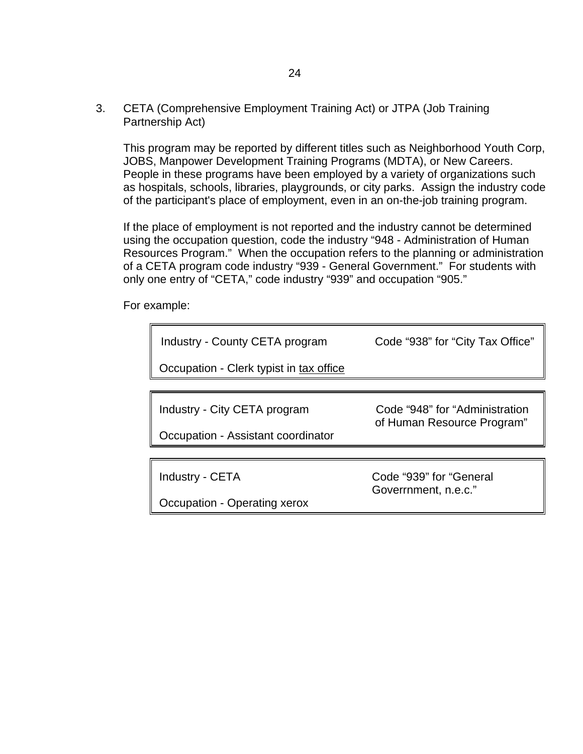3. CETA (Comprehensive Employment Training Act) or JTPA (Job Training Partnership Act)

This program may be reported by different titles such as Neighborhood Youth Corp, JOBS, Manpower Development Training Programs (MDTA), or New Careers. People in these programs have been employed by a variety of organizations such as hospitals, schools, libraries, playgrounds, or city parks. Assign the industry code of the participant's place of employment, even in an on-the-job training program.

If the place of employment is not reported and the industry cannot be determined using the occupation question, code the industry "948 - Administration of Human Resources Program." When the occupation refers to the planning or administration of a CETA program code industry "939 - General Government." For students with only one entry of "CETA," code industry "939" and occupation "905."

For example:

| Industry - County CETA program          | Code "938" for "City Tax Office"                             |
|-----------------------------------------|--------------------------------------------------------------|
| Occupation - Clerk typist in tax office |                                                              |
|                                         |                                                              |
| Industry - City CETA program            | Code "948" for "Administration<br>of Human Resource Program" |
| Occupation - Assistant coordinator      |                                                              |
|                                         |                                                              |
| Industry - CETA                         | Code "939" for "General<br>Goverrnment, n.e.c."              |
| Occupation - Operating xerox            |                                                              |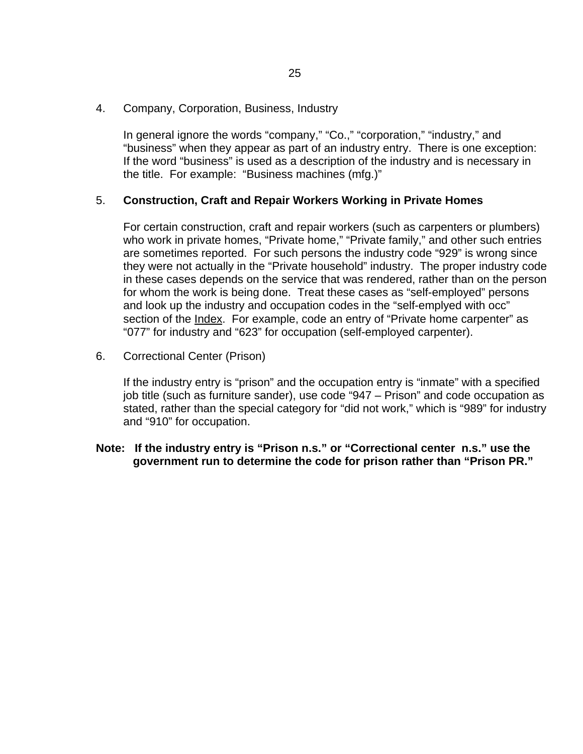4. Company, Corporation, Business, Industry

In general ignore the words "company," "Co.," "corporation," "industry," and "business" when they appear as part of an industry entry. There is one exception: If the word "business" is used as a description of the industry and is necessary in the title. For example: "Business machines (mfg.)"

### 5. **Construction, Craft and Repair Workers Working in Private Homes**

For certain construction, craft and repair workers (such as carpenters or plumbers) who work in private homes, "Private home," "Private family," and other such entries are sometimes reported. For such persons the industry code "929" is wrong since they were not actually in the "Private household" industry. The proper industry code in these cases depends on the service that was rendered, rather than on the person for whom the work is being done. Treat these cases as "self-employed" persons and look up the industry and occupation codes in the "self-emplyed with occ" section of the Index. For example, code an entry of "Private home carpenter" as "077" for industry and "623" for occupation (self-employed carpenter).

6. Correctional Center (Prison)

If the industry entry is "prison" and the occupation entry is "inmate" with a specified job title (such as furniture sander), use code "947 – Prison" and code occupation as stated, rather than the special category for "did not work," which is "989" for industry and "910" for occupation.

**Note: If the industry entry is "Prison n.s." or "Correctional center n.s." use the government run to determine the code for prison rather than "Prison PR."**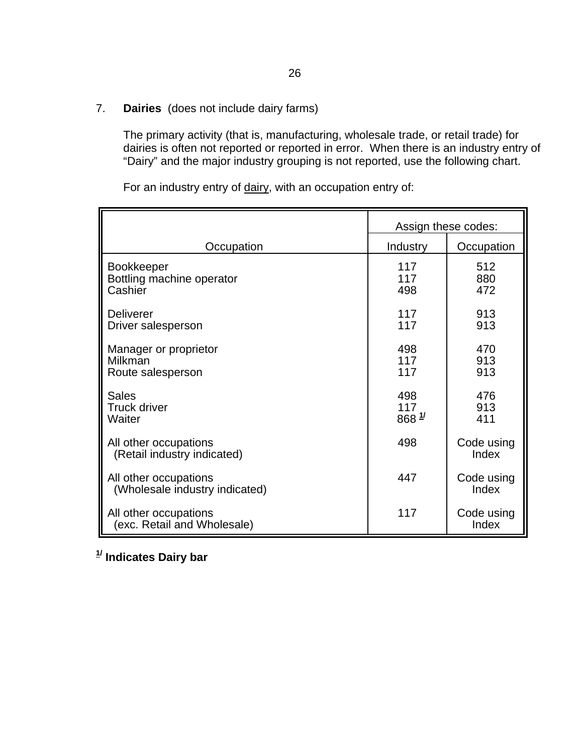7. **Dairies** (does not include dairy farms)

The primary activity (that is, manufacturing, wholesale trade, or retail trade) for dairies is often not reported or reported in error. When there is an industry entry of "Dairy" and the major industry grouping is not reported, use the following chart.

For an industry entry of dairy, with an occupation entry of:

|                                                         |                      | Assign these codes: |
|---------------------------------------------------------|----------------------|---------------------|
| Occupation                                              | Industry             | Occupation          |
| Bookkeeper<br>Bottling machine operator<br>Cashier      | 117<br>117<br>498    | 512<br>880<br>472   |
| Deliverer<br>Driver salesperson                         | 117<br>117           | 913<br>913          |
| Manager or proprietor<br>Milkman<br>Route salesperson   | 498<br>117<br>117    | 470<br>913<br>913   |
| <b>Sales</b><br><b>Truck driver</b><br>Waiter           | 498<br>117<br>868 1/ | 476<br>913<br>411   |
| All other occupations<br>(Retail industry indicated)    | 498                  | Code using<br>Index |
| All other occupations<br>(Wholesale industry indicated) | 447                  | Code using<br>Index |
| All other occupations<br>(exc. Retail and Wholesale)    | 117                  | Code using<br>Index |

**1/ Indicates Dairy bar**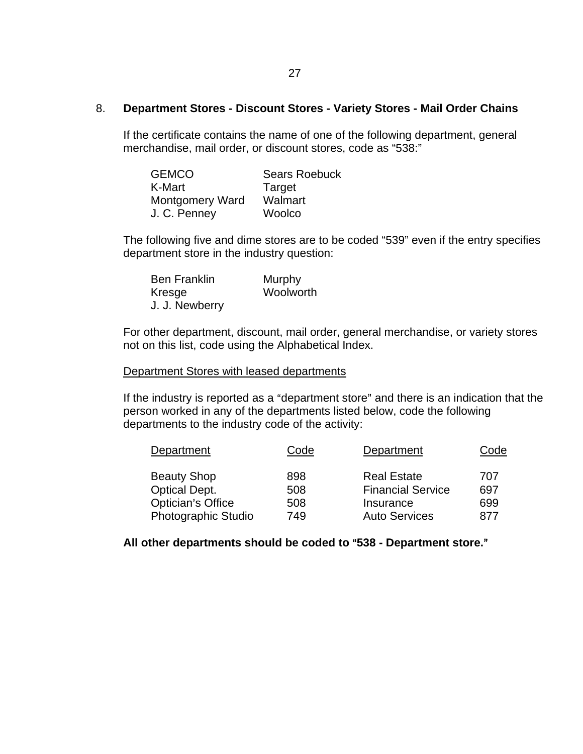#### 8. **Department Stores - Discount Stores - Variety Stores - Mail Order Chains**

If the certificate contains the name of one of the following department, general merchandise, mail order, or discount stores, code as "538:"

| <b>GEMCO</b>    | <b>Sears Roebuck</b> |
|-----------------|----------------------|
| K-Mart          | Target               |
| Montgomery Ward | Walmart              |
| J. C. Penney    | Woolco               |

The following five and dime stores are to be coded "539" even if the entry specifies department store in the industry question:

| <b>Ben Franklin</b> | Murphy    |
|---------------------|-----------|
| Kresge              | Woolworth |
| J. J. Newberry      |           |

For other department, discount, mail order, general merchandise, or variety stores not on this list, code using the Alphabetical Index.

#### Department Stores with leased departments

If the industry is reported as a "department store" and there is an indication that the person worked in any of the departments listed below, code the following departments to the industry code of the activity:

| Department               | Code | Department               | Code |
|--------------------------|------|--------------------------|------|
| <b>Beauty Shop</b>       | 898  | <b>Real Estate</b>       | 707  |
| <b>Optical Dept.</b>     | 508  | <b>Financial Service</b> | 697  |
| <b>Optician's Office</b> | 508  | Insurance                | 699  |
| Photographic Studio      | 749  | <b>Auto Services</b>     | 877  |

All other departments should be coded to "538 - Department store."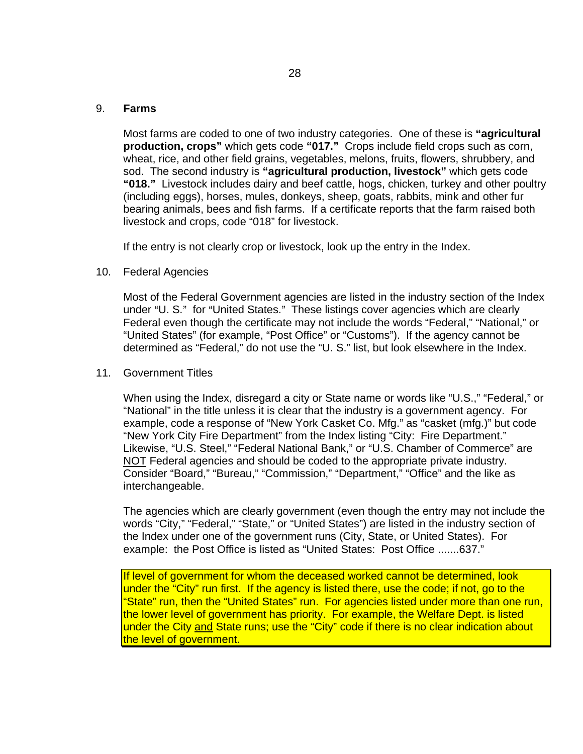#### 9. **Farms**

Most farms are coded to one of two industry categories. One of these is **"agricultural production, crops"** which gets code **"017."** Crops include field crops such as corn, wheat, rice, and other field grains, vegetables, melons, fruits, flowers, shrubbery, and sod. The second industry is **"agricultural production, livestock"** which gets code **"018."** Livestock includes dairy and beef cattle, hogs, chicken, turkey and other poultry (including eggs), horses, mules, donkeys, sheep, goats, rabbits, mink and other fur bearing animals, bees and fish farms. If a certificate reports that the farm raised both livestock and crops, code "018" for livestock.

If the entry is not clearly crop or livestock, look up the entry in the Index.

#### 10. Federal Agencies

Most of the Federal Government agencies are listed in the industry section of the Index under "U. S." for "United States." These listings cover agencies which are clearly Federal even though the certificate may not include the words "Federal," "National," or "United States" (for example, "Post Office" or "Customs"). If the agency cannot be determined as "Federal," do not use the "U. S." list, but look elsewhere in the Index.

#### 11. Government Titles

When using the Index, disregard a city or State name or words like "U.S.," "Federal," or "National" in the title unless it is clear that the industry is a government agency. For example, code a response of "New York Casket Co. Mfg." as "casket (mfg.)" but code "New York City Fire Department" from the Index listing "City: Fire Department." Likewise, "U.S. Steel," "Federal National Bank," or "U.S. Chamber of Commerce" are NOT Federal agencies and should be coded to the appropriate private industry. Consider "Board," "Bureau," "Commission," "Department," "Office" and the like as interchangeable.

The agencies which are clearly government (even though the entry may not include the words "City," "Federal," "State," or "United States") are listed in the industry section of the Index under one of the government runs (City, State, or United States). For example: the Post Office is listed as "United States: Post Office .......637."

If level of government for whom the deceased worked cannot be determined. look under the "City" run first. If the agency is listed there, use the code; if not, go to the "State" run, then the "United States" run. For agencies listed under more than one run, the lower level of government has priority. For example, the Welfare Dept. is listed under the City and State runs; use the "City" code if there is no clear indication about the level of government.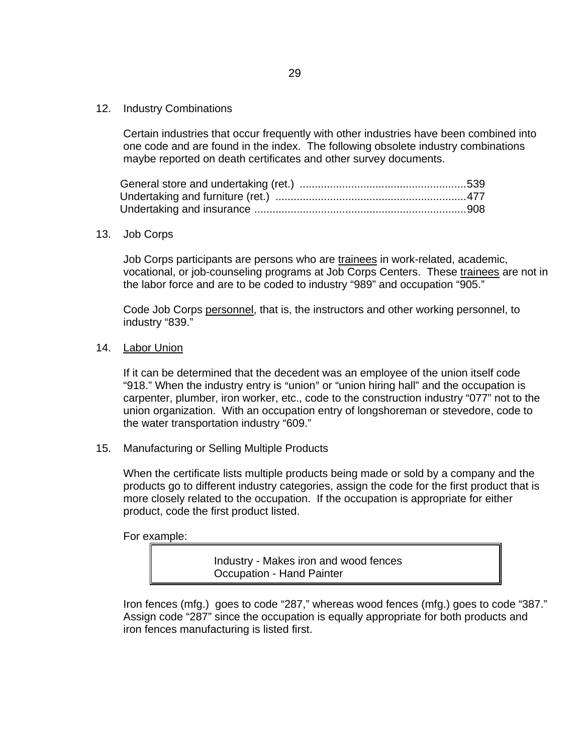12. Industry Combinations

Certain industries that occur frequently with other industries have been combined into one code and are found in the index. The following obsolete industry combinations maybe reported on death certificates and other survey documents.

#### 13. Job Corps

Job Corps participants are persons who are trainees in work-related, academic, vocational, or job-counseling programs at Job Corps Centers. These trainees are not in the labor force and are to be coded to industry "989" and occupation "905."

Code Job Corps personnel, that is, the instructors and other working personnel, to industry "839."

#### 14. Labor Union

If it can be determined that the decedent was an employee of the union itself code "918." When the industry entry is "union" or "union hiring hall" and the occupation is carpenter, plumber, iron worker, etc., code to the construction industry "077" not to the union organization. With an occupation entry of longshoreman or stevedore, code to the water transportation industry "609."

15. Manufacturing or Selling Multiple Products

When the certificate lists multiple products being made or sold by a company and the products go to different industry categories, assign the code for the first product that is more closely related to the occupation. If the occupation is appropriate for either product, code the first product listed.

For example:

Industry - Makes iron and wood fences Occupation - Hand Painter

Iron fences (mfg.) goes to code "287," whereas wood fences (mfg.) goes to code "387." Assign code "287" since the occupation is equally appropriate for both products and iron fences manufacturing is listed first.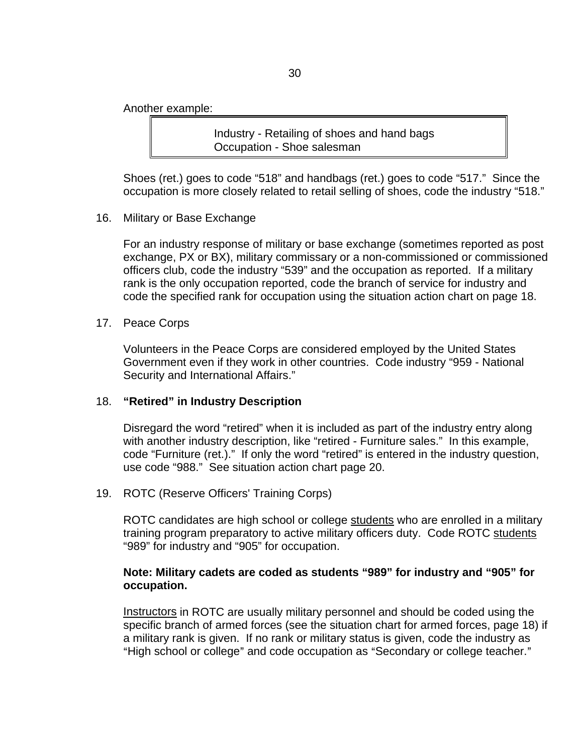Another example:

Industry - Retailing of shoes and hand bags Occupation - Shoe salesman

Shoes (ret.) goes to code "518" and handbags (ret.) goes to code "517." Since the occupation is more closely related to retail selling of shoes, code the industry "518."

16. Military or Base Exchange

For an industry response of military or base exchange (sometimes reported as post exchange, PX or BX), military commissary or a non-commissioned or commissioned officers club, code the industry "539" and the occupation as reported. If a military rank is the only occupation reported, code the branch of service for industry and code the specified rank for occupation using the situation action chart on page 18.

17. Peace Corps

Volunteers in the Peace Corps are considered employed by the United States Government even if they work in other countries. Code industry "959 - National Security and International Affairs."

#### 18. **"Retired" in Industry Description**

Disregard the word "retired" when it is included as part of the industry entry along with another industry description, like "retired - Furniture sales." In this example, code "Furniture (ret.)." If only the word "retired" is entered in the industry question, use code "988." See situation action chart page 20.

19. ROTC (Reserve Officers' Training Corps)

ROTC candidates are high school or college students who are enrolled in a military training program preparatory to active military officers duty. Code ROTC students "989" for industry and "905" for occupation.

## **Note: Military cadets are coded as students "989" for industry and "905" for occupation.**

Instructors in ROTC are usually military personnel and should be coded using the specific branch of armed forces (see the situation chart for armed forces, page 18) if a military rank is given. If no rank or military status is given, code the industry as "High school or college" and code occupation as "Secondary or college teacher."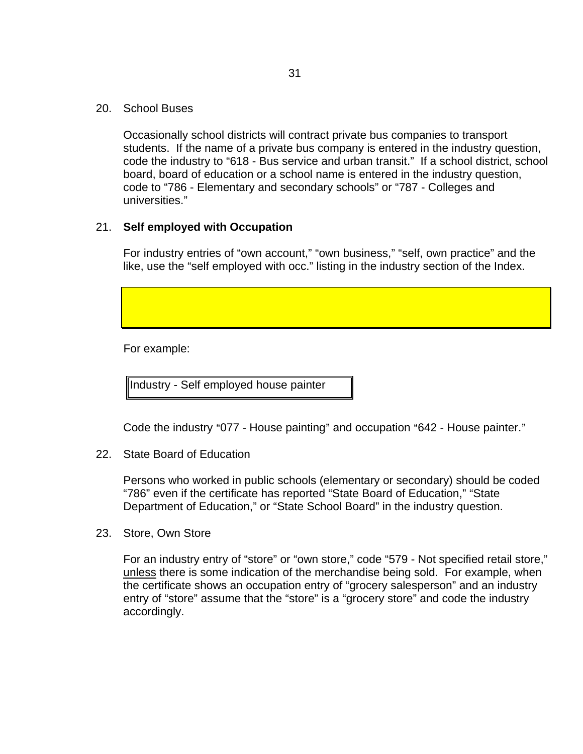20. School Buses

Occasionally school districts will contract private bus companies to transport students. If the name of a private bus company is entered in the industry question, code the industry to "618 - Bus service and urban transit." If a school district, school board, board of education or a school name is entered in the industry question, code to "786 - Elementary and secondary schools" or "787 - Colleges and universities."

## 21. **Self employed with Occupation**

For industry entries of "own account," "own business," "self, own practice" and the like, use the "self employed with occ." listing in the industry section of the Index.

For example:

Industry - Self employed house painter

Code the industry "077 - House painting" and occupation "642 - House painter."

22. State Board of Education

Persons who worked in public schools (elementary or secondary) should be coded "786" even if the certificate has reported "State Board of Education," "State Department of Education," or "State School Board" in the industry question.

23. Store, Own Store

For an industry entry of "store" or "own store," code "579 - Not specified retail store," unless there is some indication of the merchandise being sold. For example, when the certificate shows an occupation entry of "grocery salesperson" and an industry entry of "store" assume that the "store" is a "grocery store" and code the industry accordingly.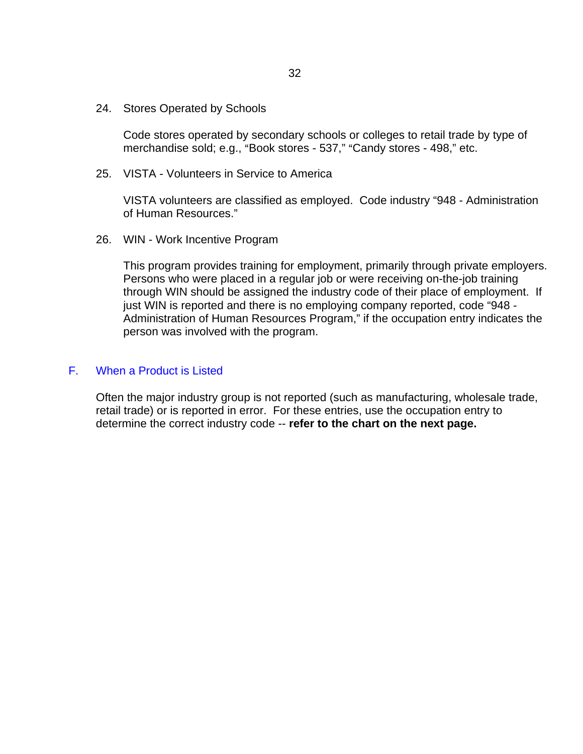24. Stores Operated by Schools

Code stores operated by secondary schools or colleges to retail trade by type of merchandise sold; e.g., "Book stores - 537," "Candy stores - 498," etc.

25. VISTA - Volunteers in Service to America

VISTA volunteers are classified as employed. Code industry "948 - Administration of Human Resources."

26. WIN - Work Incentive Program

This program provides training for employment, primarily through private employers. Persons who were placed in a regular job or were receiving on-the-job training through WIN should be assigned the industry code of their place of employment. If just WIN is reported and there is no employing company reported, code "948 -Administration of Human Resources Program," if the occupation entry indicates the person was involved with the program.

#### F. When a Product is Listed

Often the major industry group is not reported (such as manufacturing, wholesale trade, retail trade) or is reported in error. For these entries, use the occupation entry to determine the correct industry code -- **refer to the chart on the next page.**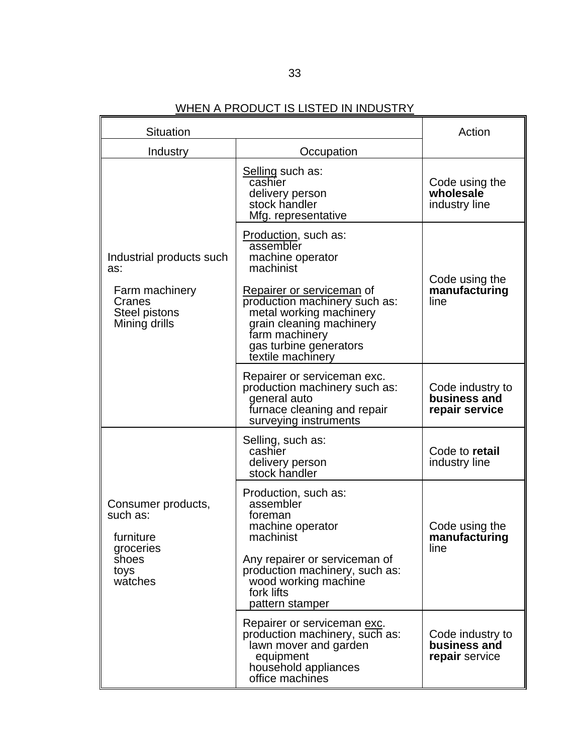# WHEN A PRODUCT IS LISTED IN INDUSTRY

| Situation                                                                                            |                                                                                                                                                                                                                                                                 | Action                                             |
|------------------------------------------------------------------------------------------------------|-----------------------------------------------------------------------------------------------------------------------------------------------------------------------------------------------------------------------------------------------------------------|----------------------------------------------------|
| Industry<br>Occupation                                                                               |                                                                                                                                                                                                                                                                 |                                                    |
|                                                                                                      | Selling such as:<br>cashier<br>delivery person<br>stock handler<br>Mfg. representative                                                                                                                                                                          | Code using the<br>wholesale<br>industry line       |
| Industrial products such<br>as:<br>Farm machinery<br>Cranes<br><b>Steel pistons</b><br>Mining drills | <b>Production, such as:</b><br>assembler<br>machine operator<br>machinist<br>Repairer or serviceman of<br>production machinery such as:<br>metal working machinery<br>grain cleaning machinery<br>farm machinery<br>gas turbine generators<br>textile machinery | Code using the<br>manufacturing<br>line            |
|                                                                                                      | Repairer or serviceman exc.<br>production machinery such as:<br>general auto<br>furnace cleaning and repair<br>surveying instruments                                                                                                                            | Code industry to<br>business and<br>repair service |
|                                                                                                      | Selling, such as:<br>cashier<br>delivery person<br>stock handler                                                                                                                                                                                                | Code to retail<br>industry line                    |
| Consumer products,<br>such as:<br>furniture<br>groceries<br>shoes<br>toys<br>watches                 | Production, such as:<br>assembler<br>foreman<br>machine operator<br>machinist<br>Any repairer or serviceman of<br>production machinery, such as:<br>wood working machine<br>fork lifts<br>pattern stamper                                                       | Code using the<br>manufacturing<br>line            |
|                                                                                                      | Repairer or serviceman exc.<br>production machinery, such as:<br>lawn mover and garden<br>equipment<br>household appliances<br>office machines                                                                                                                  | Code industry to<br>business and<br>repair service |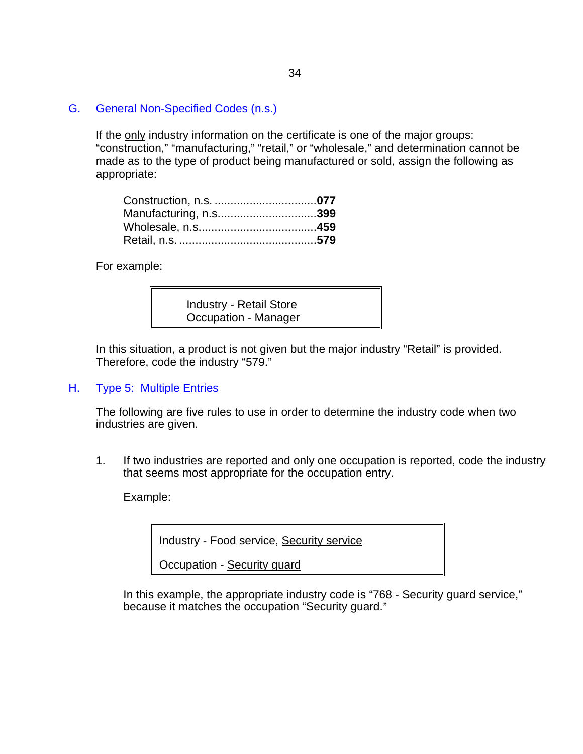G. General Non-Specified Codes (n.s.)

If the only industry information on the certificate is one of the major groups: "construction," "manufacturing," "retail," or "wholesale," and determination cannot be made as to the type of product being manufactured or sold, assign the following as appropriate:

| Manufacturing, n.s399 |  |
|-----------------------|--|
|                       |  |
|                       |  |

For example:

Industry - Retail Store Occupation - Manager

In this situation, a product is not given but the major industry "Retail" is provided. Therefore, code the industry "579."

H. Type 5: Multiple Entries

The following are five rules to use in order to determine the industry code when two industries are given.

1. If two industries are reported and only one occupation is reported, code the industry that seems most appropriate for the occupation entry.

Example:

Industry - Food service, Security service

Occupation - Security guard

In this example, the appropriate industry code is "768 - Security guard service," because it matches the occupation "Security guard."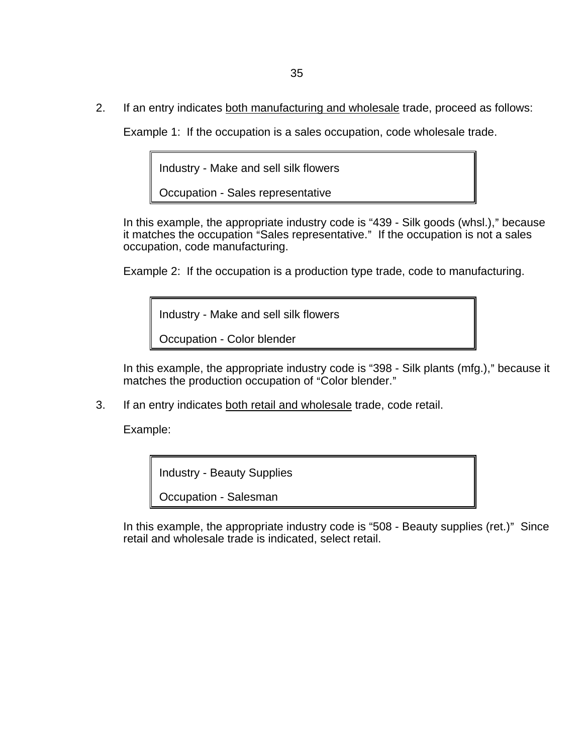2. If an entry indicates both manufacturing and wholesale trade, proceed as follows:

Example 1: If the occupation is a sales occupation, code wholesale trade.

Industry - Make and sell silk flowers

Occupation - Sales representative

In this example, the appropriate industry code is "439 - Silk goods (whsl.)," because it matches the occupation "Sales representative." If the occupation is not a sales occupation, code manufacturing.

Example 2: If the occupation is a production type trade, code to manufacturing.

Industry - Make and sell silk flowers

Occupation - Color blender

In this example, the appropriate industry code is "398 - Silk plants (mfg.)," because it matches the production occupation of "Color blender."

3. If an entry indicates both retail and wholesale trade, code retail.

Example:

Industry - Beauty Supplies

Occupation - Salesman

In this example, the appropriate industry code is "508 - Beauty supplies (ret.)" Since retail and wholesale trade is indicated, select retail.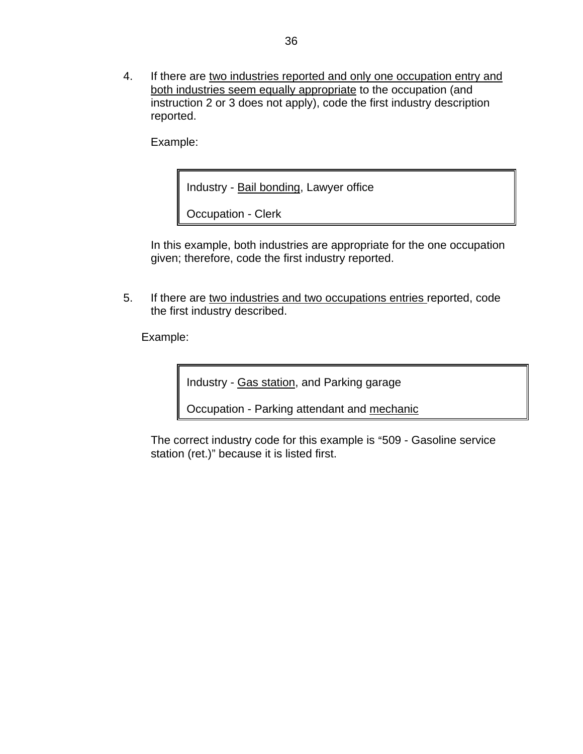4. If there are two industries reported and only one occupation entry and both industries seem equally appropriate to the occupation (and instruction 2 or 3 does not apply), code the first industry description reported.

Example:

Industry - Bail bonding, Lawyer office

Occupation - Clerk

In this example, both industries are appropriate for the one occupation given; therefore, code the first industry reported.

5. If there are two industries and two occupations entries reported, code the first industry described.

Example:

Industry - Gas station, and Parking garage

Occupation - Parking attendant and mechanic

The correct industry code for this example is "509 - Gasoline service station (ret.)" because it is listed first.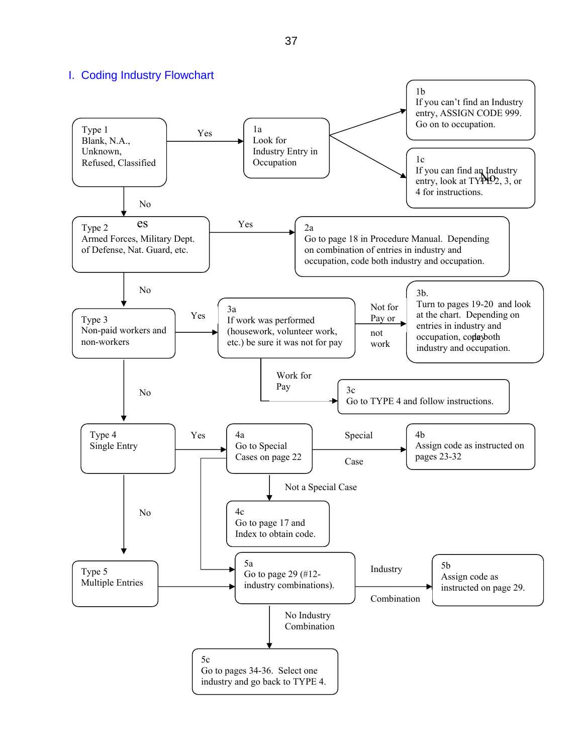I. Coding Industry Flowchart

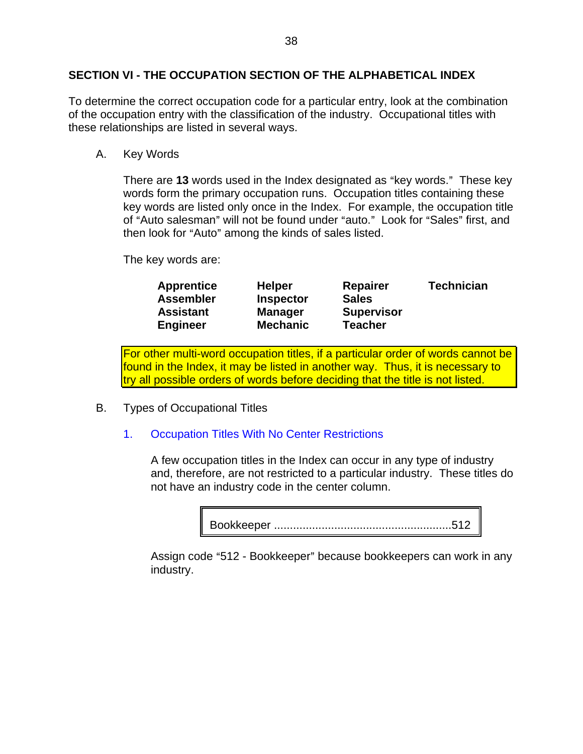# **SECTION VI - THE OCCUPATION SECTION OF THE ALPHABETICAL INDEX**

To determine the correct occupation code for a particular entry, look at the combination of the occupation entry with the classification of the industry. Occupational titles with these relationships are listed in several ways.

A. Key Words

There are 13 words used in the Index designated as "key words." These key words form the primary occupation runs. Occupation titles containing these key words are listed only once in the Index. For example, the occupation title of "Auto salesman" will not be found under "auto." Look for "Sales" first, and then look for "Auto" among the kinds of sales listed.

The key words are:

| <b>Apprentice</b> | <b>Helper</b>    | <b>Repairer</b>   | <b>Technician</b> |
|-------------------|------------------|-------------------|-------------------|
| <b>Assembler</b>  | <b>Inspector</b> | <b>Sales</b>      |                   |
| <b>Assistant</b>  | <b>Manager</b>   | <b>Supervisor</b> |                   |
| <b>Engineer</b>   | <b>Mechanic</b>  | <b>Teacher</b>    |                   |

For other multi-word occupation titles, if a particular order of words cannot be found in the Index, it may be listed in another way. Thus, it is necessary to try all possible orders of words before deciding that the title is not listed.

B. Types of Occupational Titles

# 1. Occupation Titles With No Center Restrictions

A few occupation titles in the Index can occur in any type of industry and, therefore, are not restricted to a particular industry. These titles do not have an industry code in the center column.

Bookkeeper ........................................................512

Assign code "512 - Bookkeeper" because bookkeepers can work in any industry.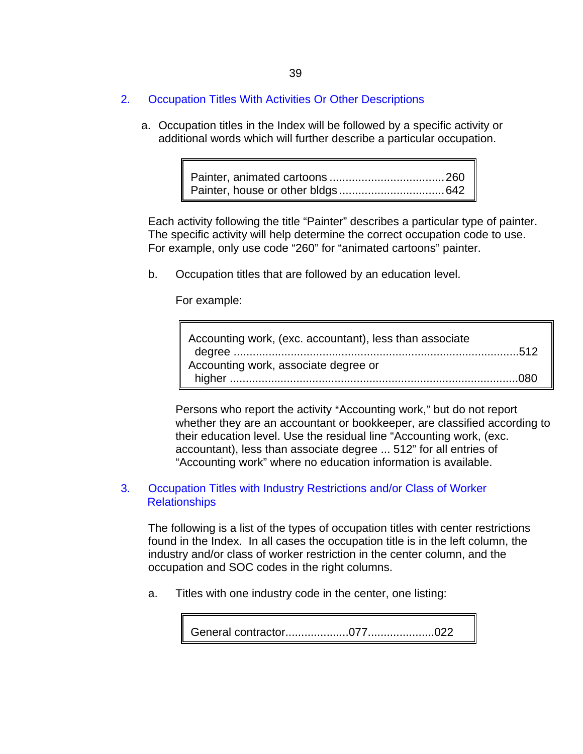- 2. Occupation Titles With Activities Or Other Descriptions
	- a. Occupation titles in the Index will be followed by a specific activity or additional words which will further describe a particular occupation.

Each activity following the title "Painter" describes a particular type of painter. The specific activity will help determine the correct occupation code to use. For example, only use code "260" for "animated cartoons" painter.

b. Occupation titles that are followed by an education level.

For example:

| Accounting work, (exc. accountant), less than associate |  |
|---------------------------------------------------------|--|
|                                                         |  |
| Accounting work, associate degree or                    |  |
|                                                         |  |

Persons who report the activity "Accounting work," but do not report whether they are an accountant or bookkeeper, are classified according to their education level. Use the residual line "Accounting work, (exc. accountant), less than associate degree ... 512" for all entries of "Accounting work" where no education information is available.

## 3. Occupation Titles with Industry Restrictions and/or Class of Worker **Relationships**

The following is a list of the types of occupation titles with center restrictions found in the Index. In all cases the occupation title is in the left column, the industry and/or class of worker restriction in the center column, and the occupation and SOC codes in the right columns.

a. Titles with one industry code in the center, one listing:

General contractor....................077.....................022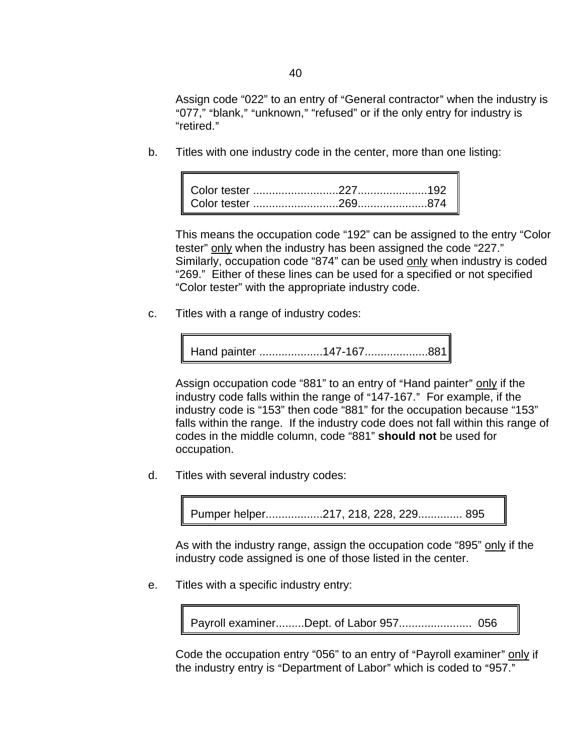Assign code "022" to an entry of "General contractor" when the industry is "077," "blank," "unknown," "refused" or if the only entry for industry is "retired."

b. Titles with one industry code in the center, more than one listing:

This means the occupation code "192" can be assigned to the entry "Color tester" only when the industry has been assigned the code "227." Similarly, occupation code "874" can be used only when industry is coded "269." Either of these lines can be used for a specified or not specified "Color tester" with the appropriate industry code.

c. Titles with a range of industry codes:

Hand painter ....................147-167....................881

Assign occupation code "881" to an entry of "Hand painter" only if the industry code falls within the range of "147-167." For example, if the industry code is "153" then code "881" for the occupation because "153" falls within the range. If the industry code does not fall within this range of codes in the middle column, code "881" **should not** be used for occupation.

d. Titles with several industry codes:

Pumper helper..................217, 218, 228, 229.............. 895

As with the industry range, assign the occupation code "895" only if the industry code assigned is one of those listed in the center.

e. Titles with a specific industry entry:

Payroll examiner.........Dept. of Labor 957....................... 056

Code the occupation entry "056" to an entry of "Payroll examiner" only if the industry entry is "Department of Labor" which is coded to "957."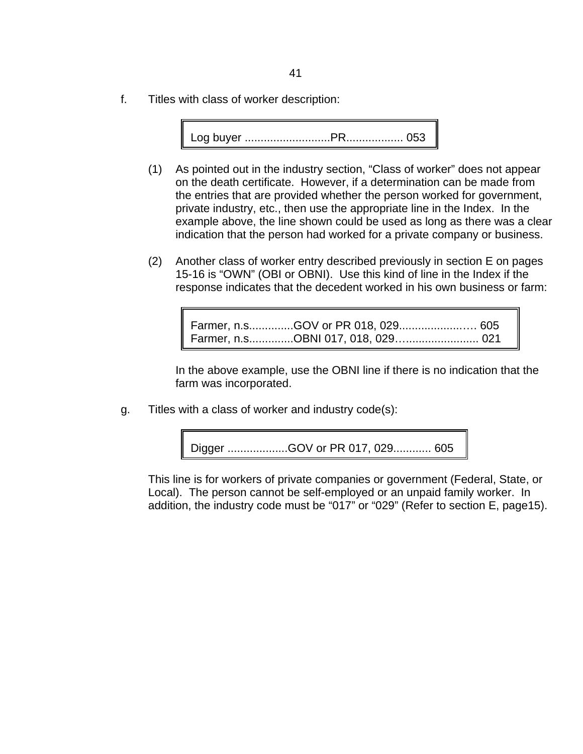f. Titles with class of worker description:

Log buyer ...........................PR.................. 053

- (1) As pointed out in the industry section, "Class of worker" does not appear on the death certificate. However, if a determination can be made from the entries that are provided whether the person worked for government, private industry, etc., then use the appropriate line in the Index. In the example above, the line shown could be used as long as there was a clear indication that the person had worked for a private company or business.
- (2) Another class of worker entry described previously in section E on pages 15-16 is "OWN" (OBI or OBNI). Use this kind of line in the Index if the response indicates that the decedent worked in his own business or farm:

Farmer, n.s..............GOV or PR 018, 029....................…. 605 Farmer, n.s..............OBNI 017, 018, 029…....................... 021

In the above example, use the OBNI line if there is no indication that the farm was incorporated.

g. Titles with a class of worker and industry code(s):



This line is for workers of private companies or government (Federal, State, or Local). The person cannot be self-employed or an unpaid family worker. In addition, the industry code must be "017" or "029" (Refer to section E, page15).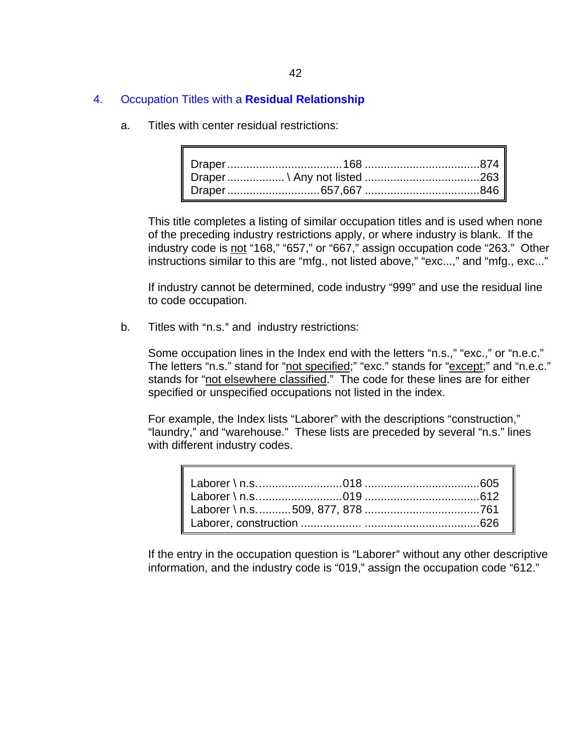#### 4. Occupation Titles with a **Residual Relationship**

a. Titles with center residual restrictions:

This title completes a listing of similar occupation titles and is used when none of the preceding industry restrictions apply, or where industry is blank. If the industry code is not "168," "657," or "667," assign occupation code "263." Other instructions similar to this are "mfg., not listed above," "exc...," and "mfg., exc..."

If industry cannot be determined, code industry "999" and use the residual line to code occupation.

b. Titles with "n.s." and industry restrictions:

Some occupation lines in the Index end with the letters "n.s.," "exc.," or "n.e.c." The letters "n.s." stand for "not specified;" "exc." stands for "except;" and "n.e.c." stands for "not elsewhere classified." The code for these lines are for either specified or unspecified occupations not listed in the index.

For example, the Index lists "Laborer" with the descriptions "construction," "laundry," and "warehouse." These lists are preceded by several "n.s." lines with different industry codes.

If the entry in the occupation question is "Laborer" without any other descriptive information, and the industry code is "019," assign the occupation code "612."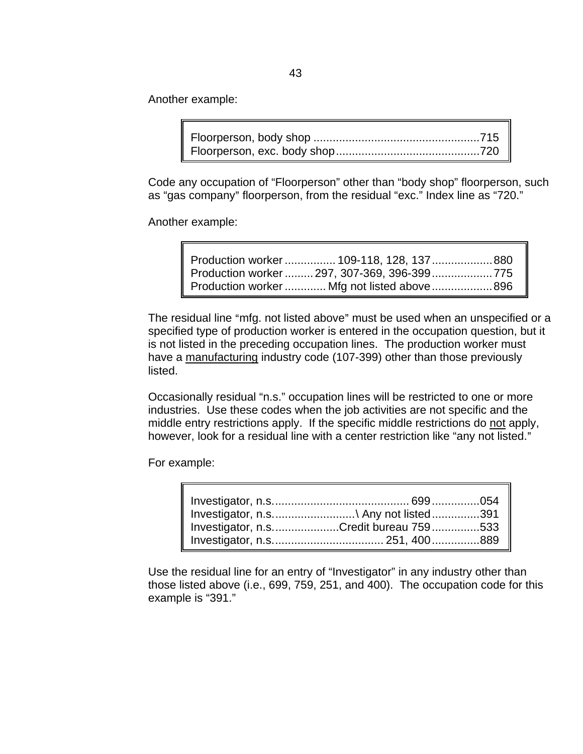Another example:

Code any occupation of "Floorperson" other than "body shop" floorperson, such as "gas company" floorperson, from the residual "exc." Index line as "720."

Another example:

| Production worker 109-118, 128, 137 880     |  |
|---------------------------------------------|--|
| Production worker  297, 307-369, 396-399    |  |
| Production worker  Mfg not listed above 896 |  |

The residual line "mfg. not listed above" must be used when an unspecified or a specified type of production worker is entered in the occupation question, but it is not listed in the preceding occupation lines. The production worker must have a manufacturing industry code (107-399) other than those previously listed.

Occasionally residual "n.s." occupation lines will be restricted to one or more industries. Use these codes when the job activities are not specific and the middle entry restrictions apply. If the specific middle restrictions do not apply, however, look for a residual line with a center restriction like "any not listed."

For example:

| Investigator, n.s\ Any not listed391  |  |
|---------------------------------------|--|
| Investigator, n.sCredit bureau 759533 |  |
|                                       |  |

Use the residual line for an entry of "Investigator" in any industry other than those listed above (i.e., 699, 759, 251, and 400). The occupation code for this example is "391."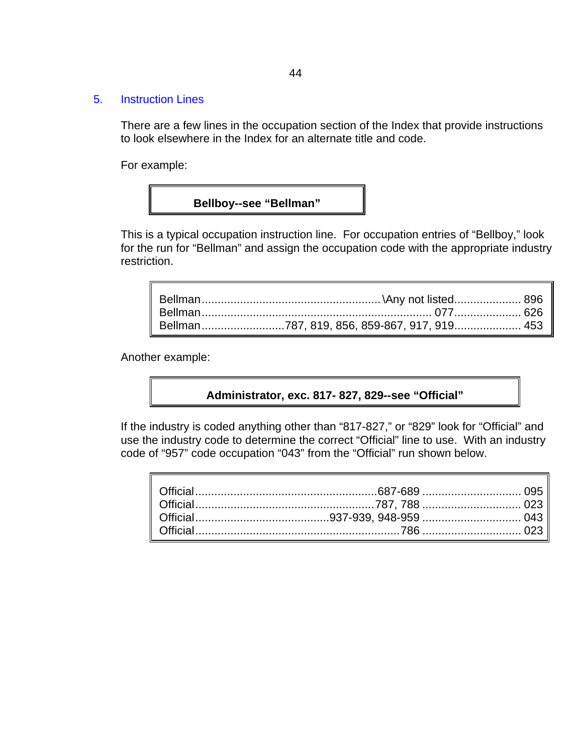#### 5. Instruction Lines

There are a few lines in the occupation section of the Index that provide instructions to look elsewhere in the Index for an alternate title and code.

For example:

# **Bellboy--see "Bellman"**

This is a typical occupation instruction line. For occupation entries of "Bellboy," look for the run for "Bellman" and assign the occupation code with the appropriate industry restriction.

| Bellman787, 819, 856, 859-867, 917, 919 453 |  |
|---------------------------------------------|--|

Another example:

#### **Administrator, exc. 817- 827, 829--see "Official"**

If the industry is coded anything other than "817-827," or "829" look for "Official" and use the industry code to determine the correct "Official" line to use. With an industry code of "957" code occupation "043" from the "Official" run shown below.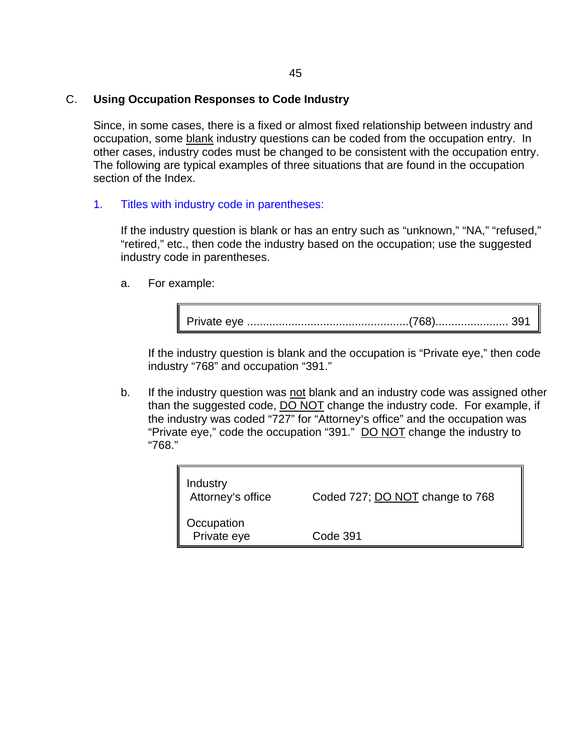## C. **Using Occupation Responses to Code Industry**

Since, in some cases, there is a fixed or almost fixed relationship between industry and occupation, some blank industry questions can be coded from the occupation entry. In other cases, industry codes must be changed to be consistent with the occupation entry. The following are typical examples of three situations that are found in the occupation section of the Index.

1. Titles with industry code in parentheses:

If the industry question is blank or has an entry such as "unknown," "NA," "refused," "retired," etc., then code the industry based on the occupation; use the suggested industry code in parentheses.

a. For example:

Private eye ...................................................(768)....................... 391

If the industry question is blank and the occupation is "Private eye," then code industry "768" and occupation "391."

b. If the industry question was not blank and an industry code was assigned other than the suggested code, DO NOT change the industry code. For example, if the industry was coded "727" for "Attorney's office" and the occupation was "Private eye," code the occupation "391." DO NOT change the industry to "768."

| Industry<br>Attorney's office | Coded 727; DO NOT change to 768 |
|-------------------------------|---------------------------------|
| Occupation<br>Private eye     | Code 391                        |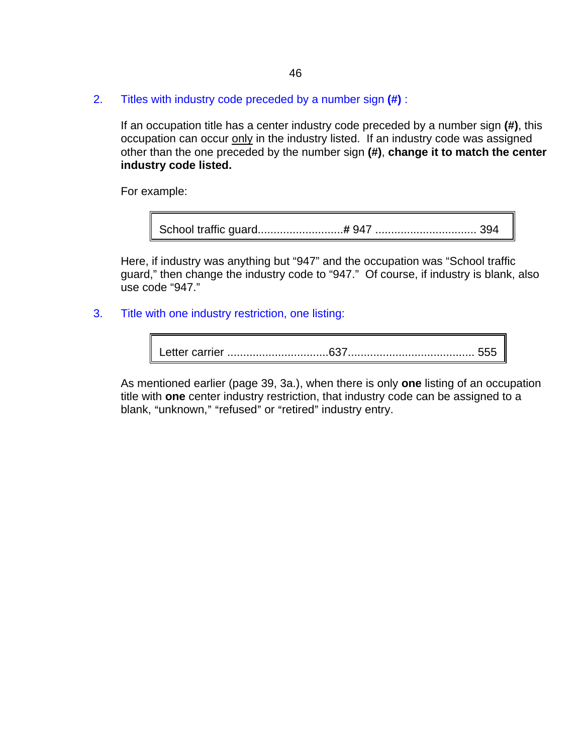2. Titles with industry code preceded by a number sign **(#)** :

If an occupation title has a center industry code preceded by a number sign **(#)**, this occupation can occur only in the industry listed. If an industry code was assigned other than the one preceded by the number sign **(#)**, **change it to match the center industry code listed.** 

For example:

School traffic guard...........................*#* 947 ................................ 394

Here, if industry was anything but "947" and the occupation was "School traffic guard," then change the industry code to "947." Of course, if industry is blank, also use code "947."

#### 3. Title with one industry restriction, one listing:

Letter carrier ................................637........................................ 555

As mentioned earlier (page 39, 3a.), when there is only **one** listing of an occupation title with **one** center industry restriction, that industry code can be assigned to a blank, "unknown," "refused" or "retired" industry entry.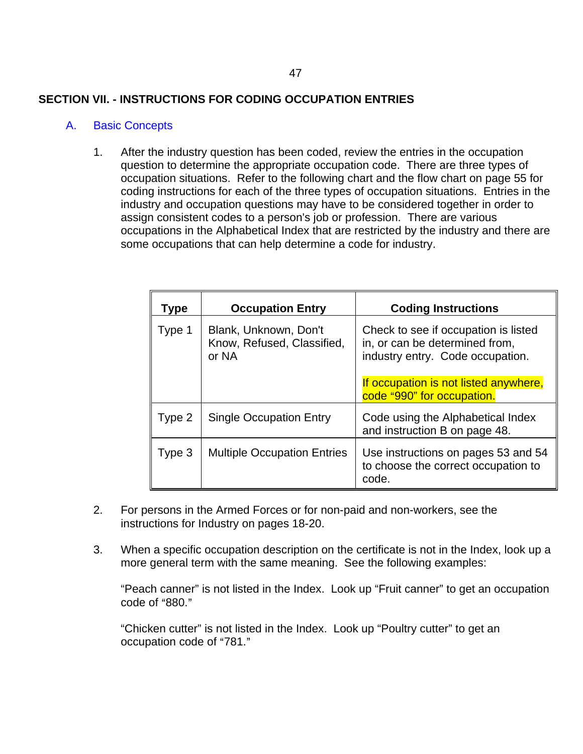# **SECTION VII. - INSTRUCTIONS FOR CODING OCCUPATION ENTRIES**

## A. Basic Concepts

1. After the industry question has been coded, review the entries in the occupation question to determine the appropriate occupation code. There are three types of occupation situations. Refer to the following chart and the flow chart on page 55 for coding instructions for each of the three types of occupation situations. Entries in the industry and occupation questions may have to be considered together in order to assign consistent codes to a person's job or profession. There are various occupations in the Alphabetical Index that are restricted by the industry and there are some occupations that can help determine a code for industry.

| Type   | <b>Occupation Entry</b>                                      | <b>Coding Instructions</b>                                                                                                                                                        |
|--------|--------------------------------------------------------------|-----------------------------------------------------------------------------------------------------------------------------------------------------------------------------------|
| Type 1 | Blank, Unknown, Don't<br>Know, Refused, Classified,<br>or NA | Check to see if occupation is listed<br>in, or can be determined from,<br>industry entry. Code occupation.<br>If occupation is not listed anywhere,<br>code "990" for occupation. |
| Type 2 | <b>Single Occupation Entry</b>                               | Code using the Alphabetical Index<br>and instruction B on page 48.                                                                                                                |
| Type 3 | <b>Multiple Occupation Entries</b>                           | Use instructions on pages 53 and 54<br>to choose the correct occupation to<br>code.                                                                                               |

- 2. For persons in the Armed Forces or for non-paid and non-workers, see the instructions for Industry on pages 18-20.
- 3. When a specific occupation description on the certificate is not in the Index, look up a more general term with the same meaning. See the following examples:

"Peach canner" is not listed in the Index. Look up "Fruit canner" to get an occupation code of " $880."$ 

"Chicken cutter" is not listed in the Index. Look up "Poultry cutter" to get an occupation code of "781."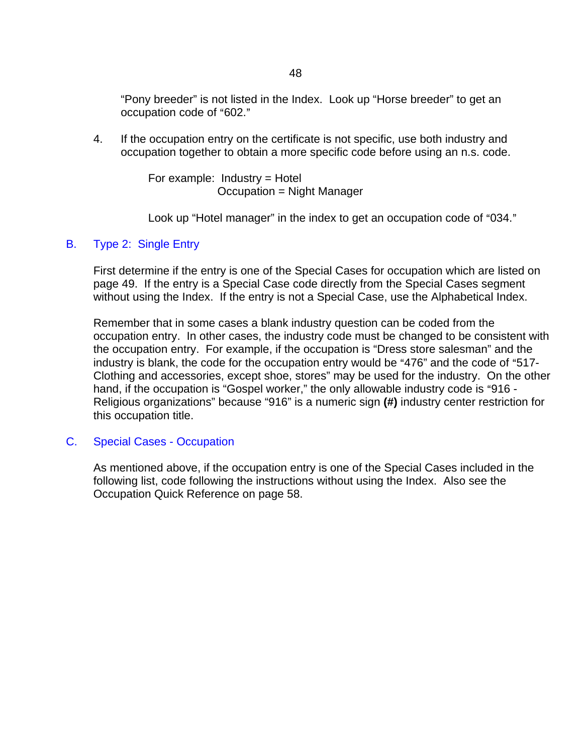"Pony breeder" is not listed in the Index. Look up "Horse breeder" to get an occupation code of "602."

4. If the occupation entry on the certificate is not specific, use both industry and occupation together to obtain a more specific code before using an n.s. code.

> For example:  $Industry = Hotel$ Occupation = Night Manager

Look up "Hotel manager" in the index to get an occupation code of "034."

## B. Type 2: Single Entry

First determine if the entry is one of the Special Cases for occupation which are listed on page 49. If the entry is a Special Case code directly from the Special Cases segment without using the Index. If the entry is not a Special Case, use the Alphabetical Index.

Remember that in some cases a blank industry question can be coded from the occupation entry. In other cases, the industry code must be changed to be consistent with the occupation entry. For example, if the occupation is "Dress store salesman" and the industry is blank, the code for the occupation entry would be "476" and the code of "517-Clothing and accessories, except shoe, stores" may be used for the industry. On the other hand, if the occupation is "Gospel worker," the only allowable industry code is "916 -Religious organizations" because "916" is a numeric sign **(#)** industry center restriction for this occupation title.

#### C. Special Cases - Occupation

As mentioned above, if the occupation entry is one of the Special Cases included in the following list, code following the instructions without using the Index. Also see the Occupation Quick Reference on page 58.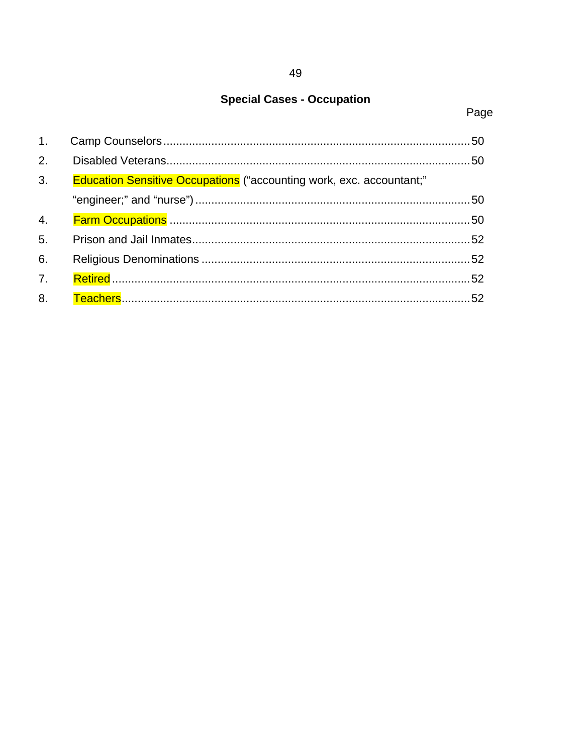# **Special Cases - Occupation**

# Page

| 2.               |                                                                             |  |
|------------------|-----------------------------------------------------------------------------|--|
| 3 <sub>1</sub>   | <b>Education Sensitive Occupations</b> ("accounting work, exc. accountant;" |  |
|                  |                                                                             |  |
| 4.               |                                                                             |  |
| 5.               |                                                                             |  |
| 6.               |                                                                             |  |
| $\overline{7}$ . |                                                                             |  |
| 8.               |                                                                             |  |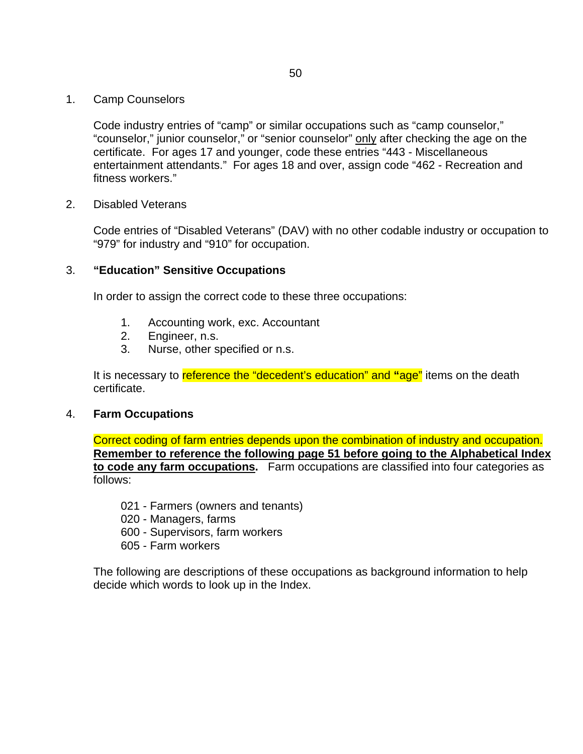1. Camp Counselors

Code industry entries of "camp" or similar occupations such as "camp counselor," "counselor," junior counselor," or "senior counselor" only after checking the age on the certificate. For ages 17 and younger, code these entries "443 - Miscellaneous entertainment attendants." For ages 18 and over, assign code "462 - Recreation and fitness workers."

2. Disabled Veterans

Code entries of "Disabled Veterans" (DAV) with no other codable industry or occupation to "979" for industry and "910" for occupation.

#### 3. **"Education" Sensitive Occupations**

In order to assign the correct code to these three occupations:

- 1. Accounting work, exc. Accountant
- 2. Engineer, n.s.
- 3. Nurse, other specified or n.s.

It is necessary to reference the "decedent's education" and **"**age" items on the death certificate.

#### 4. **Farm Occupations**

Correct coding of farm entries depends upon the combination of industry and occupation. **Remember to reference the following page 51 before going to the Alphabetical Index to code any farm occupations.** Farm occupations are classified into four categories as follows:

- 021 Farmers (owners and tenants)
- 020 Managers, farms
- 600 Supervisors, farm workers
- 605 Farm workers

The following are descriptions of these occupations as background information to help decide which words to look up in the Index.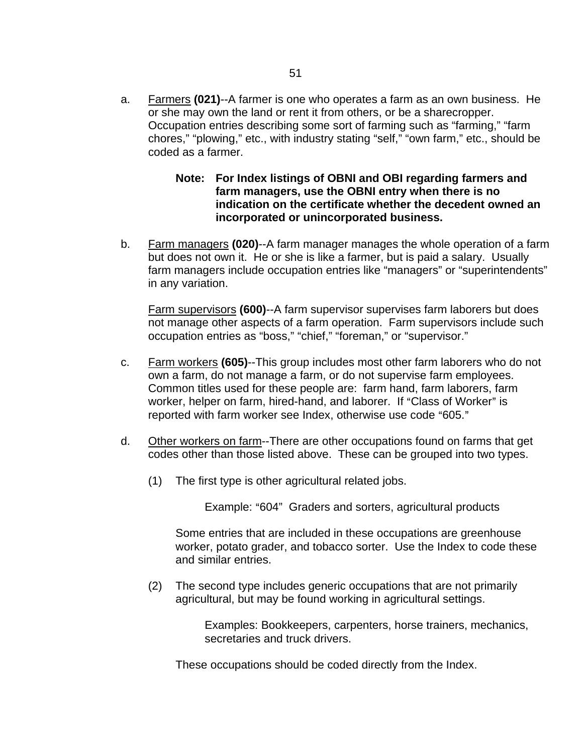- a. Farmers **(021)**--A farmer is one who operates a farm as an own business. He or she may own the land or rent it from others, or be a sharecropper. Occupation entries describing some sort of farming such as "farming," "farm chores," "plowing," etc., with industry stating "self," "own farm," etc., should be coded as a farmer.
	- **Note: For Index listings of OBNI and OBI regarding farmers and farm managers, use the OBNI entry when there is no indication on the certificate whether the decedent owned an incorporated or unincorporated business.**
- b. Farm managers **(020)**--A farm manager manages the whole operation of a farm but does not own it. He or she is like a farmer, but is paid a salary. Usually farm managers include occupation entries like "managers" or "superintendents" in any variation.

Farm supervisors **(600)**--A farm supervisor supervises farm laborers but does not manage other aspects of a farm operation. Farm supervisors include such occupation entries as "boss," "chief," "foreman," or "supervisor."

- c. Farm workers **(605)**--This group includes most other farm laborers who do not own a farm, do not manage a farm, or do not supervise farm employees. Common titles used for these people are: farm hand, farm laborers, farm worker, helper on farm, hired-hand, and laborer. If "Class of Worker" is reported with farm worker see Index, otherwise use code "605."
- d. Other workers on farm--There are other occupations found on farms that get codes other than those listed above. These can be grouped into two types.
	- (1) The first type is other agricultural related jobs.

Example: "604" Graders and sorters, agricultural products

Some entries that are included in these occupations are greenhouse worker, potato grader, and tobacco sorter. Use the Index to code these and similar entries.

(2) The second type includes generic occupations that are not primarily agricultural, but may be found working in agricultural settings.

> Examples: Bookkeepers, carpenters, horse trainers, mechanics, secretaries and truck drivers.

These occupations should be coded directly from the Index.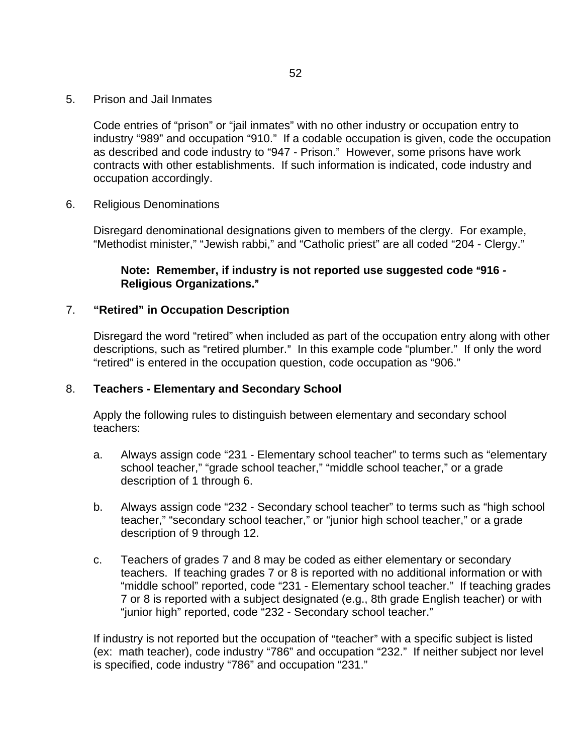5. Prison and Jail Inmates

Code entries of "prison" or "jail inmates" with no other industry or occupation entry to industry "989" and occupation "910." If a codable occupation is given, code the occupation as described and code industry to "947 - Prison." However, some prisons have work contracts with other establishments. If such information is indicated, code industry and occupation accordingly.

6. Religious Denominations

Disregard denominational designations given to members of the clergy. For example, "Methodist minister," "Jewish rabbi," and "Catholic priest" are all coded "204 - Clergy."

# Note: Remember, if industry is not reported use suggested code "916 -**Religious Organizations.**@

## 7. **"Retired" in Occupation Description**

Disregard the word "retired" when included as part of the occupation entry along with other descriptions, such as "retired plumber." In this example code "plumber." If only the word "retired" is entered in the occupation question, code occupation as "906."

# 8. **Teachers - Elementary and Secondary School**

Apply the following rules to distinguish between elementary and secondary school teachers:

- a. Always assign code "231 Elementary school teacher" to terms such as "elementary school teacher," "grade school teacher," "middle school teacher," or a grade description of 1 through 6.
- b. Always assign code "232 Secondary school teacher" to terms such as "high school teacher," "secondary school teacher," or "junior high school teacher," or a grade description of 9 through 12.
- c. Teachers of grades 7 and 8 may be coded as either elementary or secondary teachers. If teaching grades 7 or 8 is reported with no additional information or with "middle school" reported, code "231 - Elementary school teacher." If teaching grades 7 or 8 is reported with a subject designated (e.g., 8th grade English teacher) or with "junior high" reported, code "232 - Secondary school teacher."

If industry is not reported but the occupation of "teacher" with a specific subject is listed (ex: math teacher), code industry "786" and occupation "232." If neither subject nor level is specified, code industry "786" and occupation "231."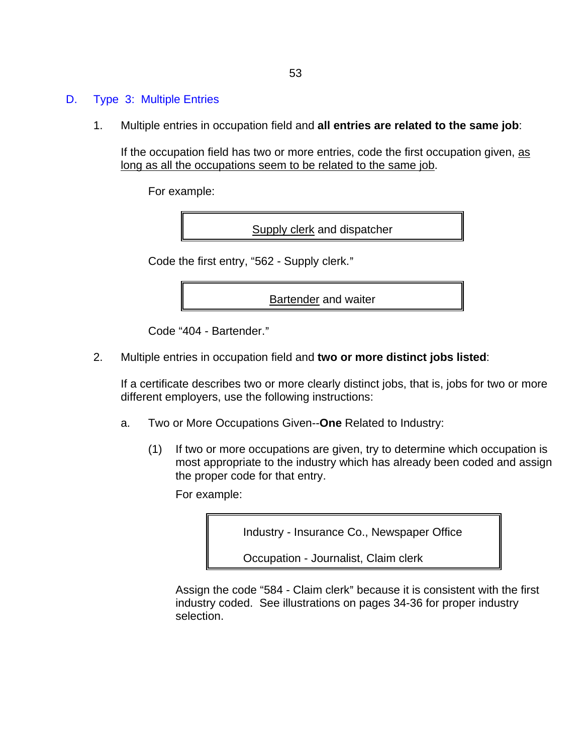## D. Type 3: Multiple Entries

1. Multiple entries in occupation field and **all entries are related to the same job**:

If the occupation field has two or more entries, code the first occupation given, as long as all the occupations seem to be related to the same job.

For example:

Supply clerk and dispatcher

Code the first entry, "562 - Supply clerk."

Bartender and waiter

Code "404 - Bartender."

2. Multiple entries in occupation field and **two or more distinct jobs listed**:

If a certificate describes two or more clearly distinct jobs, that is, jobs for two or more different employers, use the following instructions:

- a. Two or More Occupations Given--**One** Related to Industry:
	- (1) If two or more occupations are given, try to determine which occupation is most appropriate to the industry which has already been coded and assign the proper code for that entry.

For example:

Industry - Insurance Co., Newspaper Office

Occupation - Journalist, Claim clerk

Assign the code "584 - Claim clerk" because it is consistent with the first industry coded. See illustrations on pages 34-36 for proper industry selection.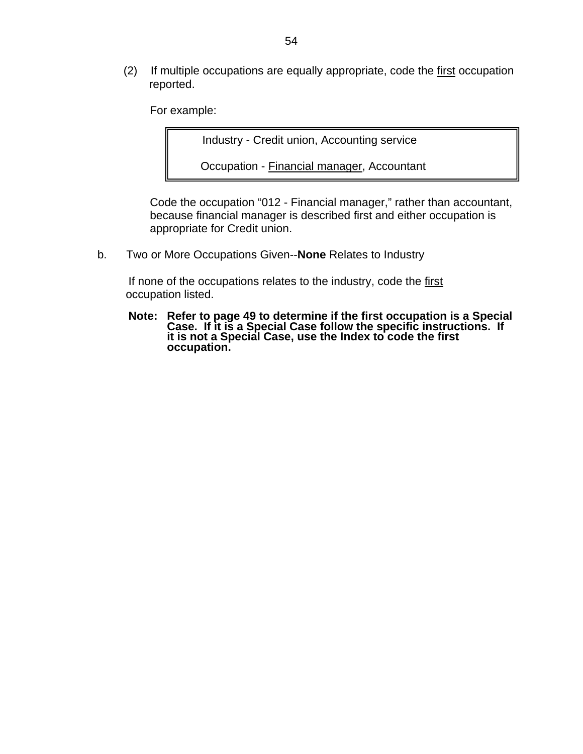(2) If multiple occupations are equally appropriate, code the first occupation reported.

For example:

Industry - Credit union, Accounting service

Occupation - Financial manager, Accountant

Code the occupation "012 - Financial manager," rather than accountant, because financial manager is described first and either occupation is appropriate for Credit union.

b. Two or More Occupations Given--**None** Relates to Industry

If none of the occupations relates to the industry, code the first occupation listed.

**Note: Refer to page 49 to determine if the first occupation is a Special Case. If it is a Special Case follow the specific instructions. If it is not a Special Case, use the Index to code the first occupation.**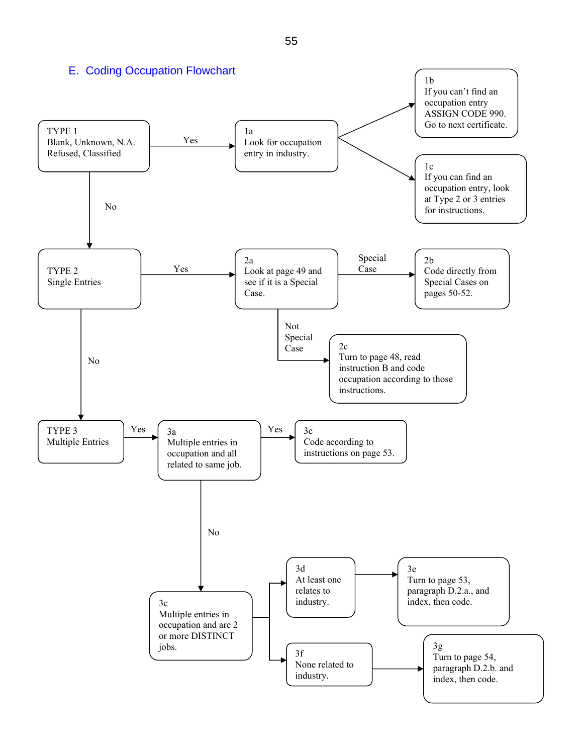E. Coding Occupation Flowchart TYPE 1 Blank, Unknown, N.A. Refused, Classified 1a Look for occupation entry in industry. 1b If you can't find an occupation entry ASSIGN CODE 990. Go to next certificate.  $1c$ If you can find an occupation entry, look at Type 2 or 3 entries for instructions. TYPE 2 Single Entries TYPE 3 Multiple Entries 2a Look at page 49 and see if it is a Special Case. 2b Code directly from Special Cases on pages 50-52.  $2c$ Turn to page 48, read instruction B and code occupation according to those instructions. 3a Multiple entries in occupation and all related to same job. 3c Code according to instructions on page 53. 3c Multiple entries in occupation and are 2 or more DISTINCT jobs. 3d At least one relates to industry. 3e Turn to page 53, paragraph D.2.a., and index, then code. 3f None related to industry. 3g Turn to page 54, paragraph D.2.b. and index, then code. Yes Yes Special Case Not Special Case No Yes No No Yes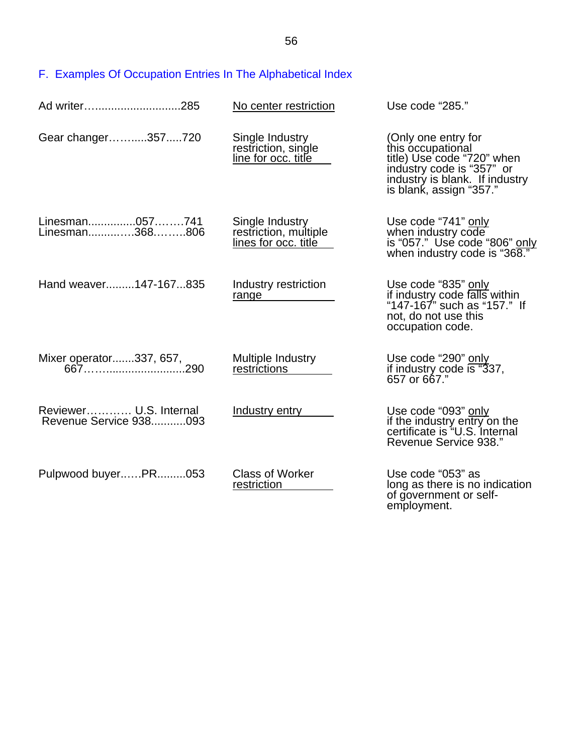F. Examples Of Occupation Entries In The Alphabetical Index

| Ad writer285                                     | No center restriction                                            | Use code "285."                                                                                                                                                  |
|--------------------------------------------------|------------------------------------------------------------------|------------------------------------------------------------------------------------------------------------------------------------------------------------------|
| Gear changer357720                               | Single Industry<br>restriction, single<br>line for occ. title    | (Only one entry for<br>this occupational<br>title) Use code "720" when<br>industry code is "357" or<br>industry is blank. If industry<br>is blank, assign "357." |
| Linesman057741<br>Linesman368806                 | Single Industry<br>restriction, multiple<br>lines for occ. title | Use code "741" only<br>when industry code<br>is "057." Use code "806" only<br>when industry code is "368."                                                       |
| Hand weaver147-167835                            | Industry restriction<br>range                                    | Use code "835" only<br>if industry code falls within<br>"147-167" such as "157." If<br>not, do not use this<br>occupation code.                                  |
|                                                  | Multiple Industry<br>restrictions                                | Use code "290" only<br>if industry code is "337,<br>657 or 667."                                                                                                 |
| Reviewer U.S. Internal<br>Revenue Service 938093 | Industry entry                                                   | Use code "093" only<br>if the industry entry on the<br>certificate is "U.S. Internal<br>Revenue Service 938."                                                    |
| Pulpwood buyerPR053                              | <b>Class of Worker</b><br>restriction                            | Use code "053" as<br>long as there is no indication<br>of government or self-<br>employment.                                                                     |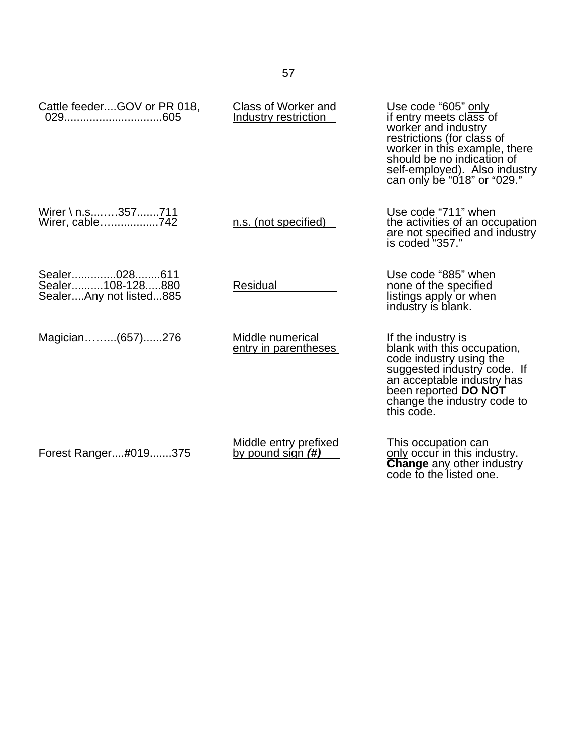| Cattle feederGOV or PR 018,                                 | Class of Worker and<br>Industry restriction | Use code "605" only<br>if entry meets class of<br>worker and industry<br>restrictions (for class of<br>worker in this example, there<br>should be no indication of<br>self-employed). Also industry<br>can only be "018" or "029." |
|-------------------------------------------------------------|---------------------------------------------|------------------------------------------------------------------------------------------------------------------------------------------------------------------------------------------------------------------------------------|
| Wirer \ n.s357711<br>Wirer, cable742                        | n.s. (not specified)                        | Use code "711" when<br>the activities of an occupation<br>are not specified and industry<br>is coded "357."                                                                                                                        |
| Sealer028611<br>Sealer108-128880<br>SealerAny not listed885 | Residual                                    | Use code "885" when<br>none of the specified<br>listings apply or when<br>industry is blank.                                                                                                                                       |
| Magician(657)276                                            | Middle numerical<br>entry in parentheses    | If the industry is<br>blank with this occupation,<br>code industry using the<br>suggested industry code. If<br>an acceptable industry has<br>been reported <b>DO NOT</b><br>change the industry code to<br>this code.              |
| Forest Ranger#019375                                        | Middle entry prefixed<br>by pound sign (#)  | This occupation can<br>only occur in this industry.<br><b>Change</b> any other industry<br>code to the listed one.                                                                                                                 |

57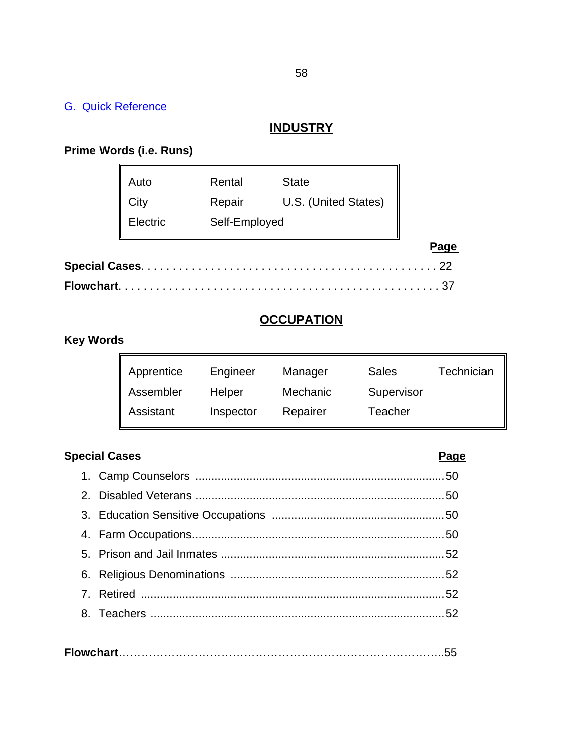## G. Quick Reference

## **INDUSTRY**

#### **Prime Words (i.e. Runs)**

|            | Auto     | Rental        | <b>State</b>         |      |
|------------|----------|---------------|----------------------|------|
|            | City     | Repair        | U.S. (United States) |      |
|            | Electric | Self-Employed |                      |      |
|            |          |               |                      | Page |
|            |          |               |                      | 22   |
| Flowchart. |          |               |                      |      |

# **OCCUPATION**

# **Key Words**

| Apprentice | Engineer  | Manager  | <b>Sales</b> | Technician |
|------------|-----------|----------|--------------|------------|
| Assembler  | Helper    | Mechanic | Supervisor   |            |
| Assistant  | Inspector | Repairer | Teacher      |            |

# **Special Cases** Page **Page 2014**

# 1. Camp Counselors ..............................................................................50 2. Disabled Veterans ..............................................................................50 3. Education Sensitive Occupations ......................................................50 4. Farm Occupations...............................................................................50 5. Prison and Jail Inmates ......................................................................52 6. Religious Denominations ...................................................................52 7. Retired ...............................................................................................52 8. Teachers ............................................................................................52

|--|--|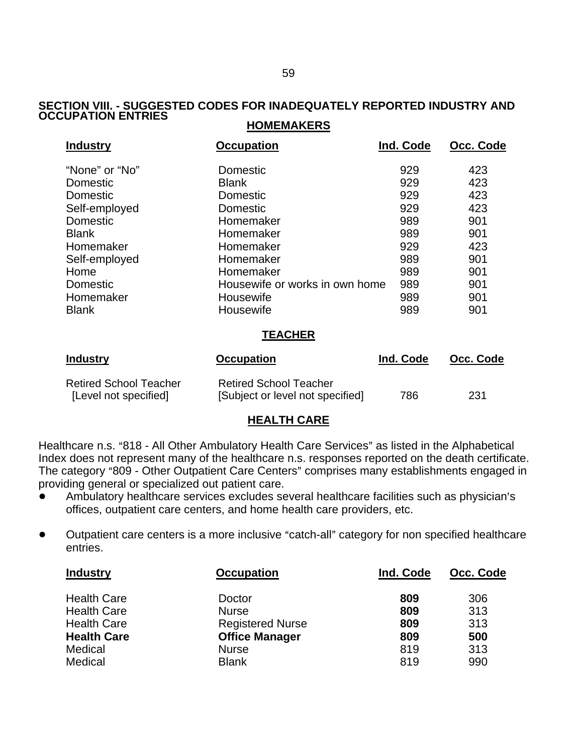#### **SECTION VIII. - SUGGESTED CODES FOR INADEQUATELY REPORTED INDUSTRY AND OCCUPATION ENTRIES HOMEMAKERS**

| <b>Industry</b> | <b>Occupation</b>              | Ind. Code | Occ. Code |
|-----------------|--------------------------------|-----------|-----------|
| "None" or "No"  | Domestic                       | 929       | 423       |
| Domestic        | <b>Blank</b>                   | 929       | 423       |
| Domestic        | Domestic                       | 929       | 423       |
| Self-employed   | Domestic                       | 929       | 423       |
| <b>Domestic</b> | Homemaker                      | 989       | 901       |
| <b>Blank</b>    | Homemaker                      | 989       | 901       |
| Homemaker       | Homemaker                      | 929       | 423       |
| Self-employed   | Homemaker                      | 989       | 901       |
| Home            | Homemaker                      | 989       | 901       |
| Domestic        | Housewife or works in own home | 989       | 901       |
| Homemaker       | Housewife                      | 989       | 901       |
| <b>Blank</b>    | Housewife                      | 989       | 901       |
| <b>TEACHER</b>  |                                |           |           |

| <b>Industry</b>               | <b>Occupation</b>                | Ind. Code | Occ. Code |
|-------------------------------|----------------------------------|-----------|-----------|
| <b>Retired School Teacher</b> | <b>Retired School Teacher</b>    |           |           |
| [Level not specified]         | [Subject or level not specified] | 786       | 231       |

#### **HEALTH CARE**

Healthcare n.s. "818 - All Other Ambulatory Health Care Services" as listed in the Alphabetical Index does not represent many of the healthcare n.s. responses reported on the death certificate. The category "809 - Other Outpatient Care Centers" comprises many establishments engaged in providing general or specialized out patient care.

- Ambulatory healthcare services excludes several healthcare facilities such as physician's offices, outpatient care centers, and home health care providers, etc.
- Outpatient care centers is a more inclusive "catch-all" category for non specified healthcare entries.

| <b>Occupation</b>       | Ind. Code | Occ. Code |
|-------------------------|-----------|-----------|
| Doctor                  | 809       | 306       |
| <b>Nurse</b>            | 809       | 313       |
| <b>Registered Nurse</b> | 809       | 313       |
| <b>Office Manager</b>   | 809       | 500       |
| <b>Nurse</b>            | 819       | 313       |
| <b>Blank</b>            | 819       | 990       |
|                         |           |           |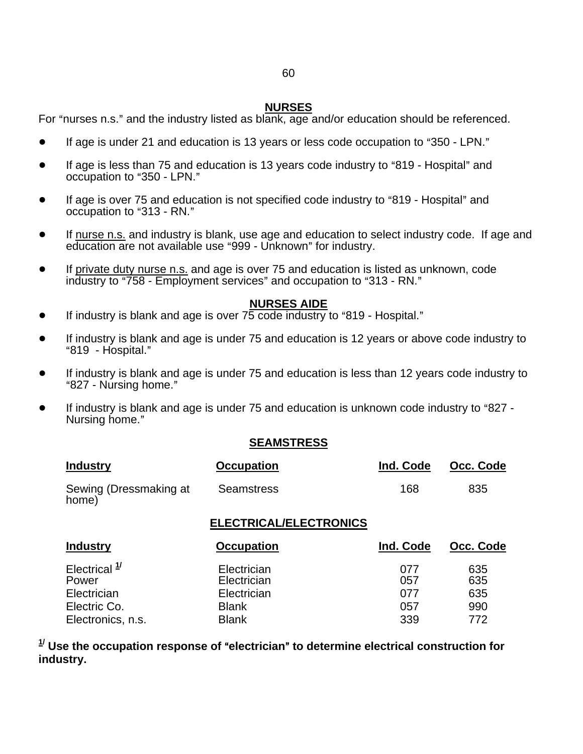## 60

#### **NURSES**

For "nurses n.s." and the industry listed as blank, age and/or education should be referenced.

- If age is under 21 and education is 13 years or less code occupation to "350 LPN."
- If age is less than 75 and education is 13 years code industry to "819 Hospital" and occupation to "350 - LPN."
- If age is over 75 and education is not specified code industry to "819 Hospital" and occupation to "313 - RN."
- If nurse n.s. and industry is blank, use age and education to select industry code. If age and education are not available use "999 - Unknown" for industry.
- If private duty nurse n.s. and age is over 75 and education is listed as unknown, code industry to "758 - Employment services" and occupation to "313 - RN."

#### **NURSES AIDE**

- **•** If industry is blank and age is over  $75 \text{ code industry}$  to "819 Hospital."
- If industry is blank and age is under 75 and education is 12 years or above code industry to "819 - Hospital."
- If industry is blank and age is under 75 and education is less than 12 years code industry to "827 - Nursing home."
- If industry is blank and age is under 75 and education is unknown code industry to "827 -Nursing home."

#### **SEAMSTRESS**

| <b>Industry</b>                 | <b>Occupation</b> | Ind. Code | Occ. Code |
|---------------------------------|-------------------|-----------|-----------|
| Sewing (Dressmaking at<br>home) | Seamstress        | 168       | 835       |

#### **ELECTRICAL/ELECTRONICS**

| <b>Industry</b>         | <b>Occupation</b> | Ind. Code | Occ. Code |
|-------------------------|-------------------|-----------|-----------|
| Electrical <sup>1</sup> | Electrician       | 077       | 635       |
| Power                   | Electrician       | 057       | 635       |
| Electrician             | Electrician       | 077       | 635       |
| Electric Co.            | <b>Blank</b>      | 057       | 990       |
| Electronics, n.s.       | <b>Blank</b>      | 339       | 772       |

 $^{1\prime}$  Use the occupation response of "electrician" to determine electrical construction for **industry.**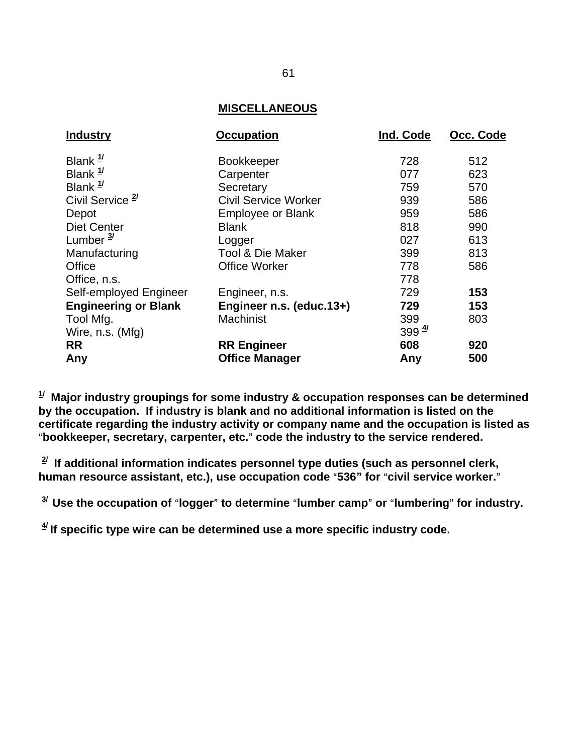#### **MISCELLANEOUS**

| <b>Industry</b>             | <b>Occupation</b>           | Ind. Code         | Occ. Code |
|-----------------------------|-----------------------------|-------------------|-----------|
| Blank $\frac{1}{1}$         | <b>Bookkeeper</b>           | 728               | 512       |
| Blank $\frac{1}{2}$         | Carpenter                   | 077               | 623       |
| Blank $\frac{1}{2}$         | Secretary                   | 759               | 570       |
| Civil Service <sup>2</sup>  | <b>Civil Service Worker</b> | 939               | 586       |
| Depot                       | <b>Employee or Blank</b>    | 959               | 586       |
| <b>Diet Center</b>          | <b>Blank</b>                | 818               | 990       |
| Lumber $\frac{3}{2}$        | Logger                      | 027               | 613       |
| Manufacturing               | <b>Tool &amp; Die Maker</b> | 399               | 813       |
| Office                      | <b>Office Worker</b>        | 778               | 586       |
| Office, n.s.                |                             | 778               |           |
| Self-employed Engineer      | Engineer, n.s.              | 729               | 153       |
| <b>Engineering or Blank</b> | Engineer n.s. (educ.13+)    | 729               | 153       |
| Tool Mfg.                   | Machinist                   | 399               | 803       |
| Wire, n.s. (Mfg)            |                             | $399 \frac{4}{7}$ |           |
| <b>RR</b>                   | <b>RR Engineer</b>          | 608               | 920       |
| Any                         | <b>Office Manager</b>       | Any               | 500       |

**1/ Major industry groupings for some industry & occupation responses can be determined by the occupation. If industry is blank and no additional information is listed on the certificate regarding the industry activity or company name and the occupation is listed as**  A**bookkeeper, secretary, carpenter, etc.**@ **code the industry to the service rendered.** 

**2/ If additional information indicates personnel type duties (such as personnel clerk,**  human resource assistant, etc.), use occupation code "536" for "civil service worker."

<sup>3/</sup> Use the occupation of "logger" to determine "lumber camp" or "lumbering" for industry.

**4/ If specific type wire can be determined use a more specific industry code.**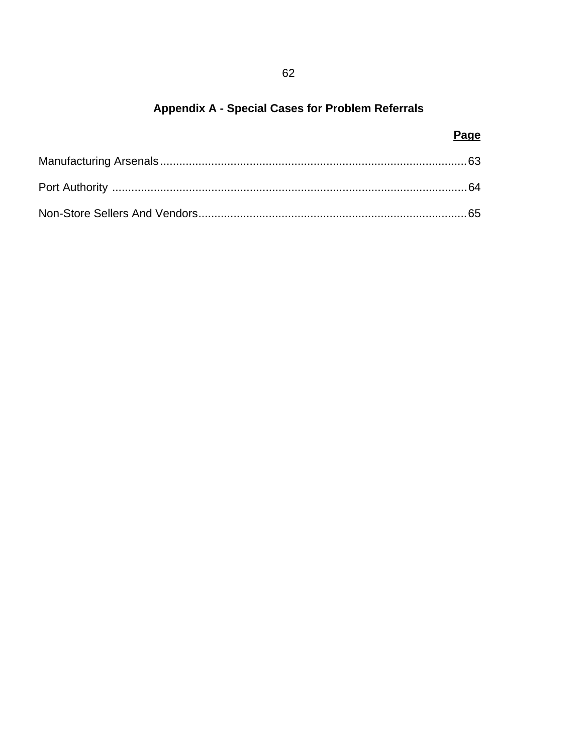# Appendix A - Special Cases for Problem Referrals

| Page |
|------|
|      |
|      |
|      |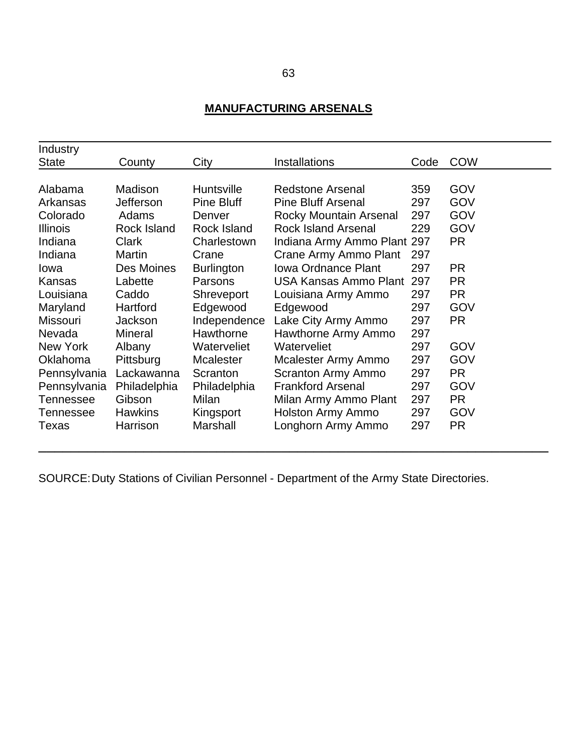# **MANUFACTURING ARSENALS**

| Industry         |                |                   |                             |      |            |
|------------------|----------------|-------------------|-----------------------------|------|------------|
| <b>State</b>     | County         | City              | <b>Installations</b>        | Code | <b>COW</b> |
|                  |                |                   |                             |      |            |
| Alabama          | Madison        | <b>Huntsville</b> | <b>Redstone Arsenal</b>     | 359  | GOV        |
| Arkansas         | Jefferson      | Pine Bluff        | <b>Pine Bluff Arsenal</b>   | 297  | GOV        |
| Colorado         | Adams          | Denver            | Rocky Mountain Arsenal      | 297  | GOV        |
| <b>Illinois</b>  | Rock Island    | Rock Island       | <b>Rock Island Arsenal</b>  | 229  | GOV        |
| Indiana          | Clark          | Charlestown       | Indiana Army Ammo Plant 297 |      | PR.        |
| Indiana          | Martin         | Crane             | Crane Army Ammo Plant       | 297  |            |
| lowa             | Des Moines     | <b>Burlington</b> | <b>Iowa Ordnance Plant</b>  | 297  | PR.        |
| Kansas           | Labette        | Parsons           | USA Kansas Ammo Plant       | 297  | <b>PR</b>  |
| Louisiana        | Caddo          | Shreveport        | Louisiana Army Ammo         | 297  | <b>PR</b>  |
| Maryland         | Hartford       | Edgewood          | Edgewood                    | 297  | GOV        |
| <b>Missouri</b>  | Jackson        | Independence      | Lake City Army Ammo         | 297  | <b>PR</b>  |
| Nevada           | <b>Mineral</b> | Hawthorne         | Hawthorne Army Ammo         | 297  |            |
| New York         | Albany         | Waterveliet       | Waterveliet                 | 297  | GOV        |
| Oklahoma         | Pittsburg      | <b>Mcalester</b>  | Mcalester Army Ammo         | 297  | GOV        |
| Pennsylvania     | Lackawanna     | Scranton          | Scranton Army Ammo          | 297  | PR.        |
| Pennsylvania     | Philadelphia   | Philadelphia      | <b>Frankford Arsenal</b>    | 297  | GOV        |
| <b>Tennessee</b> | Gibson         | Milan             | Milan Army Ammo Plant       | 297  | <b>PR</b>  |
| Tennessee        | <b>Hawkins</b> | Kingsport         | Holston Army Ammo           | 297  | GOV        |
| Texas            | Harrison       | Marshall          | Longhorn Army Ammo          | 297  | PR.        |
|                  |                |                   |                             |      |            |

───────────────────────────────────────────────────────────────

SOURCE: Duty Stations of Civilian Personnel - Department of the Army State Directories.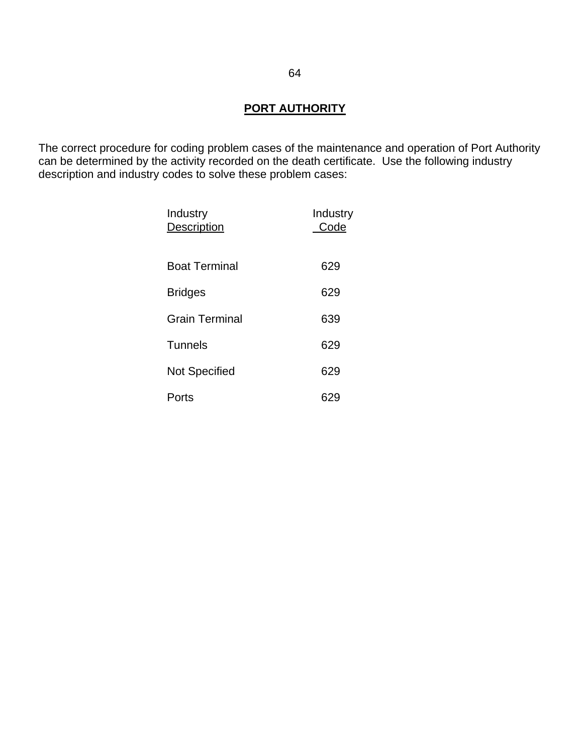# **PORT AUTHORITY**

The correct procedure for coding problem cases of the maintenance and operation of Port Authority can be determined by the activity recorded on the death certificate. Use the following industry description and industry codes to solve these problem cases:

| Industry<br><b>Description</b> | Industry<br>Code |
|--------------------------------|------------------|
| <b>Boat Terminal</b>           | 629              |
| <b>Bridges</b>                 | 629              |
| Grain Terminal                 | 639              |
| <b>Tunnels</b>                 | 629              |
| <b>Not Specified</b>           | 629              |
| Ports                          |                  |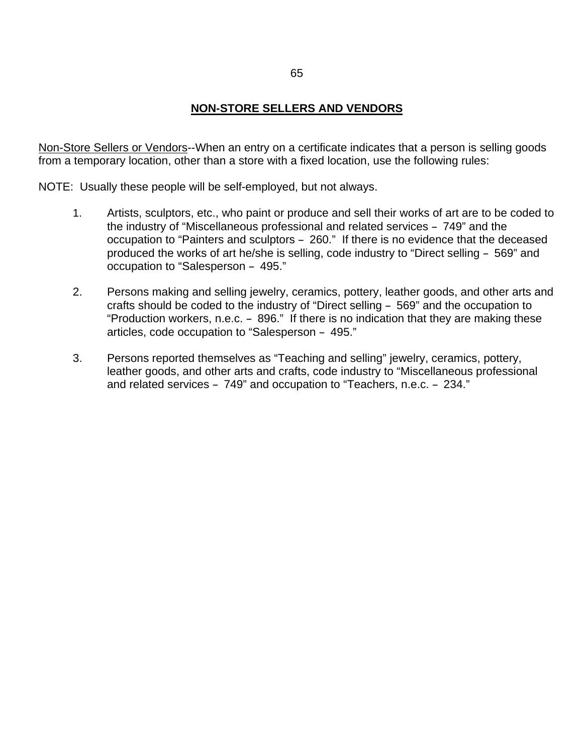# **NON-STORE SELLERS AND VENDORS**

Non-Store Sellers or Vendors--When an entry on a certificate indicates that a person is selling goods from a temporary location, other than a store with a fixed location, use the following rules:

NOTE: Usually these people will be self-employed, but not always.

- 1. Artists, sculptors, etc., who paint or produce and sell their works of art are to be coded to the industry of "Miscellaneous professional and related services - 749" and the occupation to "Painters and sculptors - 260." If there is no evidence that the deceased produced the works of art he/she is selling, code industry to "Direct selling - 569" and occupation to "Salesperson - 495."
- 2. Persons making and selling jewelry, ceramics, pottery, leather goods, and other arts and crafts should be coded to the industry of "Direct selling - 569" and the occupation to "Production workers, n.e.c. - 896." If there is no indication that they are making these articles, code occupation to "Salesperson - 495."
- 3. Persons reported themselves as "Teaching and selling" jewelry, ceramics, pottery, leather goods, and other arts and crafts, code industry to "Miscellaneous professional and related services  $-749$ " and occupation to "Teachers, n.e.c.  $-234$ ."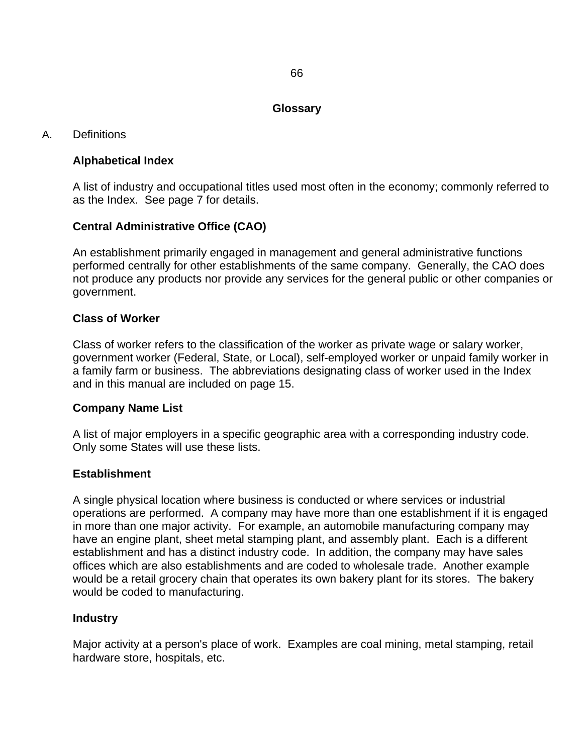#### **Glossary**

# A. Definitions

# **Alphabetical Index**

A list of industry and occupational titles used most often in the economy; commonly referred to as the Index. See page 7 for details.

# **Central Administrative Office (CAO)**

An establishment primarily engaged in management and general administrative functions performed centrally for other establishments of the same company. Generally, the CAO does not produce any products nor provide any services for the general public or other companies or government.

# **Class of Worker**

Class of worker refers to the classification of the worker as private wage or salary worker, government worker (Federal, State, or Local), self-employed worker or unpaid family worker in a family farm or business. The abbreviations designating class of worker used in the Index and in this manual are included on page 15.

#### **Company Name List**

A list of major employers in a specific geographic area with a corresponding industry code. Only some States will use these lists.

#### **Establishment**

A single physical location where business is conducted or where services or industrial operations are performed. A company may have more than one establishment if it is engaged in more than one major activity. For example, an automobile manufacturing company may have an engine plant, sheet metal stamping plant, and assembly plant. Each is a different establishment and has a distinct industry code. In addition, the company may have sales offices which are also establishments and are coded to wholesale trade. Another example would be a retail grocery chain that operates its own bakery plant for its stores. The bakery would be coded to manufacturing.

#### **Industry**

Major activity at a person's place of work. Examples are coal mining, metal stamping, retail hardware store, hospitals, etc.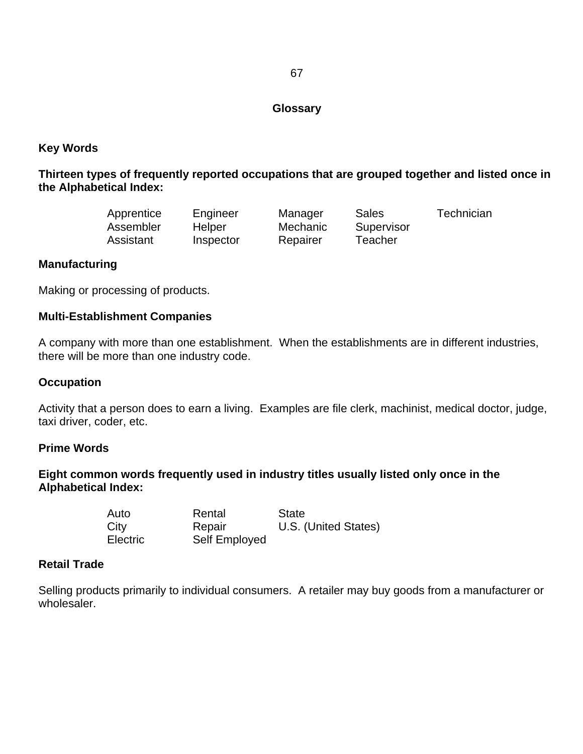# **Glossary**

# **Key Words**

# **Thirteen types of frequently reported occupations that are grouped together and listed once in the Alphabetical Index:**

| Apprentice | Engineer  | Manager  | Sales      | Technician |
|------------|-----------|----------|------------|------------|
| Assembler  | Helper    | Mechanic | Supervisor |            |
| Assistant  | Inspector | Repairer | Teacher    |            |

# **Manufacturing**

Making or processing of products.

#### **Multi-Establishment Companies**

A company with more than one establishment. When the establishments are in different industries, there will be more than one industry code.

#### **Occupation**

Activity that a person does to earn a living. Examples are file clerk, machinist, medical doctor, judge, taxi driver, coder, etc.

#### **Prime Words**

# **Eight common words frequently used in industry titles usually listed only once in the Alphabetical Index:**

| Auto            | Rental        | <b>State</b>         |
|-----------------|---------------|----------------------|
| City            | Repair        | U.S. (United States) |
| <b>Electric</b> | Self Employed |                      |

#### **Retail Trade**

Selling products primarily to individual consumers. A retailer may buy goods from a manufacturer or wholesaler.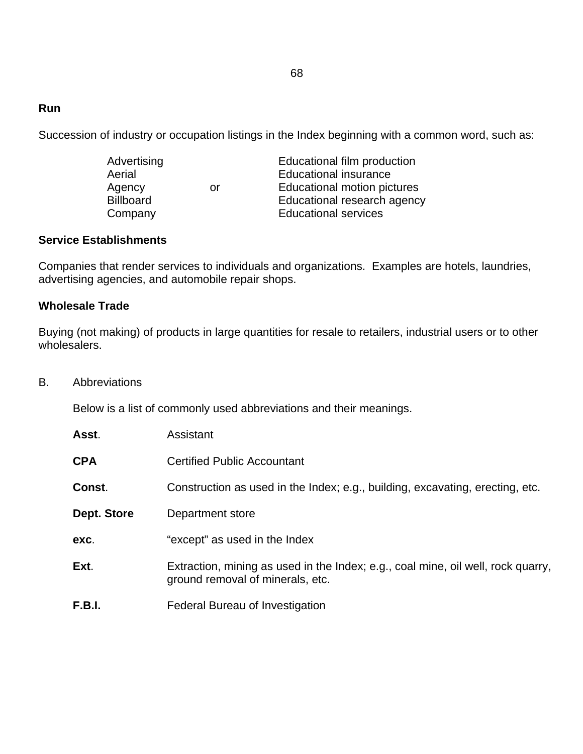# **Run**

Succession of industry or occupation listings in the Index beginning with a common word, such as:

| Advertising      |    | Educational film production  |
|------------------|----|------------------------------|
| Aerial           |    | <b>Educational insurance</b> |
| Agency           | or | Educational motion pictures  |
| <b>Billboard</b> |    | Educational research agency  |
| Company          |    | <b>Educational services</b>  |

#### **Service Establishments**

Companies that render services to individuals and organizations. Examples are hotels, laundries, advertising agencies, and automobile repair shops.

# **Wholesale Trade**

Buying (not making) of products in large quantities for resale to retailers, industrial users or to other wholesalers.

B. Abbreviations

Below is a list of commonly used abbreviations and their meanings.

| Asst.         | Assistant                                                                                                            |
|---------------|----------------------------------------------------------------------------------------------------------------------|
| <b>CPA</b>    | <b>Certified Public Accountant</b>                                                                                   |
| Const.        | Construction as used in the Index; e.g., building, excavating, erecting, etc.                                        |
| Dept. Store   | Department store                                                                                                     |
| exc.          | "except" as used in the Index                                                                                        |
| Ext.          | Extraction, mining as used in the Index; e.g., coal mine, oil well, rock quarry,<br>ground removal of minerals, etc. |
| <b>F.B.I.</b> | Federal Bureau of Investigation                                                                                      |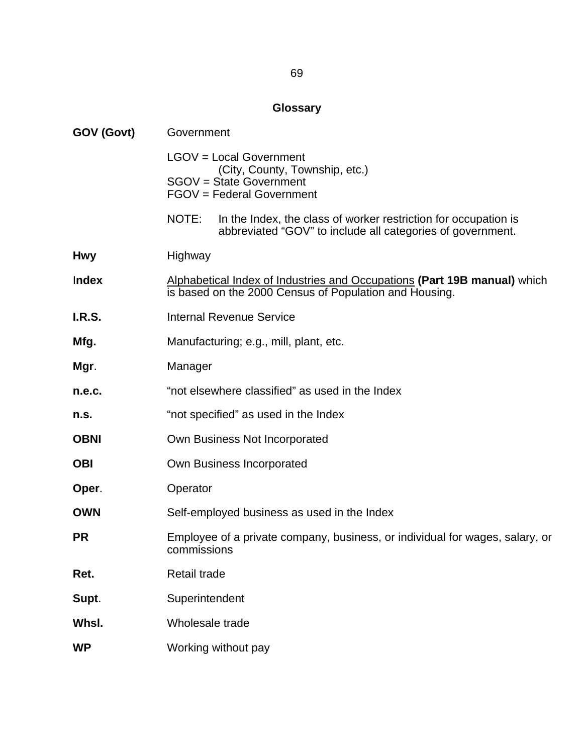# **Glossary**

| GOV (Govt)    | Government                                                                                                                             |  |  |  |  |  |  |  |
|---------------|----------------------------------------------------------------------------------------------------------------------------------------|--|--|--|--|--|--|--|
|               | LGOV = Local Government<br>(City, County, Township, etc.)<br>SGOV = State Government<br>FGOV = Federal Government                      |  |  |  |  |  |  |  |
|               | NOTE:<br>In the Index, the class of worker restriction for occupation is<br>abbreviated "GOV" to include all categories of government. |  |  |  |  |  |  |  |
| <b>Hwy</b>    | Highway                                                                                                                                |  |  |  |  |  |  |  |
| Index         | Alphabetical Index of Industries and Occupations (Part 19B manual) which<br>is based on the 2000 Census of Population and Housing.     |  |  |  |  |  |  |  |
| <b>I.R.S.</b> | <b>Internal Revenue Service</b>                                                                                                        |  |  |  |  |  |  |  |
| Mfg.          | Manufacturing; e.g., mill, plant, etc.                                                                                                 |  |  |  |  |  |  |  |
| Mgr.          | Manager                                                                                                                                |  |  |  |  |  |  |  |
| n.e.c.        | "not elsewhere classified" as used in the Index                                                                                        |  |  |  |  |  |  |  |
| n.s.          | "not specified" as used in the Index                                                                                                   |  |  |  |  |  |  |  |
| <b>OBNI</b>   | Own Business Not Incorporated                                                                                                          |  |  |  |  |  |  |  |
| <b>OBI</b>    | Own Business Incorporated                                                                                                              |  |  |  |  |  |  |  |
| Oper.         | Operator                                                                                                                               |  |  |  |  |  |  |  |
| <b>OWN</b>    | Self-employed business as used in the Index                                                                                            |  |  |  |  |  |  |  |
| <b>PR</b>     | Employee of a private company, business, or individual for wages, salary, or<br>commissions                                            |  |  |  |  |  |  |  |
| Ret.          | <b>Retail trade</b>                                                                                                                    |  |  |  |  |  |  |  |
| Supt.         | Superintendent                                                                                                                         |  |  |  |  |  |  |  |
| Whsl.         | Wholesale trade                                                                                                                        |  |  |  |  |  |  |  |
| <b>WP</b>     | Working without pay                                                                                                                    |  |  |  |  |  |  |  |